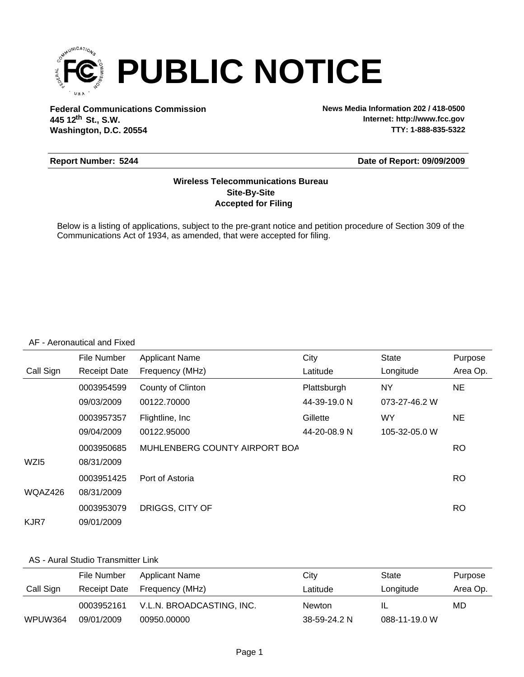

**Federal Communications Commission News Media Information 202 / 418-0500 Washington, D.C. 20554 th 445 12 St., S.W.**

**Internet: http://www.fcc.gov TTY: 1-888-835-5322**

#### **Report Number: 5244**

#### **Date of Report: 09/09/2009**

#### **Accepted for Filing Site-By-Site Wireless Telecommunications Bureau**

Below is a listing of applications, subject to the pre-grant notice and petition procedure of Section 309 of the Communications Act of 1934, as amended, that were accepted for filing.

#### AF - Aeronautical and Fixed

|                  | File Number         | <b>Applicant Name</b>         | City         | <b>State</b>  | Purpose   |
|------------------|---------------------|-------------------------------|--------------|---------------|-----------|
| Call Sign        | <b>Receipt Date</b> | Frequency (MHz)               | Latitude     | Longitude     | Area Op.  |
|                  | 0003954599          | County of Clinton             | Plattsburgh  | NY            | NE.       |
|                  | 09/03/2009          | 00122.70000                   | 44-39-19.0 N | 073-27-46.2 W |           |
|                  | 0003957357          | Flightline, Inc.              | Gillette     | WY            | NE.       |
|                  | 09/04/2009          | 00122.95000                   | 44-20-08.9 N | 105-32-05.0 W |           |
|                  | 0003950685          | MUHLENBERG COUNTY AIRPORT BOA |              |               | RO.       |
| WZ <sub>I5</sub> | 08/31/2009          |                               |              |               |           |
|                  | 0003951425          | Port of Astoria               |              |               | <b>RO</b> |
| WQAZ426          | 08/31/2009          |                               |              |               |           |
|                  | 0003953079          | DRIGGS, CITY OF               |              |               | <b>RO</b> |
| KJR7             | 09/01/2009          |                               |              |               |           |

#### AS - Aural Studio Transmitter Link

|           | File Number  | Applicant Name            | Citv          | State         | Purpose  |
|-----------|--------------|---------------------------|---------------|---------------|----------|
| Call Sign | Receipt Date | Frequency (MHz)           | Latitude      | Longitude     | Area Op. |
|           | 0003952161   | V.L.N. BROADCASTING, INC. | <b>Newton</b> |               | MD       |
| WPUW364   | 09/01/2009   | 00950.00000               | 38-59-24.2 N  | 088-11-19.0 W |          |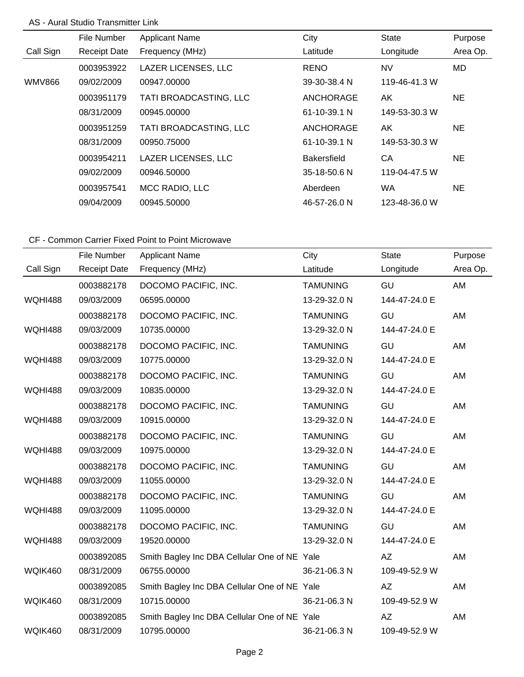#### AS - Aural Studio Transmitter Link

|           | File Number         | <b>Applicant Name</b>      | City               | <b>State</b>  | Purpose  |
|-----------|---------------------|----------------------------|--------------------|---------------|----------|
| Call Sign | <b>Receipt Date</b> | Frequency (MHz)            | Latitude           | Longitude     | Area Op. |
|           | 0003953922          | <b>LAZER LICENSES, LLC</b> | <b>RENO</b>        | <b>NV</b>     | MD       |
| WMV866    | 09/02/2009          | 00947.00000                | 39-30-38.4 N       | 119-46-41.3 W |          |
|           | 0003951179          | TATI BROADCASTING, LLC     | ANCHORAGE          | AK            | NE.      |
|           | 08/31/2009          | 00945.00000                | $61 - 10 - 39.1$ N | 149-53-30.3 W |          |
|           | 0003951259          | TATI BROADCASTING, LLC     | <b>ANCHORAGE</b>   | AK            | NE.      |
|           | 08/31/2009          | 00950.75000                | 61-10-39.1 N       | 149-53-30.3 W |          |
|           | 0003954211          | <b>LAZER LICENSES, LLC</b> | <b>Bakersfield</b> | CA            | NE.      |
|           | 09/02/2009          | 00946.50000                | 35-18-50.6 N       | 119-04-47.5 W |          |
|           | 0003957541          | MCC RADIO, LLC             | Aberdeen           | <b>WA</b>     | NE.      |
|           | 09/04/2009          | 00945.50000                | 46-57-26.0 N       | 123-48-36.0 W |          |

|                | File Number         | <b>Applicant Name</b>                        | City            | <b>State</b>  | Purpose  |
|----------------|---------------------|----------------------------------------------|-----------------|---------------|----------|
| Call Sign      | <b>Receipt Date</b> | Frequency (MHz)                              | Latitude        | Longitude     | Area Op. |
|                | 0003882178          | DOCOMO PACIFIC, INC.                         | <b>TAMUNING</b> | GU            | AM       |
| <b>WQHI488</b> | 09/03/2009          | 06595.00000                                  | 13-29-32.0 N    | 144-47-24.0 E |          |
|                | 0003882178          | DOCOMO PACIFIC, INC.                         | <b>TAMUNING</b> | GU            | AM       |
| <b>WQHI488</b> | 09/03/2009          | 10735.00000                                  | 13-29-32.0 N    | 144-47-24.0 E |          |
|                | 0003882178          | DOCOMO PACIFIC, INC.                         | <b>TAMUNING</b> | GU            | AM       |
| <b>WQHI488</b> | 09/03/2009          | 10775.00000                                  | 13-29-32.0 N    | 144-47-24.0 E |          |
|                | 0003882178          | DOCOMO PACIFIC, INC.                         | <b>TAMUNING</b> | GU            | AM       |
| <b>WQHI488</b> | 09/03/2009          | 10835.00000                                  | 13-29-32.0 N    | 144-47-24.0 E |          |
|                | 0003882178          | DOCOMO PACIFIC, INC.                         | <b>TAMUNING</b> | GU            | AM       |
| <b>WQHI488</b> | 09/03/2009          | 10915.00000                                  | 13-29-32.0 N    | 144-47-24.0 E |          |
|                | 0003882178          | DOCOMO PACIFIC, INC.                         | <b>TAMUNING</b> | GU            | AM       |
| <b>WQHI488</b> | 09/03/2009          | 10975.00000                                  | 13-29-32.0 N    | 144-47-24.0 E |          |
|                | 0003882178          | DOCOMO PACIFIC, INC.                         | <b>TAMUNING</b> | GU            | AM       |
| <b>WQHI488</b> | 09/03/2009          | 11055.00000                                  | 13-29-32.0 N    | 144-47-24.0 E |          |
|                | 0003882178          | DOCOMO PACIFIC, INC.                         | <b>TAMUNING</b> | GU            | AM       |
| <b>WQHI488</b> | 09/03/2009          | 11095.00000                                  | 13-29-32.0 N    | 144-47-24.0 E |          |
|                | 0003882178          | DOCOMO PACIFIC, INC.                         | <b>TAMUNING</b> | GU            | AM       |
| <b>WQHI488</b> | 09/03/2009          | 19520.00000                                  | 13-29-32.0 N    | 144-47-24.0 E |          |
|                | 0003892085          | Smith Bagley Inc DBA Cellular One of NE Yale |                 | AZ            | AM       |
| WQIK460        | 08/31/2009          | 06755.00000                                  | 36-21-06.3 N    | 109-49-52.9 W |          |
|                | 0003892085          | Smith Bagley Inc DBA Cellular One of NE Yale |                 | <b>AZ</b>     | AM       |
| WQIK460        | 08/31/2009          | 10715.00000                                  | 36-21-06.3 N    | 109-49-52.9 W |          |
|                | 0003892085          | Smith Bagley Inc DBA Cellular One of NE Yale |                 | AZ            | AM       |
| WQIK460        | 08/31/2009          | 10795.00000                                  | 36-21-06.3 N    | 109-49-52.9 W |          |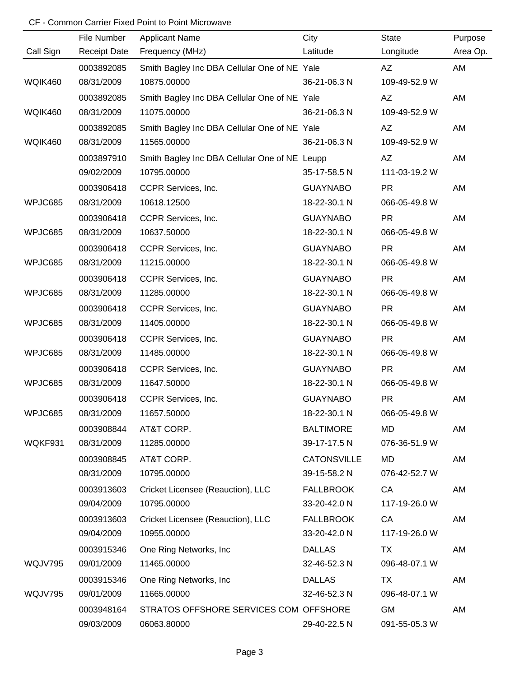|           | File Number         | <b>Applicant Name</b>                         | City               | <b>State</b>  | Purpose  |
|-----------|---------------------|-----------------------------------------------|--------------------|---------------|----------|
| Call Sign | <b>Receipt Date</b> | Frequency (MHz)                               | Latitude           | Longitude     | Area Op. |
|           | 0003892085          | Smith Bagley Inc DBA Cellular One of NE Yale  |                    | AZ            | AM       |
| WQIK460   | 08/31/2009          | 10875.00000                                   | 36-21-06.3 N       | 109-49-52.9 W |          |
|           | 0003892085          | Smith Bagley Inc DBA Cellular One of NE Yale  |                    | AZ            | AM       |
| WQIK460   | 08/31/2009          | 11075.00000                                   | 36-21-06.3 N       | 109-49-52.9 W |          |
|           | 0003892085          | Smith Bagley Inc DBA Cellular One of NE Yale  |                    | AZ            | AM       |
| WQIK460   | 08/31/2009          | 11565.00000                                   | 36-21-06.3 N       | 109-49-52.9 W |          |
|           | 0003897910          | Smith Bagley Inc DBA Cellular One of NE Leupp |                    | AZ            | AM       |
|           | 09/02/2009          | 10795.00000                                   | 35-17-58.5 N       | 111-03-19.2 W |          |
|           | 0003906418          | CCPR Services, Inc.                           | <b>GUAYNABO</b>    | <b>PR</b>     | AM       |
| WPJC685   | 08/31/2009          | 10618.12500                                   | 18-22-30.1 N       | 066-05-49.8 W |          |
|           | 0003906418          | CCPR Services, Inc.                           | <b>GUAYNABO</b>    | <b>PR</b>     | AM       |
| WPJC685   | 08/31/2009          | 10637.50000                                   | 18-22-30.1 N       | 066-05-49.8 W |          |
|           | 0003906418          | CCPR Services, Inc.                           | <b>GUAYNABO</b>    | <b>PR</b>     | AM       |
| WPJC685   | 08/31/2009          | 11215.00000                                   | 18-22-30.1 N       | 066-05-49.8 W |          |
|           | 0003906418          | CCPR Services, Inc.                           | <b>GUAYNABO</b>    | <b>PR</b>     | AM       |
| WPJC685   | 08/31/2009          | 11285.00000                                   | 18-22-30.1 N       | 066-05-49.8 W |          |
|           | 0003906418          | CCPR Services, Inc.                           | <b>GUAYNABO</b>    | <b>PR</b>     | AM       |
| WPJC685   | 08/31/2009          | 11405.00000                                   | 18-22-30.1 N       | 066-05-49.8 W |          |
|           | 0003906418          | CCPR Services, Inc.                           | <b>GUAYNABO</b>    | <b>PR</b>     | AM       |
| WPJC685   | 08/31/2009          | 11485.00000                                   | 18-22-30.1 N       | 066-05-49.8 W |          |
|           | 0003906418          | CCPR Services, Inc.                           | <b>GUAYNABO</b>    | <b>PR</b>     | AM       |
| WPJC685   | 08/31/2009          | 11647.50000                                   | 18-22-30.1 N       | 066-05-49.8 W |          |
|           | 0003906418          | CCPR Services, Inc.                           | <b>GUAYNABO</b>    | <b>PR</b>     | AM       |
| WPJC685   | 08/31/2009          | 11657.50000                                   | 18-22-30.1 N       | 066-05-49.8 W |          |
|           | 0003908844          | AT&T CORP.                                    | <b>BALTIMORE</b>   | <b>MD</b>     | AM       |
| WQKF931   | 08/31/2009          | 11285.00000                                   | 39-17-17.5 N       | 076-36-51.9 W |          |
|           | 0003908845          | AT&T CORP.                                    | <b>CATONSVILLE</b> | MD            | AM       |
|           | 08/31/2009          | 10795.00000                                   | 39-15-58.2 N       | 076-42-52.7 W |          |
|           | 0003913603          | Cricket Licensee (Reauction), LLC             | <b>FALLBROOK</b>   | CA            | AM       |
|           | 09/04/2009          | 10795.00000                                   | 33-20-42.0 N       | 117-19-26.0 W |          |
|           | 0003913603          | Cricket Licensee (Reauction), LLC             | <b>FALLBROOK</b>   | CA            | AM       |
|           | 09/04/2009          | 10955.00000                                   | 33-20-42.0 N       | 117-19-26.0 W |          |
|           | 0003915346          | One Ring Networks, Inc.                       | <b>DALLAS</b>      | TX            | AM       |
| WQJV795   | 09/01/2009          | 11465.00000                                   | 32-46-52.3 N       | 096-48-07.1 W |          |
|           | 0003915346          | One Ring Networks, Inc.                       | <b>DALLAS</b>      | TX            | AM       |
| WQJV795   | 09/01/2009          | 11665.00000                                   | 32-46-52.3 N       | 096-48-07.1 W |          |
|           | 0003948164          | STRATOS OFFSHORE SERVICES COM OFFSHORE        |                    | <b>GM</b>     | AM       |
|           | 09/03/2009          | 06063.80000                                   | 29-40-22.5 N       | 091-55-05.3 W |          |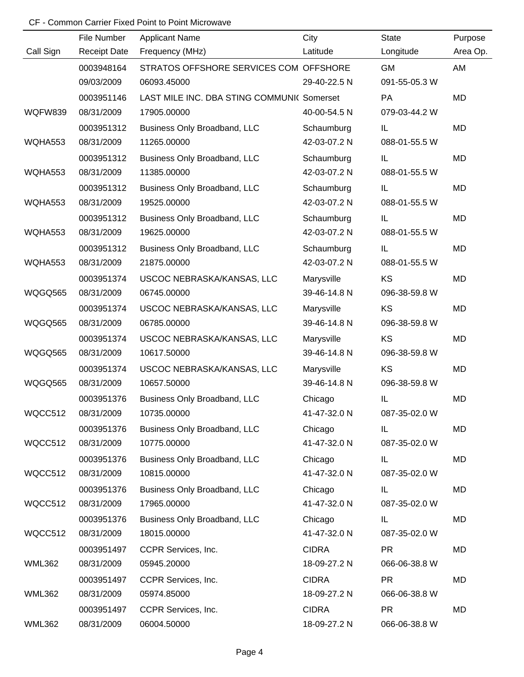|               | File Number         | <b>Applicant Name</b>                      | City         | <b>State</b>  | Purpose   |
|---------------|---------------------|--------------------------------------------|--------------|---------------|-----------|
| Call Sign     | <b>Receipt Date</b> | Frequency (MHz)                            | Latitude     | Longitude     | Area Op.  |
|               | 0003948164          | STRATOS OFFSHORE SERVICES COM OFFSHORE     |              | <b>GM</b>     | AM        |
|               | 09/03/2009          | 06093.45000                                | 29-40-22.5 N | 091-55-05.3 W |           |
|               | 0003951146          | LAST MILE INC. DBA STING COMMUNI( Somerset |              | <b>PA</b>     | MD        |
| WQFW839       | 08/31/2009          | 17905.00000                                | 40-00-54.5 N | 079-03-44.2 W |           |
|               | 0003951312          | Business Only Broadband, LLC               | Schaumburg   | IL            | MD        |
| WQHA553       | 08/31/2009          | 11265.00000                                | 42-03-07.2 N | 088-01-55.5 W |           |
|               | 0003951312          | Business Only Broadband, LLC               | Schaumburg   | IL            | MD        |
| WQHA553       | 08/31/2009          | 11385.00000                                | 42-03-07.2 N | 088-01-55.5 W |           |
|               | 0003951312          | Business Only Broadband, LLC               | Schaumburg   | IL            | MD        |
| WQHA553       | 08/31/2009          | 19525.00000                                | 42-03-07.2 N | 088-01-55.5 W |           |
|               | 0003951312          | Business Only Broadband, LLC               | Schaumburg   | IL.           | MD        |
| WQHA553       | 08/31/2009          | 19625.00000                                | 42-03-07.2 N | 088-01-55.5 W |           |
|               | 0003951312          | Business Only Broadband, LLC               | Schaumburg   | IL            | MD        |
| WQHA553       | 08/31/2009          | 21875.00000                                | 42-03-07.2 N | 088-01-55.5 W |           |
|               | 0003951374          | USCOC NEBRASKA/KANSAS, LLC                 | Marysville   | KS            | <b>MD</b> |
| WQGQ565       | 08/31/2009          | 06745.00000                                | 39-46-14.8 N | 096-38-59.8 W |           |
|               | 0003951374          | USCOC NEBRASKA/KANSAS, LLC                 | Marysville   | <b>KS</b>     | <b>MD</b> |
| WQGQ565       | 08/31/2009          | 06785.00000                                | 39-46-14.8 N | 096-38-59.8 W |           |
|               | 0003951374          | USCOC NEBRASKA/KANSAS, LLC                 | Marysville   | KS            | <b>MD</b> |
| WQGQ565       | 08/31/2009          | 10617.50000                                | 39-46-14.8 N | 096-38-59.8 W |           |
|               | 0003951374          | USCOC NEBRASKA/KANSAS, LLC                 | Marysville   | KS            | <b>MD</b> |
| WQGQ565       | 08/31/2009          | 10657.50000                                | 39-46-14.8 N | 096-38-59.8 W |           |
|               | 0003951376          | Business Only Broadband, LLC               | Chicago      | IL            | <b>MD</b> |
| WQCC512       | 08/31/2009          | 10735.00000                                | 41-47-32.0 N | 087-35-02.0 W |           |
|               | 0003951376          | Business Only Broadband, LLC               | Chicago      | IL            | MD        |
| WQCC512       | 08/31/2009          | 10775.00000                                | 41-47-32.0 N | 087-35-02.0 W |           |
|               | 0003951376          | Business Only Broadband, LLC               | Chicago      | IL.           | MD        |
| WQCC512       | 08/31/2009          | 10815.00000                                | 41-47-32.0 N | 087-35-02.0 W |           |
|               | 0003951376          | Business Only Broadband, LLC               | Chicago      | IL.           | MD        |
| WQCC512       | 08/31/2009          | 17965.00000                                | 41-47-32.0 N | 087-35-02.0 W |           |
|               | 0003951376          | Business Only Broadband, LLC               | Chicago      | IL            | MD        |
| WQCC512       | 08/31/2009          | 18015.00000                                | 41-47-32.0 N | 087-35-02.0 W |           |
|               | 0003951497          | CCPR Services, Inc.                        | <b>CIDRA</b> | <b>PR</b>     | MD        |
| <b>WML362</b> | 08/31/2009          | 05945.20000                                | 18-09-27.2 N | 066-06-38.8 W |           |
|               | 0003951497          | CCPR Services, Inc.                        | <b>CIDRA</b> | <b>PR</b>     | MD        |
| <b>WML362</b> | 08/31/2009          | 05974.85000                                | 18-09-27.2 N | 066-06-38.8 W |           |
|               | 0003951497          | CCPR Services, Inc.                        | <b>CIDRA</b> | <b>PR</b>     | MD        |
| <b>WML362</b> | 08/31/2009          | 06004.50000                                | 18-09-27.2 N | 066-06-38.8 W |           |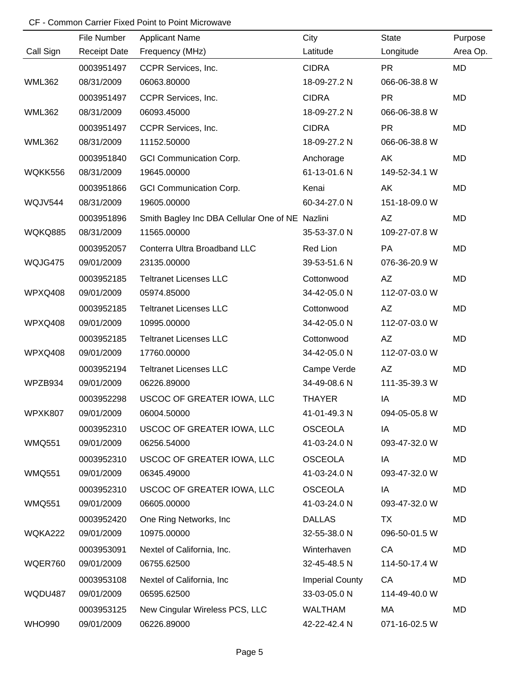|               | File Number         | <b>Applicant Name</b>                           | City                   | <b>State</b>  | Purpose   |
|---------------|---------------------|-------------------------------------------------|------------------------|---------------|-----------|
| Call Sign     | <b>Receipt Date</b> | Frequency (MHz)                                 | Latitude               | Longitude     | Area Op.  |
|               | 0003951497          | CCPR Services, Inc.                             | <b>CIDRA</b>           | <b>PR</b>     | MD        |
| <b>WML362</b> | 08/31/2009          | 06063.80000                                     | 18-09-27.2 N           | 066-06-38.8 W |           |
|               | 0003951497          | CCPR Services, Inc.                             | <b>CIDRA</b>           | <b>PR</b>     | MD        |
| <b>WML362</b> | 08/31/2009          | 06093.45000                                     | 18-09-27.2 N           | 066-06-38.8 W |           |
|               | 0003951497          | CCPR Services, Inc.                             | <b>CIDRA</b>           | <b>PR</b>     | <b>MD</b> |
| <b>WML362</b> | 08/31/2009          | 11152.50000                                     | 18-09-27.2 N           | 066-06-38.8 W |           |
|               | 0003951840          | <b>GCI Communication Corp.</b>                  | Anchorage              | AK            | <b>MD</b> |
| WQKK556       | 08/31/2009          | 19645.00000                                     | 61-13-01.6 N           | 149-52-34.1 W |           |
|               | 0003951866          | <b>GCI Communication Corp.</b>                  | Kenai                  | AK            | <b>MD</b> |
| WQJV544       | 08/31/2009          | 19605.00000                                     | 60-34-27.0 N           | 151-18-09.0 W |           |
|               | 0003951896          | Smith Bagley Inc DBA Cellular One of NE Nazlini |                        | AZ            | <b>MD</b> |
| WQKQ885       | 08/31/2009          | 11565.00000                                     | 35-53-37.0 N           | 109-27-07.8 W |           |
|               | 0003952057          | Conterra Ultra Broadband LLC                    | Red Lion               | <b>PA</b>     | <b>MD</b> |
| WQJG475       | 09/01/2009          | 23135.00000                                     | 39-53-51.6 N           | 076-36-20.9 W |           |
|               | 0003952185          | <b>Teltranet Licenses LLC</b>                   | Cottonwood             | AZ            | <b>MD</b> |
| WPXQ408       | 09/01/2009          | 05974.85000                                     | 34-42-05.0 N           | 112-07-03.0 W |           |
|               | 0003952185          | <b>Teltranet Licenses LLC</b>                   | Cottonwood             | AZ            | <b>MD</b> |
| WPXQ408       | 09/01/2009          | 10995.00000                                     | 34-42-05.0 N           | 112-07-03.0 W |           |
|               | 0003952185          | <b>Teltranet Licenses LLC</b>                   | Cottonwood             | AZ            | <b>MD</b> |
| WPXQ408       | 09/01/2009          | 17760.00000                                     | 34-42-05.0 N           | 112-07-03.0 W |           |
|               | 0003952194          | <b>Teltranet Licenses LLC</b>                   | Campe Verde            | AZ            | <b>MD</b> |
| WPZB934       | 09/01/2009          | 06226.89000                                     | 34-49-08.6 N           | 111-35-39.3 W |           |
|               | 0003952298          | USCOC OF GREATER IOWA, LLC                      | <b>THAYER</b>          | IA            | <b>MD</b> |
| WPXK807       | 09/01/2009          | 06004.50000                                     | 41-01-49.3 N           | 094-05-05.8 W |           |
|               | 0003952310          | USCOC OF GREATER IOWA, LLC                      | <b>OSCEOLA</b>         | IA            | MD        |
| <b>WMQ551</b> | 09/01/2009          | 06256.54000                                     | 41-03-24.0 N           | 093-47-32.0 W |           |
|               | 0003952310          | USCOC OF GREATER IOWA, LLC                      | <b>OSCEOLA</b>         | IA            | MD        |
| <b>WMQ551</b> | 09/01/2009          | 06345.49000                                     | 41-03-24.0 N           | 093-47-32.0 W |           |
|               | 0003952310          | USCOC OF GREATER IOWA, LLC                      | <b>OSCEOLA</b>         | IA            | MD        |
| <b>WMQ551</b> | 09/01/2009          | 06605.00000                                     | 41-03-24.0 N           | 093-47-32.0 W |           |
|               | 0003952420          | One Ring Networks, Inc.                         | <b>DALLAS</b>          | TX            | MD        |
| WQKA222       | 09/01/2009          | 10975.00000                                     | 32-55-38.0 N           | 096-50-01.5 W |           |
|               | 0003953091          | Nextel of California, Inc.                      | Winterhaven            | CA            | MD        |
| WQER760       | 09/01/2009          | 06755.62500                                     | 32-45-48.5 N           | 114-50-17.4 W |           |
|               | 0003953108          | Nextel of California, Inc.                      | <b>Imperial County</b> | CA            | MD        |
| WQDU487       | 09/01/2009          | 06595.62500                                     | 33-03-05.0 N           | 114-49-40.0 W |           |
|               | 0003953125          | New Cingular Wireless PCS, LLC                  | <b>WALTHAM</b>         | MA            | MD        |
| <b>WHO990</b> | 09/01/2009          | 06226.89000                                     | 42-22-42.4 N           | 071-16-02.5 W |           |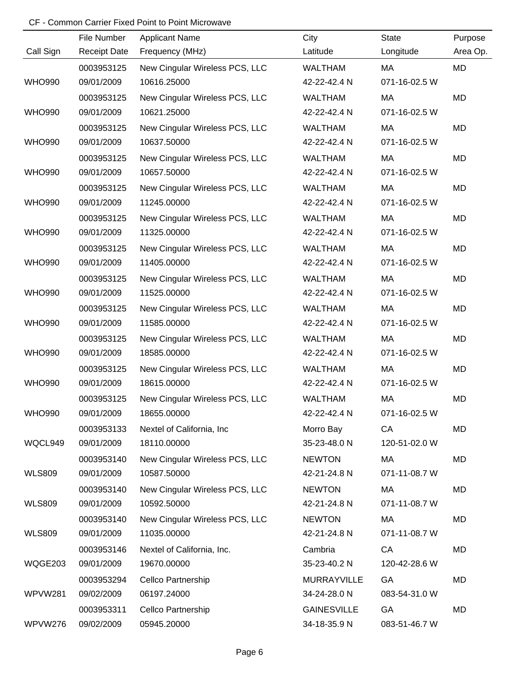|               | File Number         | <b>Applicant Name</b>          | City               | <b>State</b>  | Purpose   |
|---------------|---------------------|--------------------------------|--------------------|---------------|-----------|
| Call Sign     | <b>Receipt Date</b> | Frequency (MHz)                | Latitude           | Longitude     | Area Op.  |
|               | 0003953125          | New Cingular Wireless PCS, LLC | <b>WALTHAM</b>     | MA            | MD        |
| <b>WHO990</b> | 09/01/2009          | 10616.25000                    | 42-22-42.4 N       | 071-16-02.5 W |           |
|               | 0003953125          | New Cingular Wireless PCS, LLC | <b>WALTHAM</b>     | MA            | MD        |
| <b>WHO990</b> | 09/01/2009          | 10621.25000                    | 42-22-42.4 N       | 071-16-02.5 W |           |
|               | 0003953125          | New Cingular Wireless PCS, LLC | <b>WALTHAM</b>     | MA            | MD        |
| <b>WHO990</b> | 09/01/2009          | 10637.50000                    | 42-22-42.4 N       | 071-16-02.5 W |           |
|               | 0003953125          | New Cingular Wireless PCS, LLC | <b>WALTHAM</b>     | MA            | <b>MD</b> |
| <b>WHO990</b> | 09/01/2009          | 10657.50000                    | 42-22-42.4 N       | 071-16-02.5 W |           |
|               | 0003953125          | New Cingular Wireless PCS, LLC | <b>WALTHAM</b>     | MA            | <b>MD</b> |
| <b>WHO990</b> | 09/01/2009          | 11245.00000                    | 42-22-42.4 N       | 071-16-02.5 W |           |
|               | 0003953125          | New Cingular Wireless PCS, LLC | <b>WALTHAM</b>     | MA            | <b>MD</b> |
| <b>WHO990</b> | 09/01/2009          | 11325.00000                    | 42-22-42.4 N       | 071-16-02.5 W |           |
|               | 0003953125          | New Cingular Wireless PCS, LLC | <b>WALTHAM</b>     | MA            | <b>MD</b> |
| <b>WHO990</b> | 09/01/2009          | 11405.00000                    | 42-22-42.4 N       | 071-16-02.5 W |           |
|               | 0003953125          | New Cingular Wireless PCS, LLC | <b>WALTHAM</b>     | MA            | <b>MD</b> |
| <b>WHO990</b> | 09/01/2009          | 11525.00000                    | 42-22-42.4 N       | 071-16-02.5 W |           |
|               | 0003953125          | New Cingular Wireless PCS, LLC | <b>WALTHAM</b>     | MA            | <b>MD</b> |
| <b>WHO990</b> | 09/01/2009          | 11585.00000                    | 42-22-42.4 N       | 071-16-02.5 W |           |
|               | 0003953125          | New Cingular Wireless PCS, LLC | <b>WALTHAM</b>     | MA            | <b>MD</b> |
| <b>WHO990</b> | 09/01/2009          | 18585.00000                    | 42-22-42.4 N       | 071-16-02.5 W |           |
|               | 0003953125          | New Cingular Wireless PCS, LLC | <b>WALTHAM</b>     | MA            | <b>MD</b> |
| <b>WHO990</b> | 09/01/2009          | 18615.00000                    | 42-22-42.4 N       | 071-16-02.5 W |           |
|               | 0003953125          | New Cingular Wireless PCS, LLC | <b>WALTHAM</b>     | MA            | <b>MD</b> |
| <b>WHO990</b> | 09/01/2009          | 18655.00000                    | 42-22-42.4 N       | 071-16-02.5 W |           |
|               | 0003953133          | Nextel of California, Inc      | Morro Bay          | CA            | MD        |
| WQCL949       | 09/01/2009          | 18110.00000                    | 35-23-48.0 N       | 120-51-02.0 W |           |
|               | 0003953140          | New Cingular Wireless PCS, LLC | <b>NEWTON</b>      | МA            | MD        |
| <b>WLS809</b> | 09/01/2009          | 10587.50000                    | 42-21-24.8 N       | 071-11-08.7 W |           |
|               | 0003953140          | New Cingular Wireless PCS, LLC | <b>NEWTON</b>      | МA            | MD        |
| <b>WLS809</b> | 09/01/2009          | 10592.50000                    | 42-21-24.8 N       | 071-11-08.7 W |           |
|               | 0003953140          | New Cingular Wireless PCS, LLC | <b>NEWTON</b>      | MA            | MD        |
| <b>WLS809</b> | 09/01/2009          | 11035.00000                    | 42-21-24.8 N       | 071-11-08.7 W |           |
|               | 0003953146          | Nextel of California, Inc.     | Cambria            | CA            | MD        |
| WQGE203       | 09/01/2009          | 19670.00000                    | 35-23-40.2 N       | 120-42-28.6 W |           |
|               | 0003953294          | Cellco Partnership             | <b>MURRAYVILLE</b> | GA            | MD        |
| WPVW281       | 09/02/2009          | 06197.24000                    | 34-24-28.0 N       | 083-54-31.0 W |           |
|               | 0003953311          | Cellco Partnership             | <b>GAINESVILLE</b> | GA            | MD        |
| WPVW276       | 09/02/2009          | 05945.20000                    | 34-18-35.9 N       | 083-51-46.7 W |           |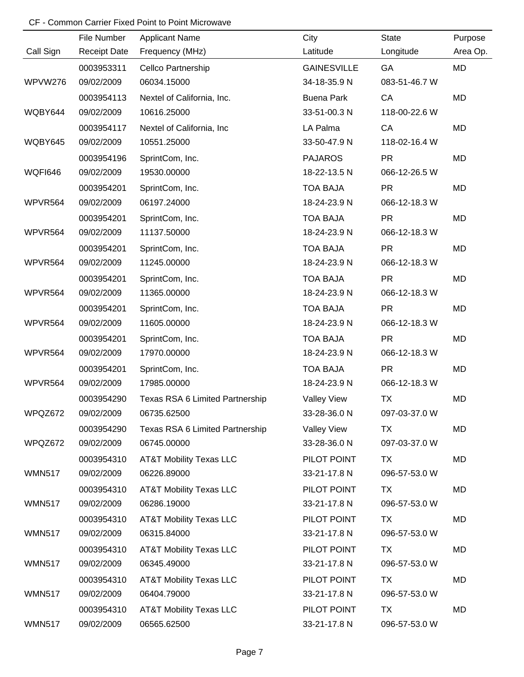|                | File Number         | <b>Applicant Name</b>              | City               | State         | Purpose   |
|----------------|---------------------|------------------------------------|--------------------|---------------|-----------|
| Call Sign      | <b>Receipt Date</b> | Frequency (MHz)                    | Latitude           | Longitude     | Area Op.  |
|                | 0003953311          | Cellco Partnership                 | <b>GAINESVILLE</b> | GA            | <b>MD</b> |
| WPVW276        | 09/02/2009          | 06034.15000                        | 34-18-35.9 N       | 083-51-46.7 W |           |
|                | 0003954113          | Nextel of California, Inc.         | <b>Buena Park</b>  | CA            | <b>MD</b> |
| WQBY644        | 09/02/2009          | 10616.25000                        | 33-51-00.3 N       | 118-00-22.6 W |           |
|                | 0003954117          | Nextel of California, Inc          | LA Palma           | CA            | <b>MD</b> |
| WQBY645        | 09/02/2009          | 10551.25000                        | 33-50-47.9 N       | 118-02-16.4 W |           |
|                | 0003954196          | SprintCom, Inc.                    | <b>PAJAROS</b>     | <b>PR</b>     | MD        |
| <b>WQFI646</b> | 09/02/2009          | 19530.00000                        | 18-22-13.5 N       | 066-12-26.5 W |           |
|                | 0003954201          | SprintCom, Inc.                    | <b>TOA BAJA</b>    | <b>PR</b>     | MD        |
| WPVR564        | 09/02/2009          | 06197.24000                        | 18-24-23.9 N       | 066-12-18.3 W |           |
|                | 0003954201          | SprintCom, Inc.                    | <b>TOA BAJA</b>    | <b>PR</b>     | MD        |
| WPVR564        | 09/02/2009          | 11137.50000                        | 18-24-23.9 N       | 066-12-18.3 W |           |
|                | 0003954201          | SprintCom, Inc.                    | <b>TOA BAJA</b>    | <b>PR</b>     | MD        |
| WPVR564        | 09/02/2009          | 11245.00000                        | 18-24-23.9 N       | 066-12-18.3 W |           |
|                | 0003954201          | SprintCom, Inc.                    | <b>TOA BAJA</b>    | <b>PR</b>     | MD        |
| WPVR564        | 09/02/2009          | 11365.00000                        | 18-24-23.9 N       | 066-12-18.3 W |           |
|                | 0003954201          | SprintCom, Inc.                    | <b>TOA BAJA</b>    | <b>PR</b>     | MD        |
| WPVR564        | 09/02/2009          | 11605.00000                        | 18-24-23.9 N       | 066-12-18.3 W |           |
|                | 0003954201          | SprintCom, Inc.                    | <b>TOA BAJA</b>    | <b>PR</b>     | MD        |
| WPVR564        | 09/02/2009          | 17970.00000                        | 18-24-23.9 N       | 066-12-18.3 W |           |
|                | 0003954201          | SprintCom, Inc.                    | <b>TOA BAJA</b>    | <b>PR</b>     | MD        |
| WPVR564        | 09/02/2009          | 17985.00000                        | 18-24-23.9 N       | 066-12-18.3 W |           |
|                | 0003954290          | Texas RSA 6 Limited Partnership    | Valley View        | <b>TX</b>     | MD        |
| WPQZ672        | 09/02/2009          | 06735.62500                        | 33-28-36.0 N       | 097-03-37.0 W |           |
|                | 0003954290          | Texas RSA 6 Limited Partnership    | <b>Valley View</b> | TX            | MD        |
| WPQZ672        | 09/02/2009          | 06745.00000                        | 33-28-36.0 N       | 097-03-37.0 W |           |
|                | 0003954310          | <b>AT&amp;T Mobility Texas LLC</b> | PILOT POINT        | <b>TX</b>     | MD        |
| <b>WMN517</b>  | 09/02/2009          | 06226.89000                        | 33-21-17.8 N       | 096-57-53.0 W |           |
|                | 0003954310          | <b>AT&amp;T Mobility Texas LLC</b> | PILOT POINT        | TX            | MD        |
| <b>WMN517</b>  | 09/02/2009          | 06286.19000                        | 33-21-17.8 N       | 096-57-53.0 W |           |
|                | 0003954310          | <b>AT&amp;T Mobility Texas LLC</b> | PILOT POINT        | TX            | MD        |
| <b>WMN517</b>  | 09/02/2009          | 06315.84000                        | 33-21-17.8 N       | 096-57-53.0 W |           |
|                | 0003954310          | <b>AT&amp;T Mobility Texas LLC</b> | PILOT POINT        | TX            | MD        |
| <b>WMN517</b>  | 09/02/2009          | 06345.49000                        | 33-21-17.8 N       | 096-57-53.0 W |           |
|                | 0003954310          | <b>AT&amp;T Mobility Texas LLC</b> | PILOT POINT        | TX            | MD        |
| <b>WMN517</b>  | 09/02/2009          | 06404.79000                        | 33-21-17.8 N       | 096-57-53.0 W |           |
|                | 0003954310          | <b>AT&amp;T Mobility Texas LLC</b> | PILOT POINT        | TX            | MD        |
| <b>WMN517</b>  | 09/02/2009          | 06565.62500                        | 33-21-17.8 N       | 096-57-53.0 W |           |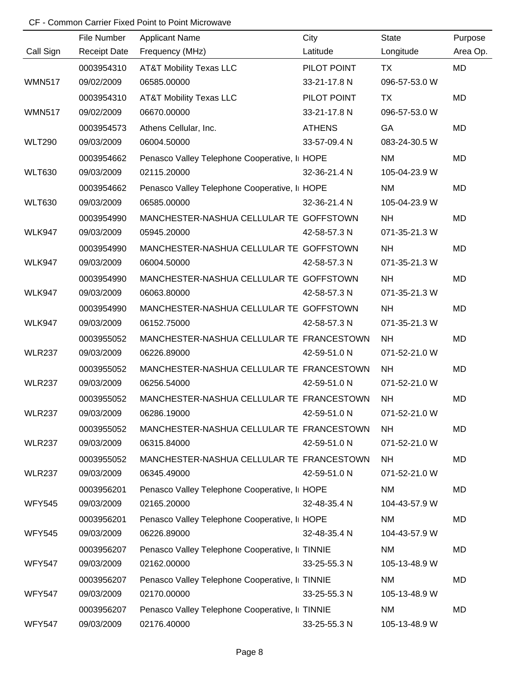|               | File Number         | <b>Applicant Name</b>                          | City          | <b>State</b>  | Purpose   |
|---------------|---------------------|------------------------------------------------|---------------|---------------|-----------|
| Call Sign     | <b>Receipt Date</b> | Frequency (MHz)                                | Latitude      | Longitude     | Area Op.  |
|               | 0003954310          | <b>AT&amp;T Mobility Texas LLC</b>             | PILOT POINT   | TX            | <b>MD</b> |
| <b>WMN517</b> | 09/02/2009          | 06585.00000                                    | 33-21-17.8 N  | 096-57-53.0 W |           |
|               | 0003954310          | <b>AT&amp;T Mobility Texas LLC</b>             | PILOT POINT   | TX            | MD        |
| <b>WMN517</b> | 09/02/2009          | 06670.00000                                    | 33-21-17.8 N  | 096-57-53.0 W |           |
|               | 0003954573          | Athens Cellular, Inc.                          | <b>ATHENS</b> | GA            | <b>MD</b> |
| <b>WLT290</b> | 09/03/2009          | 06004.50000                                    | 33-57-09.4 N  | 083-24-30.5 W |           |
|               | 0003954662          | Penasco Valley Telephone Cooperative, I HOPE   |               | <b>NM</b>     | <b>MD</b> |
| <b>WLT630</b> | 09/03/2009          | 02115.20000                                    | 32-36-21.4 N  | 105-04-23.9 W |           |
|               | 0003954662          | Penasco Valley Telephone Cooperative, I HOPE   |               | <b>NM</b>     | <b>MD</b> |
| <b>WLT630</b> | 09/03/2009          | 06585.00000                                    | 32-36-21.4 N  | 105-04-23.9 W |           |
|               | 0003954990          | MANCHESTER-NASHUA CELLULAR TE GOFFSTOWN        |               | <b>NH</b>     | <b>MD</b> |
| <b>WLK947</b> | 09/03/2009          | 05945.20000                                    | 42-58-57.3 N  | 071-35-21.3 W |           |
|               | 0003954990          | MANCHESTER-NASHUA CELLULAR TE GOFFSTOWN        |               | NH            | <b>MD</b> |
| <b>WLK947</b> | 09/03/2009          | 06004.50000                                    | 42-58-57.3 N  | 071-35-21.3 W |           |
|               | 0003954990          | MANCHESTER-NASHUA CELLULAR TE GOFFSTOWN        |               | <b>NH</b>     | <b>MD</b> |
| <b>WLK947</b> | 09/03/2009          | 06063.80000                                    | 42-58-57.3 N  | 071-35-21.3 W |           |
|               | 0003954990          | MANCHESTER-NASHUA CELLULAR TE GOFFSTOWN        |               | NH            | <b>MD</b> |
| <b>WLK947</b> | 09/03/2009          | 06152.75000                                    | 42-58-57.3 N  | 071-35-21.3 W |           |
|               | 0003955052          | MANCHESTER-NASHUA CELLULAR TE FRANCESTOWN      |               | <b>NH</b>     | <b>MD</b> |
| <b>WLR237</b> | 09/03/2009          | 06226.89000                                    | 42-59-51.0 N  | 071-52-21.0 W |           |
|               | 0003955052          | MANCHESTER-NASHUA CELLULAR TE FRANCESTOWN      |               | <b>NH</b>     | <b>MD</b> |
| <b>WLR237</b> | 09/03/2009          | 06256.54000                                    | 42-59-51.0 N  | 071-52-21.0 W |           |
|               | 0003955052          | MANCHESTER-NASHUA CELLULAR TE FRANCESTOWN      |               | <b>NH</b>     | <b>MD</b> |
| <b>WLR237</b> | 09/03/2009          | 06286.19000                                    | 42-59-51.0 N  | 071-52-21.0 W |           |
|               | 0003955052          | MANCHESTER-NASHUA CELLULAR TE FRANCESTOWN      |               | <b>NH</b>     | MD        |
| <b>WLR237</b> | 09/03/2009          | 06315.84000                                    | 42-59-51.0 N  | 071-52-21.0 W |           |
|               | 0003955052          | MANCHESTER-NASHUA CELLULAR TE FRANCESTOWN      |               | NH            | MD        |
| <b>WLR237</b> | 09/03/2009          | 06345.49000                                    | 42-59-51.0 N  | 071-52-21.0 W |           |
|               | 0003956201          | Penasco Valley Telephone Cooperative, I HOPE   |               | <b>NM</b>     | MD        |
| <b>WFY545</b> | 09/03/2009          | 02165.20000                                    | 32-48-35.4 N  | 104-43-57.9 W |           |
|               | 0003956201          | Penasco Valley Telephone Cooperative, I HOPE   |               | NM            | <b>MD</b> |
| <b>WFY545</b> | 09/03/2009          | 06226.89000                                    | 32-48-35.4 N  | 104-43-57.9 W |           |
|               | 0003956207          | Penasco Valley Telephone Cooperative, I TINNIE |               | <b>NM</b>     | MD        |
| <b>WFY547</b> | 09/03/2009          | 02162.00000                                    | 33-25-55.3 N  | 105-13-48.9 W |           |
|               | 0003956207          | Penasco Valley Telephone Cooperative, I TINNIE |               | <b>NM</b>     | MD        |
| <b>WFY547</b> | 09/03/2009          | 02170.00000                                    | 33-25-55.3 N  | 105-13-48.9 W |           |
|               | 0003956207          | Penasco Valley Telephone Cooperative, I TINNIE |               | <b>NM</b>     | MD        |
| <b>WFY547</b> | 09/03/2009          | 02176.40000                                    | 33-25-55.3 N  | 105-13-48.9 W |           |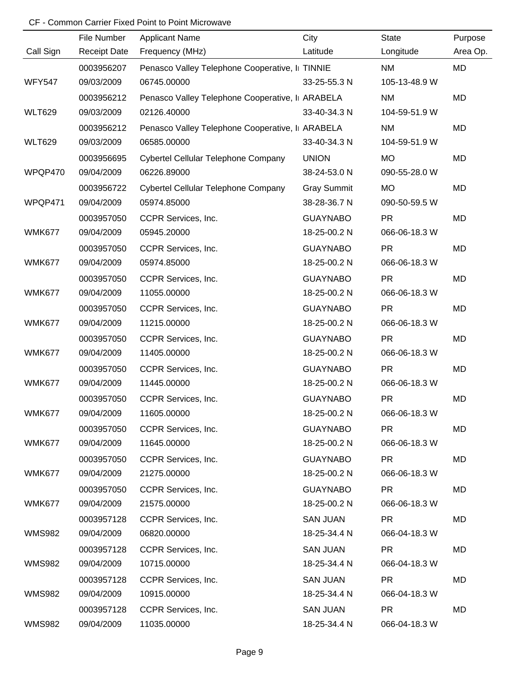|               | File Number         | <b>Applicant Name</b>                           | City               | State         | Purpose   |
|---------------|---------------------|-------------------------------------------------|--------------------|---------------|-----------|
| Call Sign     | <b>Receipt Date</b> | Frequency (MHz)                                 | Latitude           | Longitude     | Area Op.  |
|               | 0003956207          | Penasco Valley Telephone Cooperative, I TINNIE  |                    | <b>NM</b>     | MD        |
| <b>WFY547</b> | 09/03/2009          | 06745.00000                                     | 33-25-55.3 N       | 105-13-48.9 W |           |
|               | 0003956212          | Penasco Valley Telephone Cooperative, I ARABELA |                    | <b>NM</b>     | <b>MD</b> |
| <b>WLT629</b> | 09/03/2009          | 02126.40000                                     | 33-40-34.3 N       | 104-59-51.9 W |           |
|               | 0003956212          | Penasco Valley Telephone Cooperative, I ARABELA |                    | <b>NM</b>     | MD        |
| <b>WLT629</b> | 09/03/2009          | 06585.00000                                     | 33-40-34.3 N       | 104-59-51.9 W |           |
|               | 0003956695          | Cybertel Cellular Telephone Company             | <b>UNION</b>       | <b>MO</b>     | MD        |
| WPQP470       | 09/04/2009          | 06226.89000                                     | 38-24-53.0 N       | 090-55-28.0 W |           |
|               | 0003956722          | Cybertel Cellular Telephone Company             | <b>Gray Summit</b> | <b>MO</b>     | MD        |
| WPQP471       | 09/04/2009          | 05974.85000                                     | 38-28-36.7 N       | 090-50-59.5 W |           |
|               | 0003957050          | CCPR Services, Inc.                             | <b>GUAYNABO</b>    | <b>PR</b>     | MD        |
| <b>WMK677</b> | 09/04/2009          | 05945.20000                                     | 18-25-00.2 N       | 066-06-18.3 W |           |
|               | 0003957050          | CCPR Services, Inc.                             | <b>GUAYNABO</b>    | <b>PR</b>     | MD        |
| <b>WMK677</b> | 09/04/2009          | 05974.85000                                     | 18-25-00.2 N       | 066-06-18.3 W |           |
|               | 0003957050          | CCPR Services, Inc.                             | <b>GUAYNABO</b>    | <b>PR</b>     | MD        |
| <b>WMK677</b> | 09/04/2009          | 11055.00000                                     | 18-25-00.2 N       | 066-06-18.3 W |           |
|               | 0003957050          | CCPR Services, Inc.                             | <b>GUAYNABO</b>    | <b>PR</b>     | MD        |
| <b>WMK677</b> | 09/04/2009          | 11215.00000                                     | 18-25-00.2 N       | 066-06-18.3 W |           |
|               | 0003957050          | CCPR Services, Inc.                             | <b>GUAYNABO</b>    | <b>PR</b>     | MD        |
| <b>WMK677</b> | 09/04/2009          | 11405.00000                                     | 18-25-00.2 N       | 066-06-18.3 W |           |
|               | 0003957050          | CCPR Services, Inc.                             | <b>GUAYNABO</b>    | <b>PR</b>     | MD        |
| <b>WMK677</b> | 09/04/2009          | 11445.00000                                     | 18-25-00.2 N       | 066-06-18.3 W |           |
|               | 0003957050          | CCPR Services, Inc.                             | <b>GUAYNABO</b>    | <b>PR</b>     | MD        |
| <b>WMK677</b> | 09/04/2009          | 11605.00000                                     | 18-25-00.2 N       | 066-06-18.3 W |           |
|               | 0003957050          | CCPR Services, Inc.                             | <b>GUAYNABO</b>    | <b>PR</b>     | MD        |
| <b>WMK677</b> | 09/04/2009          | 11645.00000                                     | 18-25-00.2 N       | 066-06-18.3 W |           |
|               | 0003957050          | CCPR Services, Inc.                             | <b>GUAYNABO</b>    | <b>PR</b>     | MD        |
| <b>WMK677</b> | 09/04/2009          | 21275.00000                                     | 18-25-00.2 N       | 066-06-18.3 W |           |
|               | 0003957050          | CCPR Services, Inc.                             | <b>GUAYNABO</b>    | <b>PR</b>     | MD        |
| <b>WMK677</b> | 09/04/2009          | 21575.00000                                     | 18-25-00.2 N       | 066-06-18.3 W |           |
|               | 0003957128          | CCPR Services, Inc.                             | <b>SAN JUAN</b>    | <b>PR</b>     | MD        |
| <b>WMS982</b> | 09/04/2009          | 06820.00000                                     | 18-25-34.4 N       | 066-04-18.3 W |           |
|               | 0003957128          | CCPR Services, Inc.                             | <b>SAN JUAN</b>    | <b>PR</b>     | MD        |
| <b>WMS982</b> | 09/04/2009          | 10715.00000                                     | 18-25-34.4 N       | 066-04-18.3 W |           |
|               | 0003957128          | CCPR Services, Inc.                             | <b>SAN JUAN</b>    | <b>PR</b>     | MD        |
| <b>WMS982</b> | 09/04/2009          | 10915.00000                                     | 18-25-34.4 N       | 066-04-18.3 W |           |
|               | 0003957128          | CCPR Services, Inc.                             | <b>SAN JUAN</b>    | <b>PR</b>     | MD        |
| <b>WMS982</b> | 09/04/2009          | 11035.00000                                     | 18-25-34.4 N       | 066-04-18.3 W |           |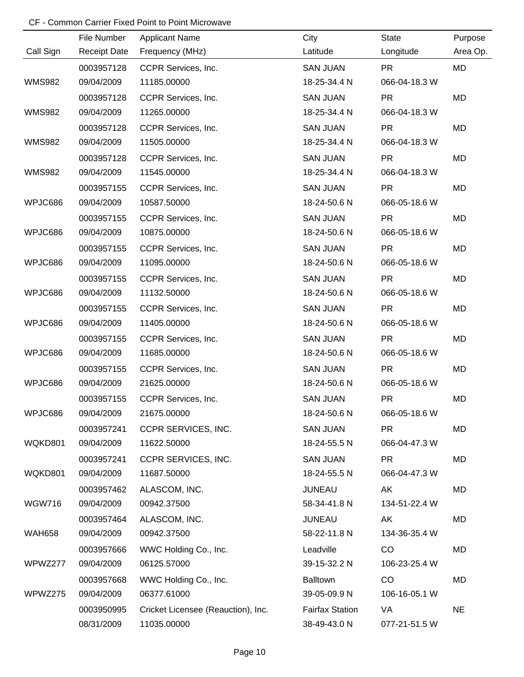|               | File Number         | <b>Applicant Name</b>              | City                   | <b>State</b>  | Purpose   |
|---------------|---------------------|------------------------------------|------------------------|---------------|-----------|
| Call Sign     | <b>Receipt Date</b> | Frequency (MHz)                    | Latitude               | Longitude     | Area Op.  |
|               | 0003957128          | CCPR Services, Inc.                | <b>SAN JUAN</b>        | <b>PR</b>     | MD        |
| <b>WMS982</b> | 09/04/2009          | 11185.00000                        | 18-25-34.4 N           | 066-04-18.3 W |           |
|               | 0003957128          | CCPR Services, Inc.                | <b>SAN JUAN</b>        | <b>PR</b>     | MD        |
| <b>WMS982</b> | 09/04/2009          | 11265.00000                        | 18-25-34.4 N           | 066-04-18.3 W |           |
|               | 0003957128          | CCPR Services, Inc.                | <b>SAN JUAN</b>        | <b>PR</b>     | MD        |
| <b>WMS982</b> | 09/04/2009          | 11505.00000                        | 18-25-34.4 N           | 066-04-18.3 W |           |
|               | 0003957128          | CCPR Services, Inc.                | <b>SAN JUAN</b>        | <b>PR</b>     | MD        |
| <b>WMS982</b> | 09/04/2009          | 11545.00000                        | 18-25-34.4 N           | 066-04-18.3 W |           |
|               | 0003957155          | CCPR Services, Inc.                | <b>SAN JUAN</b>        | <b>PR</b>     | MD        |
| WPJC686       | 09/04/2009          | 10587.50000                        | 18-24-50.6 N           | 066-05-18.6 W |           |
|               | 0003957155          | CCPR Services, Inc.                | <b>SAN JUAN</b>        | <b>PR</b>     | MD        |
| WPJC686       | 09/04/2009          | 10875.00000                        | 18-24-50.6 N           | 066-05-18.6 W |           |
|               | 0003957155          | CCPR Services, Inc.                | <b>SAN JUAN</b>        | <b>PR</b>     | MD        |
| WPJC686       | 09/04/2009          | 11095.00000                        | 18-24-50.6 N           | 066-05-18.6 W |           |
|               | 0003957155          | CCPR Services, Inc.                | <b>SAN JUAN</b>        | <b>PR</b>     | MD        |
| WPJC686       | 09/04/2009          | 11132.50000                        | 18-24-50.6 N           | 066-05-18.6 W |           |
|               | 0003957155          | CCPR Services, Inc.                | <b>SAN JUAN</b>        | <b>PR</b>     | MD        |
| WPJC686       | 09/04/2009          | 11405.00000                        | 18-24-50.6 N           | 066-05-18.6 W |           |
|               | 0003957155          | CCPR Services, Inc.                | <b>SAN JUAN</b>        | <b>PR</b>     | MD        |
| WPJC686       | 09/04/2009          | 11685.00000                        | 18-24-50.6 N           | 066-05-18.6 W |           |
|               | 0003957155          | CCPR Services, Inc.                | <b>SAN JUAN</b>        | <b>PR</b>     | MD        |
| WPJC686       | 09/04/2009          | 21625.00000                        | 18-24-50.6 N           | 066-05-18.6 W |           |
|               | 0003957155          | CCPR Services, Inc.                | <b>SAN JUAN</b>        | <b>PR</b>     | MD        |
| WPJC686       | 09/04/2009          | 21675.00000                        | 18-24-50.6 N           | 066-05-18.6 W |           |
|               | 0003957241          | CCPR SERVICES, INC.                | <b>SAN JUAN</b>        | <b>PR</b>     | MD        |
| WQKD801       | 09/04/2009          | 11622.50000                        | 18-24-55.5 N           | 066-04-47.3 W |           |
|               | 0003957241          | CCPR SERVICES, INC.                | <b>SAN JUAN</b>        | <b>PR</b>     | MD        |
| WQKD801       | 09/04/2009          | 11687.50000                        | 18-24-55.5 N           | 066-04-47.3 W |           |
|               | 0003957462          | ALASCOM, INC.                      | <b>JUNEAU</b>          | AK            | MD        |
| <b>WGW716</b> | 09/04/2009          | 00942.37500                        | 58-34-41.8 N           | 134-51-22.4 W |           |
|               | 0003957464          | ALASCOM, INC.                      | <b>JUNEAU</b>          | AK            | MD        |
| <b>WAH658</b> | 09/04/2009          | 00942.37500                        | 58-22-11.8 N           | 134-36-35.4 W |           |
|               | 0003957666          | WWC Holding Co., Inc.              | Leadville              | CO            | MD        |
| WPWZ277       | 09/04/2009          | 06125.57000                        | 39-15-32.2 N           | 106-23-25.4 W |           |
|               | 0003957668          | WWC Holding Co., Inc.              | Balltown               | CO            | MD        |
| WPWZ275       | 09/04/2009          | 06377.61000                        | 39-05-09.9 N           | 106-16-05.1 W |           |
|               | 0003950995          | Cricket Licensee (Reauction), Inc. | <b>Fairfax Station</b> | VA            | <b>NE</b> |
|               | 08/31/2009          | 11035.00000                        | 38-49-43.0 N           | 077-21-51.5 W |           |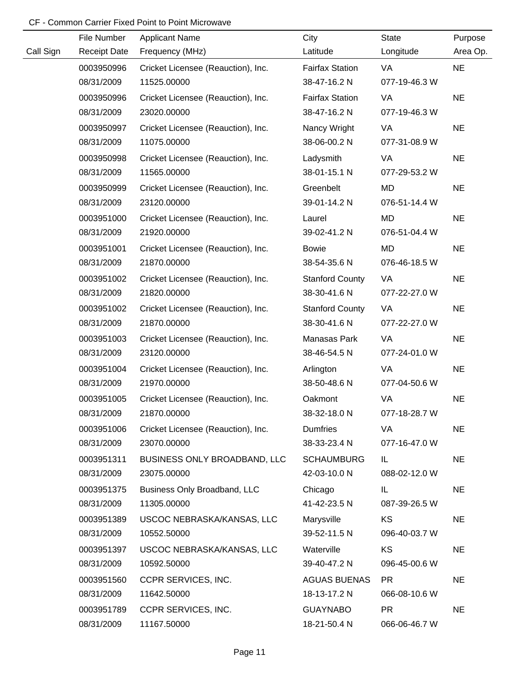|           | File Number         | <b>Applicant Name</b>              | City                   | <b>State</b>  | Purpose   |
|-----------|---------------------|------------------------------------|------------------------|---------------|-----------|
| Call Sign | <b>Receipt Date</b> | Frequency (MHz)                    | Latitude               | Longitude     | Area Op.  |
|           | 0003950996          | Cricket Licensee (Reauction), Inc. | <b>Fairfax Station</b> | VA            | <b>NE</b> |
|           | 08/31/2009          | 11525.00000                        | 38-47-16.2 N           | 077-19-46.3 W |           |
|           | 0003950996          | Cricket Licensee (Reauction), Inc. | <b>Fairfax Station</b> | VA            | <b>NE</b> |
|           | 08/31/2009          | 23020.00000                        | 38-47-16.2 N           | 077-19-46.3 W |           |
|           | 0003950997          | Cricket Licensee (Reauction), Inc. | Nancy Wright           | VA            | <b>NE</b> |
|           | 08/31/2009          | 11075.00000                        | 38-06-00.2 N           | 077-31-08.9 W |           |
|           | 0003950998          | Cricket Licensee (Reauction), Inc. | Ladysmith              | VA            | <b>NE</b> |
|           | 08/31/2009          | 11565.00000                        | 38-01-15.1 N           | 077-29-53.2 W |           |
|           | 0003950999          | Cricket Licensee (Reauction), Inc. | Greenbelt              | MD            | <b>NE</b> |
|           | 08/31/2009          | 23120.00000                        | 39-01-14.2 N           | 076-51-14.4 W |           |
|           | 0003951000          | Cricket Licensee (Reauction), Inc. | Laurel                 | MD            | <b>NE</b> |
|           | 08/31/2009          | 21920.00000                        | 39-02-41.2 N           | 076-51-04.4 W |           |
|           | 0003951001          | Cricket Licensee (Reauction), Inc. | <b>Bowie</b>           | <b>MD</b>     | <b>NE</b> |
|           | 08/31/2009          | 21870.00000                        | 38-54-35.6 N           | 076-46-18.5 W |           |
|           | 0003951002          | Cricket Licensee (Reauction), Inc. | <b>Stanford County</b> | VA            | <b>NE</b> |
|           | 08/31/2009          | 21820.00000                        | 38-30-41.6 N           | 077-22-27.0 W |           |
|           | 0003951002          | Cricket Licensee (Reauction), Inc. | <b>Stanford County</b> | VA            | <b>NE</b> |
|           | 08/31/2009          | 21870.00000                        | 38-30-41.6 N           | 077-22-27.0 W |           |
|           | 0003951003          | Cricket Licensee (Reauction), Inc. | Manasas Park           | VA            | <b>NE</b> |
|           | 08/31/2009          | 23120.00000                        | 38-46-54.5 N           | 077-24-01.0 W |           |
|           | 0003951004          | Cricket Licensee (Reauction), Inc. | Arlington              | VA            | <b>NE</b> |
|           | 08/31/2009          | 21970.00000                        | 38-50-48.6 N           | 077-04-50.6 W |           |
|           | 0003951005          | Cricket Licensee (Reauction), Inc. | Oakmont                | VA            | <b>NE</b> |
|           | 08/31/2009          | 21870.00000                        | 38-32-18.0 N           | 077-18-28.7 W |           |
|           | 0003951006          | Cricket Licensee (Reauction), Inc. | <b>Dumfries</b>        | VA            | <b>NE</b> |
|           | 08/31/2009          | 23070.00000                        | 38-33-23.4 N           | 077-16-47.0 W |           |
|           | 0003951311          | BUSINESS ONLY BROADBAND, LLC       | <b>SCHAUMBURG</b>      | IL.           | <b>NE</b> |
|           | 08/31/2009          | 23075.00000                        | 42-03-10.0 N           | 088-02-12.0 W |           |
|           | 0003951375          | Business Only Broadband, LLC       | Chicago                | IL            | <b>NE</b> |
|           | 08/31/2009          | 11305.00000                        | 41-42-23.5 N           | 087-39-26.5 W |           |
|           | 0003951389          | USCOC NEBRASKA/KANSAS, LLC         | Marysville             | KS            | <b>NE</b> |
|           | 08/31/2009          | 10552.50000                        | 39-52-11.5 N           | 096-40-03.7 W |           |
|           | 0003951397          | USCOC NEBRASKA/KANSAS, LLC         | Waterville             | KS            | <b>NE</b> |
|           | 08/31/2009          | 10592.50000                        | 39-40-47.2 N           | 096-45-00.6 W |           |
|           | 0003951560          | CCPR SERVICES, INC.                | <b>AGUAS BUENAS</b>    | <b>PR</b>     | <b>NE</b> |
|           | 08/31/2009          | 11642.50000                        | 18-13-17.2 N           | 066-08-10.6 W |           |
|           | 0003951789          | CCPR SERVICES, INC.                | <b>GUAYNABO</b>        | <b>PR</b>     | <b>NE</b> |
|           | 08/31/2009          | 11167.50000                        | 18-21-50.4 N           | 066-06-46.7 W |           |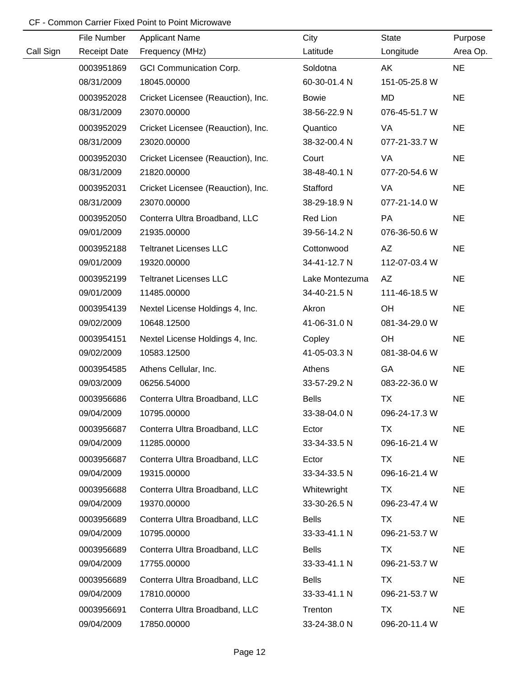|           | File Number         | <b>Applicant Name</b>              | City           | <b>State</b>  | Purpose   |
|-----------|---------------------|------------------------------------|----------------|---------------|-----------|
| Call Sign | <b>Receipt Date</b> | Frequency (MHz)                    | Latitude       | Longitude     | Area Op.  |
|           | 0003951869          | <b>GCI Communication Corp.</b>     | Soldotna       | AK            | <b>NE</b> |
|           | 08/31/2009          | 18045.00000                        | 60-30-01.4 N   | 151-05-25.8 W |           |
|           | 0003952028          | Cricket Licensee (Reauction), Inc. | <b>Bowie</b>   | <b>MD</b>     | <b>NE</b> |
|           | 08/31/2009          | 23070.00000                        | 38-56-22.9 N   | 076-45-51.7 W |           |
|           | 0003952029          | Cricket Licensee (Reauction), Inc. | Quantico       | VA            | <b>NE</b> |
|           | 08/31/2009          | 23020.00000                        | 38-32-00.4 N   | 077-21-33.7 W |           |
|           | 0003952030          | Cricket Licensee (Reauction), Inc. | Court          | VA            | <b>NE</b> |
|           | 08/31/2009          | 21820.00000                        | 38-48-40.1 N   | 077-20-54.6 W |           |
|           | 0003952031          | Cricket Licensee (Reauction), Inc. | Stafford       | VA            | <b>NE</b> |
|           | 08/31/2009          | 23070.00000                        | 38-29-18.9 N   | 077-21-14.0 W |           |
|           | 0003952050          | Conterra Ultra Broadband, LLC      | Red Lion       | PA            | <b>NE</b> |
|           | 09/01/2009          | 21935.00000                        | 39-56-14.2 N   | 076-36-50.6 W |           |
|           | 0003952188          | <b>Teltranet Licenses LLC</b>      | Cottonwood     | AZ            | <b>NE</b> |
|           | 09/01/2009          | 19320.00000                        | 34-41-12.7 N   | 112-07-03.4 W |           |
|           | 0003952199          | <b>Teltranet Licenses LLC</b>      | Lake Montezuma | <b>AZ</b>     | <b>NE</b> |
|           | 09/01/2009          | 11485.00000                        | 34-40-21.5 N   | 111-46-18.5 W |           |
|           | 0003954139          | Nextel License Holdings 4, Inc.    | Akron          | OH            | <b>NE</b> |
|           | 09/02/2009          | 10648.12500                        | 41-06-31.0 N   | 081-34-29.0 W |           |
|           | 0003954151          | Nextel License Holdings 4, Inc.    | Copley         | OH            | <b>NE</b> |
|           | 09/02/2009          | 10583.12500                        | 41-05-03.3 N   | 081-38-04.6 W |           |
|           | 0003954585          | Athens Cellular, Inc.              | Athens         | GA            | <b>NE</b> |
|           | 09/03/2009          | 06256.54000                        | 33-57-29.2 N   | 083-22-36.0 W |           |
|           | 0003956686          | Conterra Ultra Broadband, LLC      | <b>Bells</b>   | <b>TX</b>     | <b>NE</b> |
|           | 09/04/2009          | 10795.00000                        | 33-38-04.0 N   | 096-24-17.3 W |           |
|           | 0003956687          | Conterra Ultra Broadband, LLC      | Ector          | TX            | <b>NE</b> |
|           | 09/04/2009          | 11285.00000                        | 33-34-33.5 N   | 096-16-21.4 W |           |
|           | 0003956687          | Conterra Ultra Broadband, LLC      | Ector          | <b>TX</b>     | <b>NE</b> |
|           | 09/04/2009          | 19315.00000                        | 33-34-33.5 N   | 096-16-21.4 W |           |
|           | 0003956688          | Conterra Ultra Broadband, LLC      | Whitewright    | TX            | <b>NE</b> |
|           | 09/04/2009          | 19370.00000                        | 33-30-26.5 N   | 096-23-47.4 W |           |
|           | 0003956689          | Conterra Ultra Broadband, LLC      | <b>Bells</b>   | TX            | <b>NE</b> |
|           | 09/04/2009          | 10795.00000                        | 33-33-41.1 N   | 096-21-53.7 W |           |
|           | 0003956689          | Conterra Ultra Broadband, LLC      | <b>Bells</b>   | TX            | <b>NE</b> |
|           | 09/04/2009          | 17755.00000                        | 33-33-41.1 N   | 096-21-53.7 W |           |
|           | 0003956689          | Conterra Ultra Broadband, LLC      | <b>Bells</b>   | <b>TX</b>     | <b>NE</b> |
|           | 09/04/2009          | 17810.00000                        | 33-33-41.1 N   | 096-21-53.7 W |           |
|           | 0003956691          | Conterra Ultra Broadband, LLC      | Trenton        | TX            | <b>NE</b> |
|           | 09/04/2009          | 17850.00000                        | 33-24-38.0 N   | 096-20-11.4 W |           |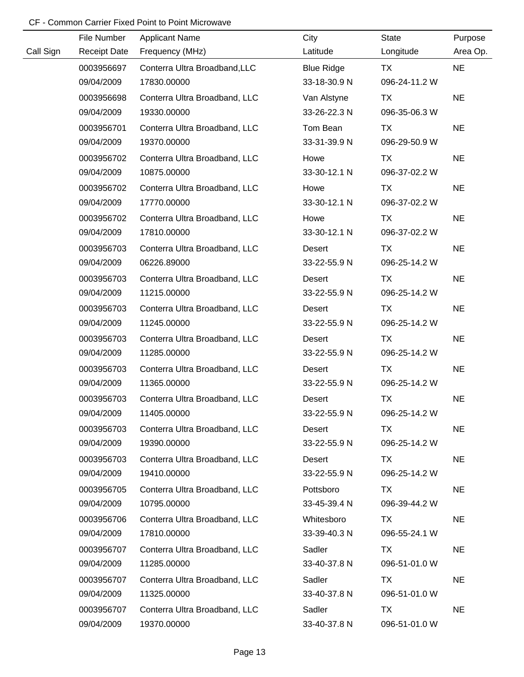|           | File Number         | <b>Applicant Name</b>         | City              | <b>State</b>  | Purpose   |
|-----------|---------------------|-------------------------------|-------------------|---------------|-----------|
| Call Sign | <b>Receipt Date</b> | Frequency (MHz)               | Latitude          | Longitude     | Area Op.  |
|           | 0003956697          | Conterra Ultra Broadband, LLC | <b>Blue Ridge</b> | <b>TX</b>     | <b>NE</b> |
|           | 09/04/2009          | 17830.00000                   | 33-18-30.9 N      | 096-24-11.2 W |           |
|           | 0003956698          | Conterra Ultra Broadband, LLC | Van Alstyne       | <b>TX</b>     | <b>NE</b> |
|           | 09/04/2009          | 19330.00000                   | 33-26-22.3 N      | 096-35-06.3 W |           |
|           | 0003956701          | Conterra Ultra Broadband, LLC | Tom Bean          | <b>TX</b>     | <b>NE</b> |
|           | 09/04/2009          | 19370.00000                   | 33-31-39.9 N      | 096-29-50.9 W |           |
|           | 0003956702          | Conterra Ultra Broadband, LLC | Howe              | <b>TX</b>     | <b>NE</b> |
|           | 09/04/2009          | 10875.00000                   | 33-30-12.1 N      | 096-37-02.2 W |           |
|           | 0003956702          | Conterra Ultra Broadband, LLC | Howe              | TX            | <b>NE</b> |
|           | 09/04/2009          | 17770.00000                   | 33-30-12.1 N      | 096-37-02.2 W |           |
|           | 0003956702          | Conterra Ultra Broadband, LLC | Howe              | <b>TX</b>     | <b>NE</b> |
|           | 09/04/2009          | 17810.00000                   | 33-30-12.1 N      | 096-37-02.2 W |           |
|           | 0003956703          | Conterra Ultra Broadband, LLC | Desert            | TX            | <b>NE</b> |
|           | 09/04/2009          | 06226.89000                   | 33-22-55.9 N      | 096-25-14.2 W |           |
|           | 0003956703          | Conterra Ultra Broadband, LLC | Desert            | TX            | <b>NE</b> |
|           | 09/04/2009          | 11215.00000                   | 33-22-55.9 N      | 096-25-14.2 W |           |
|           | 0003956703          | Conterra Ultra Broadband, LLC | Desert            | <b>TX</b>     | <b>NE</b> |
|           | 09/04/2009          | 11245.00000                   | 33-22-55.9 N      | 096-25-14.2 W |           |
|           | 0003956703          | Conterra Ultra Broadband, LLC | Desert            | <b>TX</b>     | <b>NE</b> |
|           | 09/04/2009          | 11285.00000                   | 33-22-55.9 N      | 096-25-14.2 W |           |
|           | 0003956703          | Conterra Ultra Broadband, LLC | Desert            | <b>TX</b>     | <b>NE</b> |
|           | 09/04/2009          | 11365.00000                   | 33-22-55.9 N      | 096-25-14.2 W |           |
|           | 0003956703          | Conterra Ultra Broadband, LLC | Desert            | <b>TX</b>     | <b>NE</b> |
|           | 09/04/2009          | 11405.00000                   | 33-22-55.9 N      | 096-25-14.2 W |           |
|           | 0003956703          | Conterra Ultra Broadband, LLC | Desert            | TX            | <b>NE</b> |
|           | 09/04/2009          | 19390.00000                   | 33-22-55.9 N      | 096-25-14.2 W |           |
|           | 0003956703          | Conterra Ultra Broadband, LLC | Desert            | TX            | <b>NE</b> |
|           | 09/04/2009          | 19410.00000                   | 33-22-55.9 N      | 096-25-14.2 W |           |
|           | 0003956705          | Conterra Ultra Broadband, LLC | Pottsboro         | TX            | <b>NE</b> |
|           | 09/04/2009          | 10795.00000                   | 33-45-39.4 N      | 096-39-44.2 W |           |
|           | 0003956706          | Conterra Ultra Broadband, LLC | Whitesboro        | TX            | <b>NE</b> |
|           | 09/04/2009          | 17810.00000                   | 33-39-40.3 N      | 096-55-24.1 W |           |
|           | 0003956707          | Conterra Ultra Broadband, LLC | Sadler            | TX            | <b>NE</b> |
|           | 09/04/2009          | 11285.00000                   | 33-40-37.8 N      | 096-51-01.0 W |           |
|           | 0003956707          | Conterra Ultra Broadband, LLC | Sadler            | TX            | <b>NE</b> |
|           | 09/04/2009          | 11325.00000                   | 33-40-37.8 N      | 096-51-01.0 W |           |
|           | 0003956707          | Conterra Ultra Broadband, LLC | Sadler            | TX            | <b>NE</b> |
|           | 09/04/2009          | 19370.00000                   | 33-40-37.8 N      | 096-51-01.0 W |           |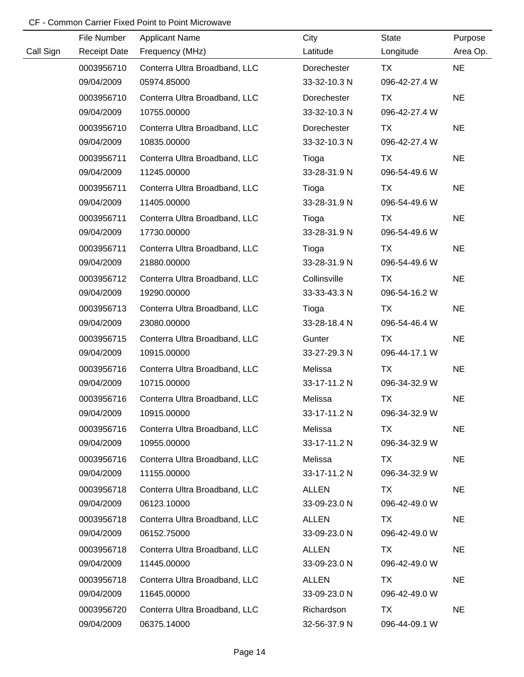|           | File Number         | <b>Applicant Name</b>         | City         | <b>State</b>  | Purpose   |
|-----------|---------------------|-------------------------------|--------------|---------------|-----------|
| Call Sign | <b>Receipt Date</b> | Frequency (MHz)               | Latitude     | Longitude     | Area Op.  |
|           | 0003956710          | Conterra Ultra Broadband, LLC | Dorechester  | <b>TX</b>     | <b>NE</b> |
|           | 09/04/2009          | 05974.85000                   | 33-32-10.3 N | 096-42-27.4 W |           |
|           | 0003956710          | Conterra Ultra Broadband, LLC | Dorechester  | <b>TX</b>     | <b>NE</b> |
|           | 09/04/2009          | 10755.00000                   | 33-32-10.3 N | 096-42-27.4 W |           |
|           | 0003956710          | Conterra Ultra Broadband, LLC | Dorechester  | <b>TX</b>     | <b>NE</b> |
|           | 09/04/2009          | 10835.00000                   | 33-32-10.3 N | 096-42-27.4 W |           |
|           | 0003956711          | Conterra Ultra Broadband, LLC | Tioga        | <b>TX</b>     | <b>NE</b> |
|           | 09/04/2009          | 11245.00000                   | 33-28-31.9 N | 096-54-49.6 W |           |
|           | 0003956711          | Conterra Ultra Broadband, LLC | Tioga        | TX            | <b>NE</b> |
|           | 09/04/2009          | 11405.00000                   | 33-28-31.9 N | 096-54-49.6 W |           |
|           | 0003956711          | Conterra Ultra Broadband, LLC | Tioga        | <b>TX</b>     | <b>NE</b> |
|           | 09/04/2009          | 17730.00000                   | 33-28-31.9 N | 096-54-49.6 W |           |
|           | 0003956711          | Conterra Ultra Broadband, LLC | Tioga        | TX            | <b>NE</b> |
|           | 09/04/2009          | 21880.00000                   | 33-28-31.9 N | 096-54-49.6 W |           |
|           | 0003956712          | Conterra Ultra Broadband, LLC | Collinsville | TX            | <b>NE</b> |
|           | 09/04/2009          | 19290.00000                   | 33-33-43.3 N | 096-54-16.2 W |           |
|           | 0003956713          | Conterra Ultra Broadband, LLC | Tioga        | TX            | <b>NE</b> |
|           | 09/04/2009          | 23080.00000                   | 33-28-18.4 N | 096-54-46.4 W |           |
|           | 0003956715          | Conterra Ultra Broadband, LLC | Gunter       | <b>TX</b>     | <b>NE</b> |
|           | 09/04/2009          | 10915.00000                   | 33-27-29.3 N | 096-44-17.1 W |           |
|           | 0003956716          | Conterra Ultra Broadband, LLC | Melissa      | <b>TX</b>     | <b>NE</b> |
|           | 09/04/2009          | 10715.00000                   | 33-17-11.2 N | 096-34-32.9 W |           |
|           | 0003956716          | Conterra Ultra Broadband, LLC | Melissa      | <b>TX</b>     | <b>NE</b> |
|           | 09/04/2009          | 10915.00000                   | 33-17-11.2 N | 096-34-32.9 W |           |
|           | 0003956716          | Conterra Ultra Broadband, LLC | Melissa      | TX            | <b>NE</b> |
|           | 09/04/2009          | 10955.00000                   | 33-17-11.2 N | 096-34-32.9 W |           |
|           | 0003956716          | Conterra Ultra Broadband, LLC | Melissa      | <b>TX</b>     | <b>NE</b> |
|           | 09/04/2009          | 11155.00000                   | 33-17-11.2 N | 096-34-32.9 W |           |
|           | 0003956718          | Conterra Ultra Broadband, LLC | <b>ALLEN</b> | TX            | <b>NE</b> |
|           | 09/04/2009          | 06123.10000                   | 33-09-23.0 N | 096-42-49.0 W |           |
|           | 0003956718          | Conterra Ultra Broadband, LLC | <b>ALLEN</b> | TX            | <b>NE</b> |
|           | 09/04/2009          | 06152.75000                   | 33-09-23.0 N | 096-42-49.0 W |           |
|           | 0003956718          | Conterra Ultra Broadband, LLC | <b>ALLEN</b> | TX            | <b>NE</b> |
|           | 09/04/2009          | 11445.00000                   | 33-09-23.0 N | 096-42-49.0 W |           |
|           | 0003956718          | Conterra Ultra Broadband, LLC | <b>ALLEN</b> | TX            | <b>NE</b> |
|           | 09/04/2009          | 11645.00000                   | 33-09-23.0 N | 096-42-49.0 W |           |
|           | 0003956720          | Conterra Ultra Broadband, LLC | Richardson   | TX            | <b>NE</b> |
|           | 09/04/2009          | 06375.14000                   | 32-56-37.9 N | 096-44-09.1 W |           |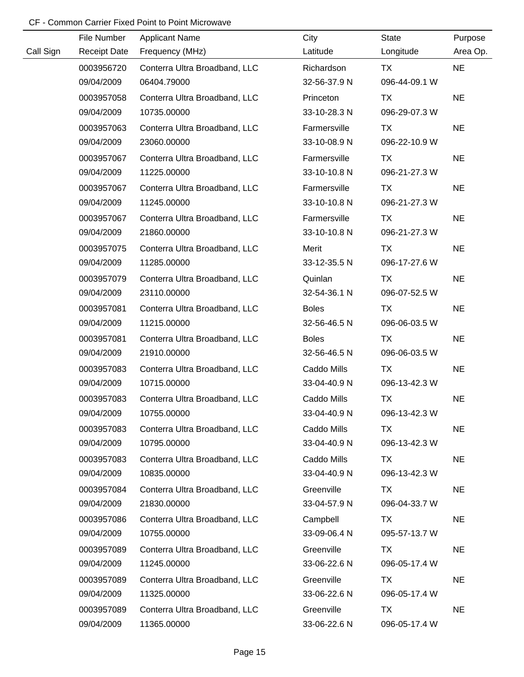|           | File Number         | <b>Applicant Name</b>         | City         | <b>State</b>  | Purpose   |
|-----------|---------------------|-------------------------------|--------------|---------------|-----------|
| Call Sign | <b>Receipt Date</b> | Frequency (MHz)               | Latitude     | Longitude     | Area Op.  |
|           | 0003956720          | Conterra Ultra Broadband, LLC | Richardson   | <b>TX</b>     | <b>NE</b> |
|           | 09/04/2009          | 06404.79000                   | 32-56-37.9 N | 096-44-09.1 W |           |
|           | 0003957058          | Conterra Ultra Broadband, LLC | Princeton    | <b>TX</b>     | <b>NE</b> |
|           | 09/04/2009          | 10735.00000                   | 33-10-28.3 N | 096-29-07.3 W |           |
|           | 0003957063          | Conterra Ultra Broadband, LLC | Farmersville | TX            | <b>NE</b> |
|           | 09/04/2009          | 23060.00000                   | 33-10-08.9 N | 096-22-10.9 W |           |
|           | 0003957067          | Conterra Ultra Broadband, LLC | Farmersville | <b>TX</b>     | <b>NE</b> |
|           | 09/04/2009          | 11225.00000                   | 33-10-10.8 N | 096-21-27.3 W |           |
|           | 0003957067          | Conterra Ultra Broadband, LLC | Farmersville | TX            | <b>NE</b> |
|           | 09/04/2009          | 11245.00000                   | 33-10-10.8 N | 096-21-27.3 W |           |
|           | 0003957067          | Conterra Ultra Broadband, LLC | Farmersville | <b>TX</b>     | <b>NE</b> |
|           | 09/04/2009          | 21860.00000                   | 33-10-10.8 N | 096-21-27.3 W |           |
|           | 0003957075          | Conterra Ultra Broadband, LLC | Merit        | TX            | <b>NE</b> |
|           | 09/04/2009          | 11285.00000                   | 33-12-35.5 N | 096-17-27.6 W |           |
|           | 0003957079          | Conterra Ultra Broadband, LLC | Quinlan      | TX            | <b>NE</b> |
|           | 09/04/2009          | 23110.00000                   | 32-54-36.1 N | 096-07-52.5 W |           |
|           | 0003957081          | Conterra Ultra Broadband, LLC | <b>Boles</b> | <b>TX</b>     | <b>NE</b> |
|           | 09/04/2009          | 11215.00000                   | 32-56-46.5 N | 096-06-03.5 W |           |
|           | 0003957081          | Conterra Ultra Broadband, LLC | <b>Boles</b> | <b>TX</b>     | <b>NE</b> |
|           | 09/04/2009          | 21910.00000                   | 32-56-46.5 N | 096-06-03.5 W |           |
|           | 0003957083          | Conterra Ultra Broadband, LLC | Caddo Mills  | <b>TX</b>     | <b>NE</b> |
|           | 09/04/2009          | 10715.00000                   | 33-04-40.9 N | 096-13-42.3 W |           |
|           | 0003957083          | Conterra Ultra Broadband, LLC | Caddo Mills  | <b>TX</b>     | <b>NE</b> |
|           | 09/04/2009          | 10755.00000                   | 33-04-40.9 N | 096-13-42.3 W |           |
|           | 0003957083          | Conterra Ultra Broadband, LLC | Caddo Mills  | TX            | <b>NE</b> |
|           | 09/04/2009          | 10795.00000                   | 33-04-40.9 N | 096-13-42.3 W |           |
|           | 0003957083          | Conterra Ultra Broadband, LLC | Caddo Mills  | <b>TX</b>     | <b>NE</b> |
|           | 09/04/2009          | 10835.00000                   | 33-04-40.9 N | 096-13-42.3 W |           |
|           | 0003957084          | Conterra Ultra Broadband, LLC | Greenville   | TX            | <b>NE</b> |
|           | 09/04/2009          | 21830.00000                   | 33-04-57.9 N | 096-04-33.7 W |           |
|           | 0003957086          | Conterra Ultra Broadband, LLC | Campbell     | TX            | <b>NE</b> |
|           | 09/04/2009          | 10755.00000                   | 33-09-06.4 N | 095-57-13.7 W |           |
|           | 0003957089          | Conterra Ultra Broadband, LLC | Greenville   | TX            | <b>NE</b> |
|           | 09/04/2009          | 11245.00000                   | 33-06-22.6 N | 096-05-17.4 W |           |
|           | 0003957089          | Conterra Ultra Broadband, LLC | Greenville   | <b>TX</b>     | <b>NE</b> |
|           | 09/04/2009          | 11325.00000                   | 33-06-22.6 N | 096-05-17.4 W |           |
|           | 0003957089          | Conterra Ultra Broadband, LLC | Greenville   | <b>TX</b>     | <b>NE</b> |
|           | 09/04/2009          | 11365.00000                   | 33-06-22.6 N | 096-05-17.4 W |           |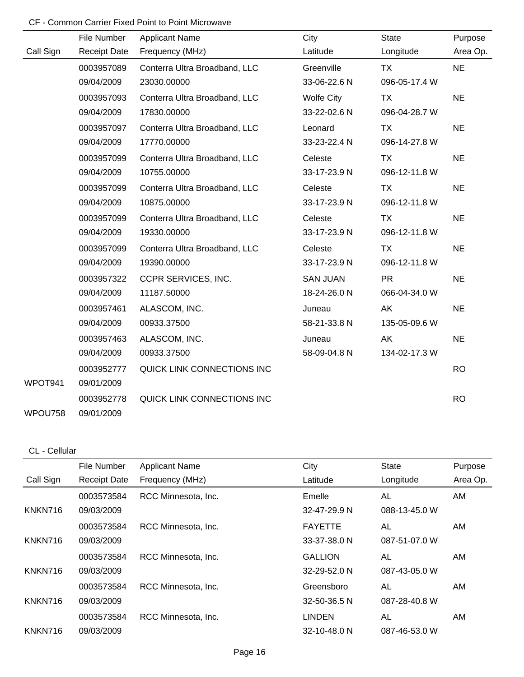|           | File Number         | <b>Applicant Name</b>         | City              | <b>State</b>  | Purpose   |
|-----------|---------------------|-------------------------------|-------------------|---------------|-----------|
| Call Sign | <b>Receipt Date</b> | Frequency (MHz)               | Latitude          | Longitude     | Area Op.  |
|           | 0003957089          | Conterra Ultra Broadband, LLC | Greenville        | <b>TX</b>     | <b>NE</b> |
|           | 09/04/2009          | 23030.00000                   | 33-06-22.6 N      | 096-05-17.4 W |           |
|           | 0003957093          | Conterra Ultra Broadband, LLC | <b>Wolfe City</b> | <b>TX</b>     | <b>NE</b> |
|           | 09/04/2009          | 17830.00000                   | 33-22-02.6 N      | 096-04-28.7 W |           |
|           | 0003957097          | Conterra Ultra Broadband, LLC | Leonard           | TX            | <b>NE</b> |
|           | 09/04/2009          | 17770.00000                   | 33-23-22.4 N      | 096-14-27.8 W |           |
|           | 0003957099          | Conterra Ultra Broadband, LLC | Celeste           | <b>TX</b>     | <b>NE</b> |
|           | 09/04/2009          | 10755.00000                   | 33-17-23.9 N      | 096-12-11.8 W |           |
|           | 0003957099          | Conterra Ultra Broadband, LLC | Celeste           | <b>TX</b>     | <b>NE</b> |
|           | 09/04/2009          | 10875.00000                   | 33-17-23.9 N      | 096-12-11.8 W |           |
|           | 0003957099          | Conterra Ultra Broadband, LLC | Celeste           | <b>TX</b>     | <b>NE</b> |
|           | 09/04/2009          | 19330.00000                   | 33-17-23.9 N      | 096-12-11.8 W |           |
|           | 0003957099          | Conterra Ultra Broadband, LLC | Celeste           | <b>TX</b>     | <b>NE</b> |
|           | 09/04/2009          | 19390.00000                   | 33-17-23.9 N      | 096-12-11.8 W |           |
|           | 0003957322          | CCPR SERVICES, INC.           | <b>SAN JUAN</b>   | <b>PR</b>     | <b>NE</b> |
|           | 09/04/2009          | 11187.50000                   | 18-24-26.0 N      | 066-04-34.0 W |           |
|           | 0003957461          | ALASCOM, INC.                 | Juneau            | AK            | <b>NE</b> |
|           | 09/04/2009          | 00933.37500                   | 58-21-33.8 N      | 135-05-09.6 W |           |
|           | 0003957463          | ALASCOM, INC.                 | Juneau            | AK            | <b>NE</b> |
|           | 09/04/2009          | 00933.37500                   | 58-09-04.8 N      | 134-02-17.3 W |           |
|           | 0003952777          | QUICK LINK CONNECTIONS INC    |                   |               | <b>RO</b> |
| WPOT941   | 09/01/2009          |                               |                   |               |           |
|           | 0003952778          | QUICK LINK CONNECTIONS INC    |                   |               | <b>RO</b> |
| WPOU758   | 09/01/2009          |                               |                   |               |           |

#### CL - Cellular

|           | File Number         | <b>Applicant Name</b> | City           | <b>State</b>  | Purpose  |
|-----------|---------------------|-----------------------|----------------|---------------|----------|
| Call Sign | <b>Receipt Date</b> | Frequency (MHz)       | Latitude       | Longitude     | Area Op. |
|           | 0003573584          | RCC Minnesota, Inc.   | Emelle         | AL            | AM       |
| KNKN716   | 09/03/2009          |                       | 32-47-29.9 N   | 088-13-45.0 W |          |
|           | 0003573584          | RCC Minnesota, Inc.   | <b>FAYETTE</b> | AL            | AM       |
| KNKN716   | 09/03/2009          |                       | $33-37-38.0 N$ | 087-51-07.0 W |          |
|           | 0003573584          | RCC Minnesota, Inc.   | <b>GALLION</b> | AL            | AM       |
| KNKN716   | 09/03/2009          |                       | 32-29-52.0 N   | 087-43-05.0 W |          |
|           | 0003573584          | RCC Minnesota, Inc.   | Greensboro     | AL            | AM       |
| KNKN716   | 09/03/2009          |                       | 32-50-36.5 N   | 087-28-40.8 W |          |
|           | 0003573584          | RCC Minnesota, Inc.   | LINDEN         | AL            | AM       |
| KNKN716   | 09/03/2009          |                       | 32-10-48.0 N   | 087-46-53.0 W |          |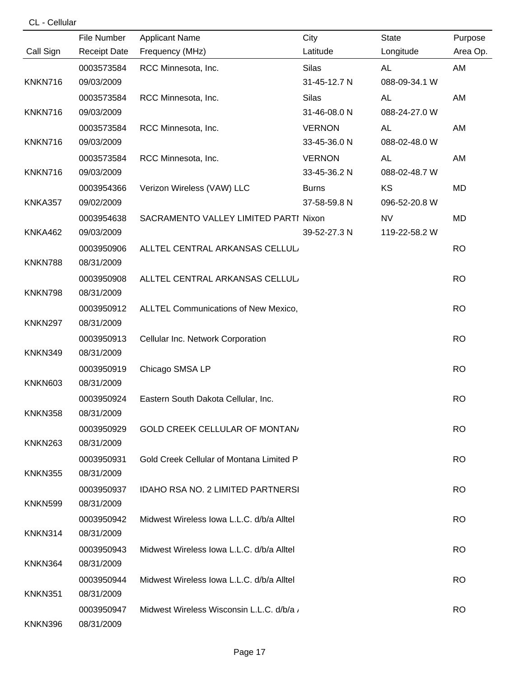|                     | File Number              | <b>Applicant Name</b>                     | City          | <b>State</b>  | Purpose   |
|---------------------|--------------------------|-------------------------------------------|---------------|---------------|-----------|
| Call Sign           | <b>Receipt Date</b>      | Frequency (MHz)                           | Latitude      | Longitude     | Area Op.  |
|                     | 0003573584               | RCC Minnesota, Inc.                       | <b>Silas</b>  | <b>AL</b>     | AM        |
| KNKN716             | 09/03/2009               |                                           | 31-45-12.7 N  | 088-09-34.1 W |           |
|                     | 0003573584               | RCC Minnesota, Inc.                       | <b>Silas</b>  | <b>AL</b>     | AM        |
| KNKN716             | 09/03/2009               |                                           | 31-46-08.0 N  | 088-24-27.0 W |           |
|                     | 0003573584               | RCC Minnesota, Inc.                       | <b>VERNON</b> | <b>AL</b>     | AM        |
| KNKN716             | 09/03/2009               |                                           | 33-45-36.0 N  | 088-02-48.0 W |           |
|                     | 0003573584               | RCC Minnesota, Inc.                       | <b>VERNON</b> | <b>AL</b>     | AM        |
| KNKN716             | 09/03/2009               |                                           | 33-45-36.2 N  | 088-02-48.7 W |           |
|                     | 0003954366               | Verizon Wireless (VAW) LLC                | <b>Burns</b>  | KS            | MD        |
| <b>KNKA357</b>      | 09/02/2009               |                                           | 37-58-59.8 N  | 096-52-20.8 W |           |
|                     | 0003954638               | SACRAMENTO VALLEY LIMITED PARTI Nixon     |               | <b>NV</b>     | <b>MD</b> |
| <b>KNKA462</b>      | 09/03/2009               |                                           | 39-52-27.3 N  | 119-22-58.2 W |           |
|                     | 0003950906               | ALLTEL CENTRAL ARKANSAS CELLUL.           |               |               | <b>RO</b> |
| KNKN788             | 08/31/2009               |                                           |               |               |           |
|                     | 0003950908               | ALLTEL CENTRAL ARKANSAS CELLUL.           |               |               | <b>RO</b> |
| KNKN798             | 08/31/2009               |                                           |               |               |           |
|                     | 0003950912               | ALLTEL Communications of New Mexico,      |               |               | <b>RO</b> |
| <b>KNKN297</b>      | 08/31/2009               |                                           |               |               |           |
|                     | 0003950913               | Cellular Inc. Network Corporation         |               |               | <b>RO</b> |
| KNKN349             | 08/31/2009               |                                           |               |               |           |
|                     | 0003950919               | Chicago SMSA LP                           |               |               | <b>RO</b> |
| <b>KNKN603</b>      | 08/31/2009               |                                           |               |               |           |
| KNKN358             | 0003950924<br>08/31/2009 | Eastern South Dakota Cellular, Inc.       |               |               | <b>RO</b> |
|                     |                          |                                           |               |               |           |
| KNKN <sub>263</sub> | 0003950929<br>08/31/2009 | <b>GOLD CREEK CELLULAR OF MONTAN/</b>     |               |               | <b>RO</b> |
|                     |                          | Gold Creek Cellular of Montana Limited P  |               |               | <b>RO</b> |
| <b>KNKN355</b>      | 0003950931<br>08/31/2009 |                                           |               |               |           |
|                     | 0003950937               | IDAHO RSA NO. 2 LIMITED PARTNERSI         |               |               | <b>RO</b> |
| <b>KNKN599</b>      | 08/31/2009               |                                           |               |               |           |
|                     | 0003950942               | Midwest Wireless Iowa L.L.C. d/b/a Alltel |               |               | <b>RO</b> |
| KNKN314             | 08/31/2009               |                                           |               |               |           |
|                     | 0003950943               | Midwest Wireless Iowa L.L.C. d/b/a Alltel |               |               | <b>RO</b> |
| KNKN364             | 08/31/2009               |                                           |               |               |           |
|                     | 0003950944               | Midwest Wireless Iowa L.L.C. d/b/a Alltel |               |               | <b>RO</b> |
| <b>KNKN351</b>      | 08/31/2009               |                                           |               |               |           |
|                     | 0003950947               | Midwest Wireless Wisconsin L.L.C. d/b/a   |               |               | <b>RO</b> |
| KNKN396             | 08/31/2009               |                                           |               |               |           |

CL - Cellular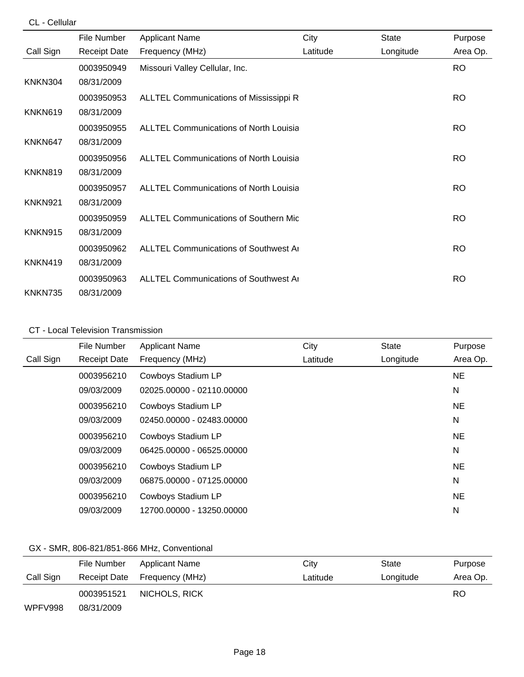|                | File Number         | <b>Applicant Name</b>                          | City     | <b>State</b> | Purpose   |
|----------------|---------------------|------------------------------------------------|----------|--------------|-----------|
| Call Sign      | <b>Receipt Date</b> | Frequency (MHz)                                | Latitude | Longitude    | Area Op.  |
|                | 0003950949          | Missouri Valley Cellular, Inc.                 |          |              | <b>RO</b> |
| KNKN304        | 08/31/2009          |                                                |          |              |           |
|                | 0003950953          | ALLTEL Communications of Mississippi R         |          |              | <b>RO</b> |
| KNKN619        | 08/31/2009          |                                                |          |              |           |
|                | 0003950955          | <b>ALLTEL Communications of North Louisia</b>  |          |              | <b>RO</b> |
| KNKN647        | 08/31/2009          |                                                |          |              |           |
|                | 0003950956          | ALLTEL Communications of North Louisia         |          |              | <b>RO</b> |
| <b>KNKN819</b> | 08/31/2009          |                                                |          |              |           |
|                | 0003950957          | <b>ALLTEL Communications of North Louisia</b>  |          |              | <b>RO</b> |
| <b>KNKN921</b> | 08/31/2009          |                                                |          |              |           |
|                | 0003950959          | <b>ALLTEL Communications of Southern Mic</b>   |          |              | <b>RO</b> |
| KNKN915        | 08/31/2009          |                                                |          |              |           |
|                | 0003950962          | <b>ALLTEL Communications of Southwest Area</b> |          |              | <b>RO</b> |
| KNKN419        | 08/31/2009          |                                                |          |              |           |
|                | 0003950963          | <b>ALLTEL Communications of Southwest Area</b> |          |              | <b>RO</b> |
| KNKN735        | 08/31/2009          |                                                |          |              |           |

#### CT - Local Television Transmission

|           | File Number         | <b>Applicant Name</b>     | City     | <b>State</b> | Purpose   |
|-----------|---------------------|---------------------------|----------|--------------|-----------|
| Call Sign | <b>Receipt Date</b> | Frequency (MHz)           | Latitude | Longitude    | Area Op.  |
|           | 0003956210          | Cowboys Stadium LP        |          |              | <b>NE</b> |
|           | 09/03/2009          | 02025.00000 - 02110.00000 |          |              | N         |
|           | 0003956210          | Cowboys Stadium LP        |          |              | NE.       |
|           | 09/03/2009          | 02450.00000 - 02483.00000 |          |              | N         |
|           | 0003956210          | Cowboys Stadium LP        |          |              | NE.       |
|           | 09/03/2009          | 06425.00000 - 06525.00000 |          |              | N         |
|           | 0003956210          | Cowboys Stadium LP        |          |              | <b>NE</b> |
|           | 09/03/2009          | 06875.00000 - 07125.00000 |          |              | N         |
|           | 0003956210          | Cowboys Stadium LP        |          |              | NE.       |
|           | 09/03/2009          | 12700.00000 - 13250.00000 |          |              | N         |

# GX - SMR, 806-821/851-866 MHz, Conventional

|           | File Number  | Applicant Name  | City     | State     | Purpose  |
|-----------|--------------|-----------------|----------|-----------|----------|
| Call Sign | Receipt Date | Frequency (MHz) | Latitude | Longitude | Area Op. |
|           | 0003951521   | NICHOLS, RICK   |          |           | RO       |
| WPFV998   | 08/31/2009   |                 |          |           |          |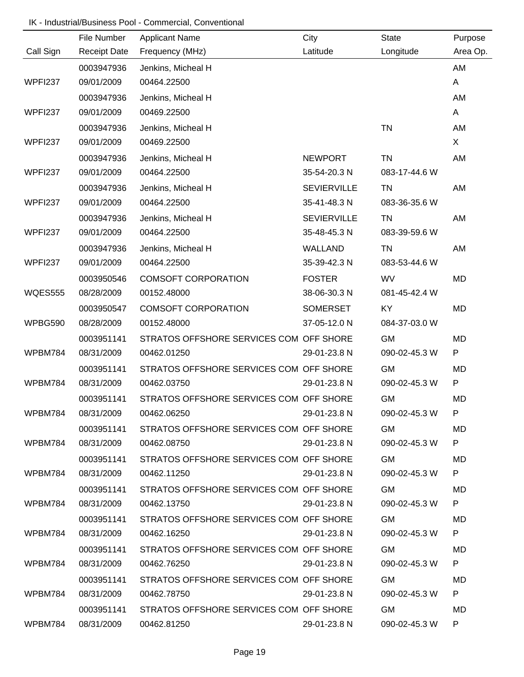|                | File Number         | <b>Applicant Name</b>                   | City               | <b>State</b>  | Purpose  |
|----------------|---------------------|-----------------------------------------|--------------------|---------------|----------|
| Call Sign      | <b>Receipt Date</b> | Frequency (MHz)                         | Latitude           | Longitude     | Area Op. |
|                | 0003947936          | Jenkins, Micheal H                      |                    |               | AM       |
| <b>WPFI237</b> | 09/01/2009          | 00464.22500                             |                    |               | A        |
|                | 0003947936          | Jenkins, Micheal H                      |                    |               | AM       |
| WPFI237        | 09/01/2009          | 00469.22500                             |                    |               | A        |
|                | 0003947936          | Jenkins, Micheal H                      |                    | <b>TN</b>     | AM       |
| <b>WPFI237</b> | 09/01/2009          | 00469.22500                             |                    |               | X        |
|                | 0003947936          | Jenkins, Micheal H                      | <b>NEWPORT</b>     | TN            | AM       |
| <b>WPFI237</b> | 09/01/2009          | 00464.22500                             | 35-54-20.3 N       | 083-17-44.6 W |          |
|                | 0003947936          | Jenkins, Micheal H                      | <b>SEVIERVILLE</b> | <b>TN</b>     | AM       |
| <b>WPFI237</b> | 09/01/2009          | 00464.22500                             | 35-41-48.3 N       | 083-36-35.6 W |          |
|                | 0003947936          | Jenkins, Micheal H                      | <b>SEVIERVILLE</b> | TN            | AM       |
| <b>WPFI237</b> | 09/01/2009          | 00464.22500                             | 35-48-45.3 N       | 083-39-59.6 W |          |
|                | 0003947936          | Jenkins, Micheal H                      | WALLAND            | TN            | AM       |
| <b>WPFI237</b> | 09/01/2009          | 00464.22500                             | 35-39-42.3 N       | 083-53-44.6 W |          |
|                | 0003950546          | <b>COMSOFT CORPORATION</b>              | <b>FOSTER</b>      | <b>WV</b>     | MD       |
| <b>WQES555</b> | 08/28/2009          | 00152.48000                             | 38-06-30.3 N       | 081-45-42.4 W |          |
|                | 0003950547          | <b>COMSOFT CORPORATION</b>              | <b>SOMERSET</b>    | <b>KY</b>     | MD       |
| WPBG590        | 08/28/2009          | 00152.48000                             | 37-05-12.0 N       | 084-37-03.0 W |          |
|                | 0003951141          | STRATOS OFFSHORE SERVICES COM OFF SHORE |                    | <b>GM</b>     | MD       |
| WPBM784        | 08/31/2009          | 00462.01250                             | 29-01-23.8 N       | 090-02-45.3 W | P        |
|                | 0003951141          | STRATOS OFFSHORE SERVICES COM OFF SHORE |                    | <b>GM</b>     | MD       |
| WPBM784        | 08/31/2009          | 00462.03750                             | 29-01-23.8 N       | 090-02-45.3 W | P        |
|                | 0003951141          | STRATOS OFFSHORE SERVICES COM OFF SHORE |                    | <b>GM</b>     | MD       |
| WPBM784        | 08/31/2009          | 00462.06250                             | 29-01-23.8 N       | 090-02-45.3 W |          |
|                | 0003951141          | STRATOS OFFSHORE SERVICES COM OFF SHORE |                    | <b>GM</b>     | MD       |
| WPBM784        | 08/31/2009          | 00462.08750                             | 29-01-23.8 N       | 090-02-45.3 W | P.       |
|                | 0003951141          | STRATOS OFFSHORE SERVICES COM OFF SHORE |                    | <b>GM</b>     | MD       |
| WPBM784        | 08/31/2009          | 00462.11250                             | 29-01-23.8 N       | 090-02-45.3 W | P        |
|                | 0003951141          | STRATOS OFFSHORE SERVICES COM OFF SHORE |                    | <b>GM</b>     | MD       |
| WPBM784        | 08/31/2009          | 00462.13750                             | 29-01-23.8 N       | 090-02-45.3 W | P        |
|                | 0003951141          | STRATOS OFFSHORE SERVICES COM OFF SHORE |                    | <b>GM</b>     | MD       |
| WPBM784        | 08/31/2009          | 00462.16250                             | 29-01-23.8 N       | 090-02-45.3 W | P        |
|                | 0003951141          | STRATOS OFFSHORE SERVICES COM OFF SHORE |                    | <b>GM</b>     | MD       |
| WPBM784        | 08/31/2009          | 00462.76250                             | 29-01-23.8 N       | 090-02-45.3 W | P        |
|                | 0003951141          | STRATOS OFFSHORE SERVICES COM OFF SHORE |                    | <b>GM</b>     | MD       |
| WPBM784        | 08/31/2009          | 00462.78750                             | 29-01-23.8 N       | 090-02-45.3 W | P        |
|                | 0003951141          | STRATOS OFFSHORE SERVICES COM OFF SHORE |                    | <b>GM</b>     | MD       |
| WPBM784        | 08/31/2009          | 00462.81250                             | 29-01-23.8 N       | 090-02-45.3 W | P.       |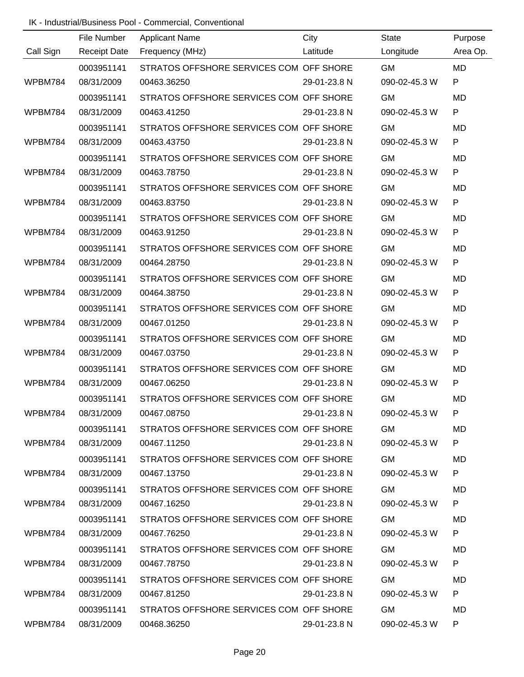|           | File Number         | <b>Applicant Name</b>                              | City         | <b>State</b>  | Purpose      |
|-----------|---------------------|----------------------------------------------------|--------------|---------------|--------------|
| Call Sign | <b>Receipt Date</b> | Frequency (MHz)                                    | Latitude     | Longitude     | Area Op.     |
|           | 0003951141          | STRATOS OFFSHORE SERVICES COM OFF SHORE            |              | <b>GM</b>     | <b>MD</b>    |
| WPBM784   | 08/31/2009          | 00463.36250                                        | 29-01-23.8 N | 090-02-45.3 W | ${\sf P}$    |
|           | 0003951141          | STRATOS OFFSHORE SERVICES COM OFF SHORE            |              | <b>GM</b>     | <b>MD</b>    |
| WPBM784   | 08/31/2009          | 00463.41250                                        | 29-01-23.8 N | 090-02-45.3 W | ${\sf P}$    |
|           | 0003951141          | STRATOS OFFSHORE SERVICES COM OFF SHORE            |              | <b>GM</b>     | <b>MD</b>    |
| WPBM784   | 08/31/2009          | 00463.43750                                        | 29-01-23.8 N | 090-02-45.3 W | $\mathsf{P}$ |
|           | 0003951141          | STRATOS OFFSHORE SERVICES COM OFF SHORE            |              | <b>GM</b>     | MD           |
| WPBM784   | 08/31/2009          | 00463.78750                                        | 29-01-23.8 N | 090-02-45.3 W | P            |
|           | 0003951141          | STRATOS OFFSHORE SERVICES COM OFF SHORE            |              | <b>GM</b>     | <b>MD</b>    |
| WPBM784   | 08/31/2009          | 00463.83750                                        | 29-01-23.8 N | 090-02-45.3 W | P            |
|           | 0003951141          | STRATOS OFFSHORE SERVICES COM OFF SHORE            |              | <b>GM</b>     | <b>MD</b>    |
| WPBM784   | 08/31/2009          | 00463.91250                                        | 29-01-23.8 N | 090-02-45.3 W | ${\sf P}$    |
|           | 0003951141          | STRATOS OFFSHORE SERVICES COM OFF SHORE            |              | <b>GM</b>     | <b>MD</b>    |
| WPBM784   | 08/31/2009          | 00464.28750                                        | 29-01-23.8 N | 090-02-45.3 W | ${\sf P}$    |
|           | 0003951141          | STRATOS OFFSHORE SERVICES COM OFF SHORE            |              | <b>GM</b>     | <b>MD</b>    |
| WPBM784   | 08/31/2009          | 00464.38750                                        | 29-01-23.8 N | 090-02-45.3 W | ${\sf P}$    |
|           | 0003951141          | STRATOS OFFSHORE SERVICES COM OFF SHORE            |              | <b>GM</b>     | <b>MD</b>    |
| WPBM784   | 08/31/2009          | 00467.01250                                        | 29-01-23.8 N | 090-02-45.3 W | P            |
|           | 0003951141          | STRATOS OFFSHORE SERVICES COM OFF SHORE            |              | <b>GM</b>     | MD           |
| WPBM784   | 08/31/2009          | 00467.03750                                        | 29-01-23.8 N | 090-02-45.3 W | P            |
|           | 0003951141          | STRATOS OFFSHORE SERVICES COM OFF SHORE            |              | <b>GM</b>     | MD           |
| WPBM784   | 08/31/2009          | 00467.06250                                        | 29-01-23.8 N | 090-02-45.3 W | P            |
|           | 0003951141          | STRATOS OFFSHORE SERVICES COM OFF SHORE            |              | <b>GM</b>     | MD           |
| WPBM784   | 08/31/2009          | 00467.08750                                        | 29-01-23.8 N | 090-02-45.3 W |              |
|           |                     | 0003951141 STRATOS OFFSHORE SERVICES COM OFF SHORE |              | <b>GM</b>     | MD           |
| WPBM784   | 08/31/2009          | 00467.11250                                        | 29-01-23.8 N | 090-02-45.3 W | P            |
|           | 0003951141          | STRATOS OFFSHORE SERVICES COM OFF SHORE            |              | <b>GM</b>     | MD           |
| WPBM784   | 08/31/2009          | 00467.13750                                        | 29-01-23.8 N | 090-02-45.3 W | P            |
|           | 0003951141          | STRATOS OFFSHORE SERVICES COM OFF SHORE            |              | <b>GM</b>     | MD           |
| WPBM784   | 08/31/2009          | 00467.16250                                        | 29-01-23.8 N | 090-02-45.3 W | P            |
|           | 0003951141          | STRATOS OFFSHORE SERVICES COM OFF SHORE            |              | <b>GM</b>     | MD           |
| WPBM784   | 08/31/2009          | 00467.76250                                        | 29-01-23.8 N | 090-02-45.3 W | P            |
|           | 0003951141          | STRATOS OFFSHORE SERVICES COM OFF SHORE            |              | <b>GM</b>     | MD           |
| WPBM784   | 08/31/2009          | 00467.78750                                        | 29-01-23.8 N | 090-02-45.3 W | P            |
|           | 0003951141          | STRATOS OFFSHORE SERVICES COM OFF SHORE            |              | <b>GM</b>     | MD           |
| WPBM784   | 08/31/2009          | 00467.81250                                        | 29-01-23.8 N | 090-02-45.3 W | P.           |
|           | 0003951141          | STRATOS OFFSHORE SERVICES COM OFF SHORE            |              | <b>GM</b>     | MD           |
| WPBM784   | 08/31/2009          | 00468.36250                                        | 29-01-23.8 N | 090-02-45.3 W | P            |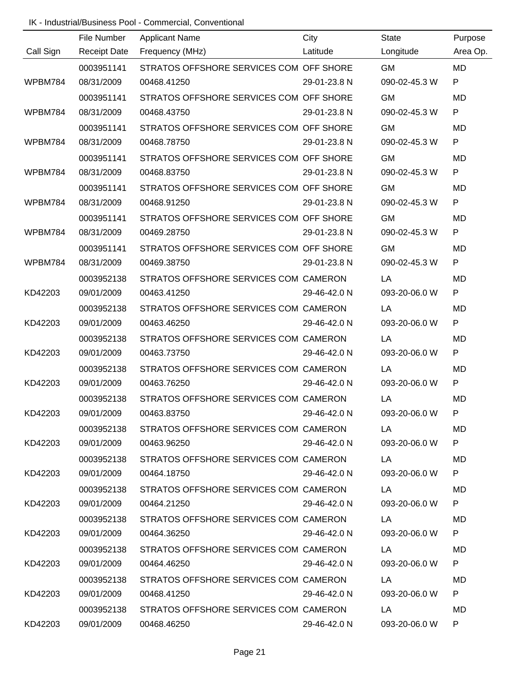|           | File Number         | <b>Applicant Name</b>                            | City         | <b>State</b>  | Purpose      |
|-----------|---------------------|--------------------------------------------------|--------------|---------------|--------------|
| Call Sign | <b>Receipt Date</b> | Frequency (MHz)                                  | Latitude     | Longitude     | Area Op.     |
|           | 0003951141          | STRATOS OFFSHORE SERVICES COM OFF SHORE          |              | <b>GM</b>     | <b>MD</b>    |
| WPBM784   | 08/31/2009          | 00468.41250                                      | 29-01-23.8 N | 090-02-45.3 W | P            |
|           | 0003951141          | STRATOS OFFSHORE SERVICES COM OFF SHORE          |              | <b>GM</b>     | MD           |
| WPBM784   | 08/31/2009          | 00468.43750                                      | 29-01-23.8 N | 090-02-45.3 W | P            |
|           | 0003951141          | STRATOS OFFSHORE SERVICES COM OFF SHORE          |              | <b>GM</b>     | <b>MD</b>    |
| WPBM784   | 08/31/2009          | 00468.78750                                      | 29-01-23.8 N | 090-02-45.3 W | $\mathsf{P}$ |
|           | 0003951141          | STRATOS OFFSHORE SERVICES COM OFF SHORE          |              | <b>GM</b>     | <b>MD</b>    |
| WPBM784   | 08/31/2009          | 00468.83750                                      | 29-01-23.8 N | 090-02-45.3 W | P            |
|           | 0003951141          | STRATOS OFFSHORE SERVICES COM OFF SHORE          |              | <b>GM</b>     | <b>MD</b>    |
| WPBM784   | 08/31/2009          | 00468.91250                                      | 29-01-23.8 N | 090-02-45.3 W | P            |
|           | 0003951141          | STRATOS OFFSHORE SERVICES COM OFF SHORE          |              | <b>GM</b>     | <b>MD</b>    |
| WPBM784   | 08/31/2009          | 00469.28750                                      | 29-01-23.8 N | 090-02-45.3 W | ${\sf P}$    |
|           | 0003951141          | STRATOS OFFSHORE SERVICES COM OFF SHORE          |              | <b>GM</b>     | <b>MD</b>    |
| WPBM784   | 08/31/2009          | 00469.38750                                      | 29-01-23.8 N | 090-02-45.3 W | ${\sf P}$    |
|           | 0003952138          | STRATOS OFFSHORE SERVICES COM CAMERON            |              | LA            | MD           |
| KD42203   | 09/01/2009          | 00463.41250                                      | 29-46-42.0 N | 093-20-06.0 W | ${\sf P}$    |
|           | 0003952138          | STRATOS OFFSHORE SERVICES COM CAMERON            |              | LA            | <b>MD</b>    |
| KD42203   | 09/01/2009          | 00463.46250                                      | 29-46-42.0 N | 093-20-06.0 W | P            |
|           | 0003952138          | STRATOS OFFSHORE SERVICES COM CAMERON            |              | LA            | MD           |
| KD42203   | 09/01/2009          | 00463.73750                                      | 29-46-42.0 N | 093-20-06.0 W | P            |
|           | 0003952138          | STRATOS OFFSHORE SERVICES COM CAMERON            |              | LA            | MD           |
| KD42203   | 09/01/2009          | 00463.76250                                      | 29-46-42.0 N | 093-20-06.0 W | P            |
|           | 0003952138          | STRATOS OFFSHORE SERVICES COM CAMERON            |              | LA            | MD           |
| KD42203   | 09/01/2009          | 00463.83750                                      | 29-46-42.0 N | 093-20-06.0 W |              |
|           |                     | 0003952138 STRATOS OFFSHORE SERVICES COM CAMERON |              | LA            | MD           |
| KD42203   | 09/01/2009          | 00463.96250                                      | 29-46-42.0 N | 093-20-06.0 W | P            |
|           |                     | 0003952138 STRATOS OFFSHORE SERVICES COM CAMERON |              | LA            | MD.          |
| KD42203   | 09/01/2009          | 00464.18750                                      | 29-46-42.0 N | 093-20-06.0 W | P            |
|           | 0003952138          | STRATOS OFFSHORE SERVICES COM CAMERON            |              | LA            | MD.          |
| KD42203   | 09/01/2009          | 00464.21250                                      | 29-46-42.0 N | 093-20-06.0 W | P            |
|           | 0003952138          | STRATOS OFFSHORE SERVICES COM CAMERON            |              | LA            | MD.          |
| KD42203   | 09/01/2009          | 00464.36250                                      | 29-46-42.0 N | 093-20-06.0 W | P            |
|           | 0003952138          | STRATOS OFFSHORE SERVICES COM CAMERON            |              | LA            | MD.          |
| KD42203   | 09/01/2009          | 00464.46250                                      | 29-46-42.0 N | 093-20-06.0 W | P            |
|           | 0003952138          | STRATOS OFFSHORE SERVICES COM CAMERON            |              | LA            | MD.          |
| KD42203   | 09/01/2009          | 00468.41250                                      | 29-46-42.0 N | 093-20-06.0 W | P            |
|           | 0003952138          | STRATOS OFFSHORE SERVICES COM CAMERON            |              | LA            | MD           |
| KD42203   | 09/01/2009          | 00468.46250                                      | 29-46-42.0 N | 093-20-06.0 W | P.           |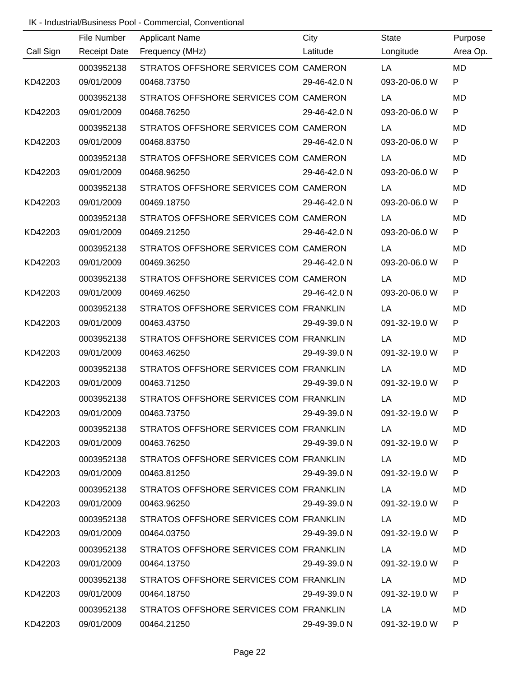|           | File Number         | <b>Applicant Name</b>                  | City         | State         | Purpose      |
|-----------|---------------------|----------------------------------------|--------------|---------------|--------------|
| Call Sign | <b>Receipt Date</b> | Frequency (MHz)                        | Latitude     | Longitude     | Area Op.     |
|           | 0003952138          | STRATOS OFFSHORE SERVICES COM CAMERON  |              | LA            | <b>MD</b>    |
| KD42203   | 09/01/2009          | 00468.73750                            | 29-46-42.0 N | 093-20-06.0 W | $\mathsf{P}$ |
|           | 0003952138          | STRATOS OFFSHORE SERVICES COM CAMERON  |              | LA            | <b>MD</b>    |
| KD42203   | 09/01/2009          | 00468.76250                            | 29-46-42.0 N | 093-20-06.0 W | $\mathsf{P}$ |
|           | 0003952138          | STRATOS OFFSHORE SERVICES COM CAMERON  |              | LA            | <b>MD</b>    |
| KD42203   | 09/01/2009          | 00468.83750                            | 29-46-42.0 N | 093-20-06.0 W | P            |
|           | 0003952138          | STRATOS OFFSHORE SERVICES COM CAMERON  |              | LA            | <b>MD</b>    |
| KD42203   | 09/01/2009          | 00468.96250                            | 29-46-42.0 N | 093-20-06.0 W | P            |
|           | 0003952138          | STRATOS OFFSHORE SERVICES COM CAMERON  |              | LA            | <b>MD</b>    |
| KD42203   | 09/01/2009          | 00469.18750                            | 29-46-42.0 N | 093-20-06.0 W | P            |
|           | 0003952138          | STRATOS OFFSHORE SERVICES COM CAMERON  |              | LA            | MD           |
| KD42203   | 09/01/2009          | 00469.21250                            | 29-46-42.0 N | 093-20-06.0 W | P            |
|           | 0003952138          | STRATOS OFFSHORE SERVICES COM CAMERON  |              | LA            | <b>MD</b>    |
| KD42203   | 09/01/2009          | 00469.36250                            | 29-46-42.0 N | 093-20-06.0 W | P            |
|           | 0003952138          | STRATOS OFFSHORE SERVICES COM CAMERON  |              | LA            | <b>MD</b>    |
| KD42203   | 09/01/2009          | 00469.46250                            | 29-46-42.0 N | 093-20-06.0 W | P            |
|           | 0003952138          | STRATOS OFFSHORE SERVICES COM FRANKLIN |              | LA            | MD           |
| KD42203   | 09/01/2009          | 00463.43750                            | 29-49-39.0 N | 091-32-19.0 W | P            |
|           | 0003952138          | STRATOS OFFSHORE SERVICES COM FRANKLIN |              | LA            | <b>MD</b>    |
| KD42203   | 09/01/2009          | 00463.46250                            | 29-49-39.0 N | 091-32-19.0 W | P            |
|           | 0003952138          | STRATOS OFFSHORE SERVICES COM FRANKLIN |              | LA            | <b>MD</b>    |
| KD42203   | 09/01/2009          | 00463.71250                            | 29-49-39.0 N | 091-32-19.0 W | P            |
|           | 0003952138          | STRATOS OFFSHORE SERVICES COM FRANKLIN |              | LA            | MD           |
| KD42203   | 09/01/2009          | 00463.73750                            | 29-49-39.0 N | 091-32-19.0 W | P.           |
|           | 0003952138          | STRATOS OFFSHORE SERVICES COM FRANKLIN |              | LA            | MD           |
| KD42203   | 09/01/2009          | 00463.76250                            | 29-49-39.0 N | 091-32-19.0 W | P.           |
|           | 0003952138          | STRATOS OFFSHORE SERVICES COM FRANKLIN |              | LA            | MD.          |
| KD42203   | 09/01/2009          | 00463.81250                            | 29-49-39.0 N | 091-32-19.0 W | P            |
|           | 0003952138          | STRATOS OFFSHORE SERVICES COM FRANKLIN |              | LA            | MD.          |
| KD42203   | 09/01/2009          | 00463.96250                            | 29-49-39.0 N | 091-32-19.0 W | P            |
|           | 0003952138          | STRATOS OFFSHORE SERVICES COM FRANKLIN |              | LA            | MD           |
| KD42203   | 09/01/2009          | 00464.03750                            | 29-49-39.0 N | 091-32-19.0 W | P            |
|           | 0003952138          | STRATOS OFFSHORE SERVICES COM FRANKLIN |              | LA            | MD           |
| KD42203   | 09/01/2009          | 00464.13750                            | 29-49-39.0 N | 091-32-19.0 W | P            |
|           | 0003952138          | STRATOS OFFSHORE SERVICES COM FRANKLIN |              | LA            | MD           |
| KD42203   | 09/01/2009          | 00464.18750                            | 29-49-39.0 N | 091-32-19.0 W | P            |
|           | 0003952138          | STRATOS OFFSHORE SERVICES COM FRANKLIN |              | LA            | MD           |
| KD42203   | 09/01/2009          | 00464.21250                            | 29-49-39.0 N | 091-32-19.0 W | P.           |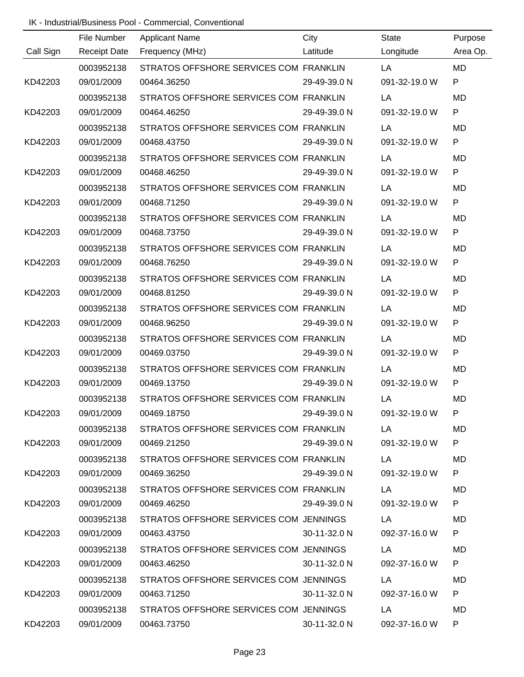|           | File Number         | <b>Applicant Name</b>                  | City         | State         | Purpose      |
|-----------|---------------------|----------------------------------------|--------------|---------------|--------------|
| Call Sign | <b>Receipt Date</b> | Frequency (MHz)                        | Latitude     | Longitude     | Area Op.     |
|           | 0003952138          | STRATOS OFFSHORE SERVICES COM FRANKLIN |              | LA            | <b>MD</b>    |
| KD42203   | 09/01/2009          | 00464.36250                            | 29-49-39.0 N | 091-32-19.0 W | $\mathsf{P}$ |
|           | 0003952138          | STRATOS OFFSHORE SERVICES COM FRANKLIN |              | LA            | <b>MD</b>    |
| KD42203   | 09/01/2009          | 00464.46250                            | 29-49-39.0 N | 091-32-19.0 W | $\mathsf{P}$ |
|           | 0003952138          | STRATOS OFFSHORE SERVICES COM FRANKLIN |              | LA            | <b>MD</b>    |
| KD42203   | 09/01/2009          | 00468.43750                            | 29-49-39.0 N | 091-32-19.0 W | P            |
|           | 0003952138          | STRATOS OFFSHORE SERVICES COM FRANKLIN |              | LA            | <b>MD</b>    |
| KD42203   | 09/01/2009          | 00468.46250                            | 29-49-39.0 N | 091-32-19.0 W | P            |
|           | 0003952138          | STRATOS OFFSHORE SERVICES COM FRANKLIN |              | LA            | <b>MD</b>    |
| KD42203   | 09/01/2009          | 00468.71250                            | 29-49-39.0 N | 091-32-19.0 W | P            |
|           | 0003952138          | STRATOS OFFSHORE SERVICES COM FRANKLIN |              | LA            | <b>MD</b>    |
| KD42203   | 09/01/2009          | 00468.73750                            | 29-49-39.0 N | 091-32-19.0 W | P            |
|           | 0003952138          | STRATOS OFFSHORE SERVICES COM FRANKLIN |              | LA            | <b>MD</b>    |
| KD42203   | 09/01/2009          | 00468.76250                            | 29-49-39.0 N | 091-32-19.0 W | P            |
|           | 0003952138          | STRATOS OFFSHORE SERVICES COM FRANKLIN |              | LA            | <b>MD</b>    |
| KD42203   | 09/01/2009          | 00468.81250                            | 29-49-39.0 N | 091-32-19.0 W | P            |
|           | 0003952138          | STRATOS OFFSHORE SERVICES COM FRANKLIN |              | LA            | <b>MD</b>    |
| KD42203   | 09/01/2009          | 00468.96250                            | 29-49-39.0 N | 091-32-19.0 W | P            |
|           | 0003952138          | STRATOS OFFSHORE SERVICES COM FRANKLIN |              | LA            | <b>MD</b>    |
| KD42203   | 09/01/2009          | 00469.03750                            | 29-49-39.0 N | 091-32-19.0 W | P            |
|           | 0003952138          | STRATOS OFFSHORE SERVICES COM FRANKLIN |              | LA            | MD           |
| KD42203   | 09/01/2009          | 00469.13750                            | 29-49-39.0 N | 091-32-19.0 W | P            |
|           | 0003952138          | STRATOS OFFSHORE SERVICES COM FRANKLIN |              | LA            | MD           |
| KD42203   | 09/01/2009          | 00469.18750                            | 29-49-39.0 N | 091-32-19.0 W | P.           |
|           | 0003952138          | STRATOS OFFSHORE SERVICES COM FRANKLIN |              | LA            | MD           |
| KD42203   | 09/01/2009          | 00469.21250                            | 29-49-39.0 N | 091-32-19.0 W | P.           |
|           | 0003952138          | STRATOS OFFSHORE SERVICES COM FRANKLIN |              | LA            | MD           |
| KD42203   | 09/01/2009          | 00469.36250                            | 29-49-39.0 N | 091-32-19.0 W | P            |
|           | 0003952138          | STRATOS OFFSHORE SERVICES COM FRANKLIN |              | LA            | MD           |
| KD42203   | 09/01/2009          | 00469.46250                            | 29-49-39.0 N | 091-32-19.0 W | P            |
|           | 0003952138          | STRATOS OFFSHORE SERVICES COM JENNINGS |              | LA            | MD           |
| KD42203   | 09/01/2009          | 00463.43750                            | 30-11-32.0 N | 092-37-16.0 W | P            |
|           | 0003952138          | STRATOS OFFSHORE SERVICES COM JENNINGS |              | LA            | MD           |
| KD42203   | 09/01/2009          | 00463.46250                            | 30-11-32.0 N | 092-37-16.0 W | P            |
|           | 0003952138          | STRATOS OFFSHORE SERVICES COM JENNINGS |              | LA            | MD           |
| KD42203   | 09/01/2009          | 00463.71250                            | 30-11-32.0 N | 092-37-16.0 W | P            |
|           | 0003952138          | STRATOS OFFSHORE SERVICES COM JENNINGS |              | LA            | MD           |
| KD42203   | 09/01/2009          | 00463.73750                            | 30-11-32.0 N | 092-37-16.0 W | P.           |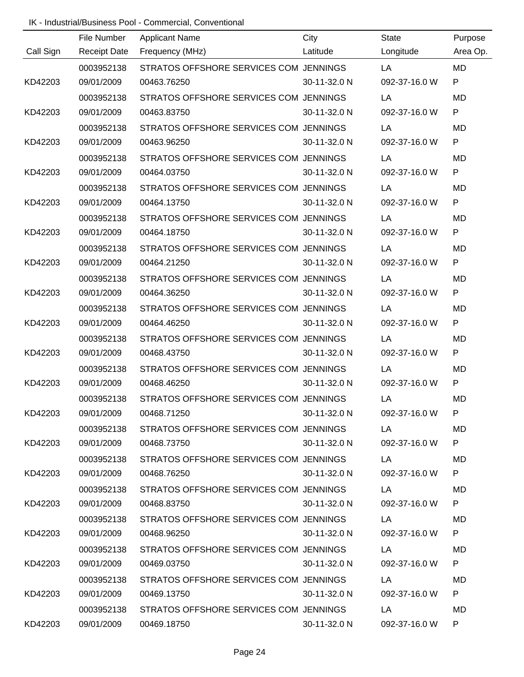|           | File Number         | <b>Applicant Name</b>                  | City         | State         | Purpose      |
|-----------|---------------------|----------------------------------------|--------------|---------------|--------------|
| Call Sign | <b>Receipt Date</b> | Frequency (MHz)                        | Latitude     | Longitude     | Area Op.     |
|           | 0003952138          | STRATOS OFFSHORE SERVICES COM JENNINGS |              | LA            | <b>MD</b>    |
| KD42203   | 09/01/2009          | 00463.76250                            | 30-11-32.0 N | 092-37-16.0 W | $\mathsf{P}$ |
|           | 0003952138          | STRATOS OFFSHORE SERVICES COM JENNINGS |              | LA            | <b>MD</b>    |
| KD42203   | 09/01/2009          | 00463.83750                            | 30-11-32.0 N | 092-37-16.0 W | $\mathsf{P}$ |
|           | 0003952138          | STRATOS OFFSHORE SERVICES COM JENNINGS |              | LA            | <b>MD</b>    |
| KD42203   | 09/01/2009          | 00463.96250                            | 30-11-32.0 N | 092-37-16.0 W | P            |
|           | 0003952138          | STRATOS OFFSHORE SERVICES COM JENNINGS |              | LA            | <b>MD</b>    |
| KD42203   | 09/01/2009          | 00464.03750                            | 30-11-32.0 N | 092-37-16.0 W | P            |
|           | 0003952138          | STRATOS OFFSHORE SERVICES COM JENNINGS |              | LA            | <b>MD</b>    |
| KD42203   | 09/01/2009          | 00464.13750                            | 30-11-32.0 N | 092-37-16.0 W | P            |
|           | 0003952138          | STRATOS OFFSHORE SERVICES COM JENNINGS |              | LA            | <b>MD</b>    |
| KD42203   | 09/01/2009          | 00464.18750                            | 30-11-32.0 N | 092-37-16.0 W | P            |
|           | 0003952138          | STRATOS OFFSHORE SERVICES COM JENNINGS |              | LA            | <b>MD</b>    |
| KD42203   | 09/01/2009          | 00464.21250                            | 30-11-32.0 N | 092-37-16.0 W | P            |
|           | 0003952138          | STRATOS OFFSHORE SERVICES COM JENNINGS |              | LA            | <b>MD</b>    |
| KD42203   | 09/01/2009          | 00464.36250                            | 30-11-32.0 N | 092-37-16.0 W | P            |
|           | 0003952138          | STRATOS OFFSHORE SERVICES COM JENNINGS |              | LA            | <b>MD</b>    |
| KD42203   | 09/01/2009          | 00464.46250                            | 30-11-32.0 N | 092-37-16.0 W | P            |
|           | 0003952138          | STRATOS OFFSHORE SERVICES COM JENNINGS |              | LA            | <b>MD</b>    |
| KD42203   | 09/01/2009          | 00468.43750                            | 30-11-32.0 N | 092-37-16.0 W | P            |
|           | 0003952138          | STRATOS OFFSHORE SERVICES COM JENNINGS |              | LA            | MD           |
| KD42203   | 09/01/2009          | 00468.46250                            | 30-11-32.0 N | 092-37-16.0 W | P            |
|           | 0003952138          | STRATOS OFFSHORE SERVICES COM JENNINGS |              | LA            | MD           |
| KD42203   | 09/01/2009          | 00468.71250                            | 30-11-32.0 N | 092-37-16.0 W | P.           |
|           | 0003952138          | STRATOS OFFSHORE SERVICES COM JENNINGS |              | LA            | MD           |
| KD42203   | 09/01/2009          | 00468.73750                            | 30-11-32.0 N | 092-37-16.0 W | P.           |
|           | 0003952138          | STRATOS OFFSHORE SERVICES COM JENNINGS |              | LA            | MD           |
| KD42203   | 09/01/2009          | 00468.76250                            | 30-11-32.0 N | 092-37-16.0 W | P            |
|           | 0003952138          | STRATOS OFFSHORE SERVICES COM JENNINGS |              | LA            | MD           |
| KD42203   | 09/01/2009          | 00468.83750                            | 30-11-32.0 N | 092-37-16.0 W | P            |
|           | 0003952138          | STRATOS OFFSHORE SERVICES COM JENNINGS |              | LA            | MD           |
| KD42203   | 09/01/2009          | 00468.96250                            | 30-11-32.0 N | 092-37-16.0 W | P            |
|           | 0003952138          | STRATOS OFFSHORE SERVICES COM JENNINGS |              | LA            | MD           |
| KD42203   | 09/01/2009          | 00469.03750                            | 30-11-32.0 N | 092-37-16.0 W | P            |
|           | 0003952138          | STRATOS OFFSHORE SERVICES COM JENNINGS |              | LA            | MD           |
| KD42203   | 09/01/2009          | 00469.13750                            | 30-11-32.0 N | 092-37-16.0 W | P            |
|           | 0003952138          | STRATOS OFFSHORE SERVICES COM JENNINGS |              | LA            | MD           |
| KD42203   | 09/01/2009          | 00469.18750                            | 30-11-32.0 N | 092-37-16.0 W | P.           |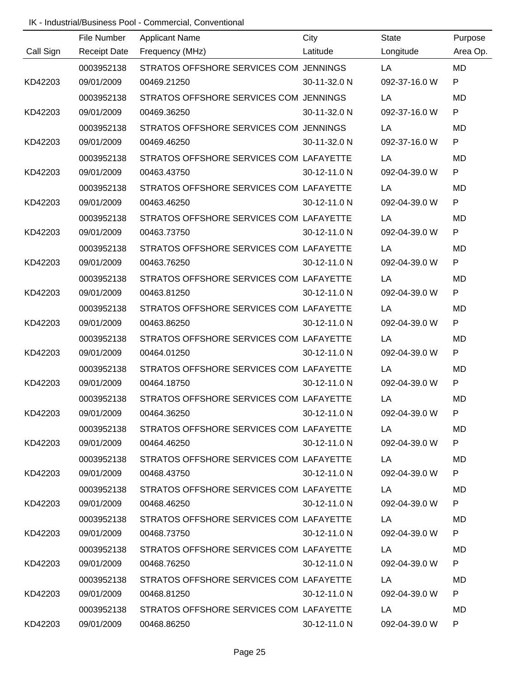|           | File Number         | <b>Applicant Name</b>                   | City         | State         | Purpose      |
|-----------|---------------------|-----------------------------------------|--------------|---------------|--------------|
| Call Sign | <b>Receipt Date</b> | Frequency (MHz)                         | Latitude     | Longitude     | Area Op.     |
|           | 0003952138          | STRATOS OFFSHORE SERVICES COM JENNINGS  |              | LA            | <b>MD</b>    |
| KD42203   | 09/01/2009          | 00469.21250                             | 30-11-32.0 N | 092-37-16.0 W | $\mathsf{P}$ |
|           | 0003952138          | STRATOS OFFSHORE SERVICES COM JENNINGS  |              | LA            | <b>MD</b>    |
| KD42203   | 09/01/2009          | 00469.36250                             | 30-11-32.0 N | 092-37-16.0 W | $\mathsf{P}$ |
|           | 0003952138          | STRATOS OFFSHORE SERVICES COM JENNINGS  |              | LA            | <b>MD</b>    |
| KD42203   | 09/01/2009          | 00469.46250                             | 30-11-32.0 N | 092-37-16.0 W | P            |
|           | 0003952138          | STRATOS OFFSHORE SERVICES COM LAFAYETTE |              | LA            | <b>MD</b>    |
| KD42203   | 09/01/2009          | 00463.43750                             | 30-12-11.0 N | 092-04-39.0 W | P            |
|           | 0003952138          | STRATOS OFFSHORE SERVICES COM LAFAYETTE |              | LA            | <b>MD</b>    |
| KD42203   | 09/01/2009          | 00463.46250                             | 30-12-11.0 N | 092-04-39.0 W | P            |
|           | 0003952138          | STRATOS OFFSHORE SERVICES COM LAFAYETTE |              | LA            | <b>MD</b>    |
| KD42203   | 09/01/2009          | 00463.73750                             | 30-12-11.0 N | 092-04-39.0 W | P            |
|           | 0003952138          | STRATOS OFFSHORE SERVICES COM LAFAYETTE |              | LA            | <b>MD</b>    |
| KD42203   | 09/01/2009          | 00463.76250                             | 30-12-11.0 N | 092-04-39.0 W | $\mathsf{P}$ |
|           | 0003952138          | STRATOS OFFSHORE SERVICES COM LAFAYETTE |              | LA            | <b>MD</b>    |
| KD42203   | 09/01/2009          | 00463.81250                             | 30-12-11.0 N | 092-04-39.0 W | P            |
|           | 0003952138          | STRATOS OFFSHORE SERVICES COM LAFAYETTE |              | LA            | <b>MD</b>    |
| KD42203   | 09/01/2009          | 00463.86250                             | 30-12-11.0 N | 092-04-39.0 W | $\mathsf{P}$ |
|           | 0003952138          | STRATOS OFFSHORE SERVICES COM LAFAYETTE |              | LA            | <b>MD</b>    |
| KD42203   | 09/01/2009          | 00464.01250                             | 30-12-11.0 N | 092-04-39.0 W | P            |
|           | 0003952138          | STRATOS OFFSHORE SERVICES COM LAFAYETTE |              | LA            | MD           |
| KD42203   | 09/01/2009          | 00464.18750                             | 30-12-11.0 N | 092-04-39.0 W | P            |
|           | 0003952138          | STRATOS OFFSHORE SERVICES COM LAFAYETTE |              | LA            | MD           |
| KD42203   | 09/01/2009          | 00464.36250                             | 30-12-11.0 N | 092-04-39.0 W | P.           |
|           | 0003952138          | STRATOS OFFSHORE SERVICES COM LAFAYETTE |              | LA            | MD           |
| KD42203   | 09/01/2009          | 00464.46250                             | 30-12-11.0 N | 092-04-39.0 W | P            |
|           | 0003952138          | STRATOS OFFSHORE SERVICES COM LAFAYETTE |              | LA            | MD           |
| KD42203   | 09/01/2009          | 00468.43750                             | 30-12-11.0 N | 092-04-39.0 W | P            |
|           | 0003952138          | STRATOS OFFSHORE SERVICES COM LAFAYETTE |              | LA            | MD           |
| KD42203   | 09/01/2009          | 00468.46250                             | 30-12-11.0 N | 092-04-39.0 W | P            |
|           | 0003952138          | STRATOS OFFSHORE SERVICES COM LAFAYETTE |              | LA            | MD           |
| KD42203   | 09/01/2009          | 00468.73750                             | 30-12-11.0 N | 092-04-39.0 W | P            |
|           | 0003952138          | STRATOS OFFSHORE SERVICES COM LAFAYETTE |              | LA            | MD           |
| KD42203   | 09/01/2009          | 00468.76250                             | 30-12-11.0 N | 092-04-39.0 W | P            |
|           | 0003952138          | STRATOS OFFSHORE SERVICES COM LAFAYETTE |              | LA            | MD           |
| KD42203   | 09/01/2009          | 00468.81250                             | 30-12-11.0 N | 092-04-39.0 W | P            |
|           | 0003952138          | STRATOS OFFSHORE SERVICES COM LAFAYETTE |              | LA            | MD           |
| KD42203   | 09/01/2009          | 00468.86250                             | 30-12-11.0 N | 092-04-39.0 W | P.           |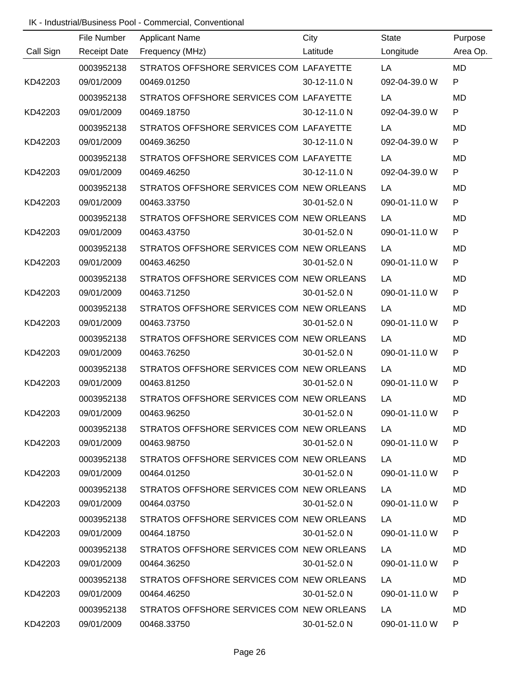|           | File Number         | <b>Applicant Name</b>                     | City         | State         | Purpose      |
|-----------|---------------------|-------------------------------------------|--------------|---------------|--------------|
| Call Sign | <b>Receipt Date</b> | Frequency (MHz)                           | Latitude     | Longitude     | Area Op.     |
|           | 0003952138          | STRATOS OFFSHORE SERVICES COM LAFAYETTE   |              | LA            | <b>MD</b>    |
| KD42203   | 09/01/2009          | 00469.01250                               | 30-12-11.0 N | 092-04-39.0 W | $\mathsf{P}$ |
|           | 0003952138          | STRATOS OFFSHORE SERVICES COM LAFAYETTE   |              | LA            | <b>MD</b>    |
| KD42203   | 09/01/2009          | 00469.18750                               | 30-12-11.0 N | 092-04-39.0 W | $\mathsf{P}$ |
|           | 0003952138          | STRATOS OFFSHORE SERVICES COM LAFAYETTE   |              | LA            | <b>MD</b>    |
| KD42203   | 09/01/2009          | 00469.36250                               | 30-12-11.0 N | 092-04-39.0 W | P            |
|           | 0003952138          | STRATOS OFFSHORE SERVICES COM LAFAYETTE   |              | LA            | <b>MD</b>    |
| KD42203   | 09/01/2009          | 00469.46250                               | 30-12-11.0 N | 092-04-39.0 W | P            |
|           | 0003952138          | STRATOS OFFSHORE SERVICES COM NEW ORLEANS |              | LA            | <b>MD</b>    |
| KD42203   | 09/01/2009          | 00463.33750                               | 30-01-52.0 N | 090-01-11.0 W | P            |
|           | 0003952138          | STRATOS OFFSHORE SERVICES COM NEW ORLEANS |              | LA            | <b>MD</b>    |
| KD42203   | 09/01/2009          | 00463.43750                               | 30-01-52.0 N | 090-01-11.0 W | P            |
|           | 0003952138          | STRATOS OFFSHORE SERVICES COM NEW ORLEANS |              | LA            | <b>MD</b>    |
| KD42203   | 09/01/2009          | 00463.46250                               | 30-01-52.0 N | 090-01-11.0 W | $\mathsf{P}$ |
|           | 0003952138          | STRATOS OFFSHORE SERVICES COM NEW ORLEANS |              | LA            | <b>MD</b>    |
| KD42203   | 09/01/2009          | 00463.71250                               | 30-01-52.0 N | 090-01-11.0 W | P            |
|           | 0003952138          | STRATOS OFFSHORE SERVICES COM NEW ORLEANS |              | LA            | <b>MD</b>    |
| KD42203   | 09/01/2009          | 00463.73750                               | 30-01-52.0 N | 090-01-11.0 W | $\mathsf{P}$ |
|           | 0003952138          | STRATOS OFFSHORE SERVICES COM NEW ORLEANS |              | LA            | <b>MD</b>    |
| KD42203   | 09/01/2009          | 00463.76250                               | 30-01-52.0 N | 090-01-11.0 W | P            |
|           | 0003952138          | STRATOS OFFSHORE SERVICES COM NEW ORLEANS |              | LA            | MD           |
| KD42203   | 09/01/2009          | 00463.81250                               | 30-01-52.0 N | 090-01-11.0 W | P            |
|           | 0003952138          | STRATOS OFFSHORE SERVICES COM NEW ORLEANS |              | LA            | MD           |
| KD42203   | 09/01/2009          | 00463.96250                               | 30-01-52.0 N | 090-01-11.0 W | P            |
|           | 0003952138          | STRATOS OFFSHORE SERVICES COM NEW ORLEANS |              | LA.           | MD           |
| KD42203   | 09/01/2009          | 00463.98750                               | 30-01-52.0 N | 090-01-11.0 W | P.           |
|           | 0003952138          | STRATOS OFFSHORE SERVICES COM NEW ORLEANS |              | LA            | MD           |
| KD42203   | 09/01/2009          | 00464.01250                               | 30-01-52.0 N | 090-01-11.0 W | P            |
|           | 0003952138          | STRATOS OFFSHORE SERVICES COM NEW ORLEANS |              | LA            | MD           |
| KD42203   | 09/01/2009          | 00464.03750                               | 30-01-52.0 N | 090-01-11.0 W | P            |
|           | 0003952138          | STRATOS OFFSHORE SERVICES COM NEW ORLEANS |              | LA            | MD           |
| KD42203   | 09/01/2009          | 00464.18750                               | 30-01-52.0 N | 090-01-11.0 W | P            |
|           | 0003952138          | STRATOS OFFSHORE SERVICES COM NEW ORLEANS |              | LA            | MD           |
| KD42203   | 09/01/2009          | 00464.36250                               | 30-01-52.0 N | 090-01-11.0 W | P            |
|           | 0003952138          | STRATOS OFFSHORE SERVICES COM NEW ORLEANS |              | LA            | MD           |
| KD42203   | 09/01/2009          | 00464.46250                               | 30-01-52.0 N | 090-01-11.0 W | P            |
|           | 0003952138          | STRATOS OFFSHORE SERVICES COM NEW ORLEANS |              | LA            | MD           |
| KD42203   | 09/01/2009          | 00468.33750                               | 30-01-52.0 N | 090-01-11.0 W | P.           |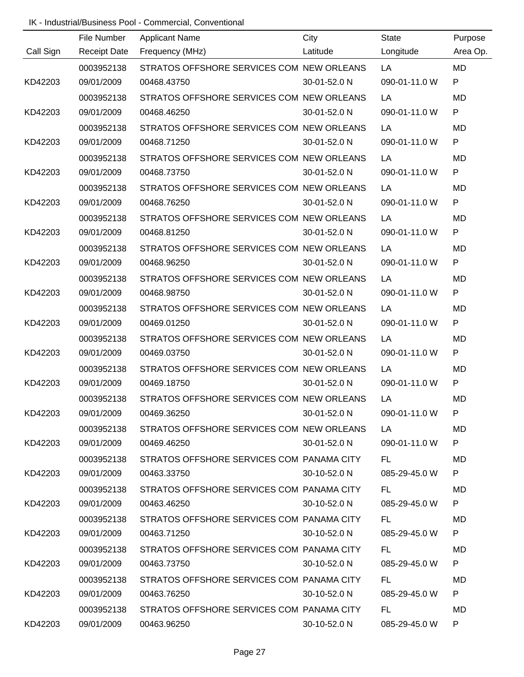|           | File Number         | <b>Applicant Name</b>                     | City         | State         | Purpose      |
|-----------|---------------------|-------------------------------------------|--------------|---------------|--------------|
| Call Sign | <b>Receipt Date</b> | Frequency (MHz)                           | Latitude     | Longitude     | Area Op.     |
|           | 0003952138          | STRATOS OFFSHORE SERVICES COM NEW ORLEANS |              | LA            | <b>MD</b>    |
| KD42203   | 09/01/2009          | 00468.43750                               | 30-01-52.0 N | 090-01-11.0 W | $\mathsf{P}$ |
|           | 0003952138          | STRATOS OFFSHORE SERVICES COM NEW ORLEANS |              | LA            | MD           |
| KD42203   | 09/01/2009          | 00468.46250                               | 30-01-52.0 N | 090-01-11.0 W | $\mathsf{P}$ |
|           | 0003952138          | STRATOS OFFSHORE SERVICES COM NEW ORLEANS |              | LA            | <b>MD</b>    |
| KD42203   | 09/01/2009          | 00468.71250                               | 30-01-52.0 N | 090-01-11.0 W | P            |
|           | 0003952138          | STRATOS OFFSHORE SERVICES COM NEW ORLEANS |              | LA            | <b>MD</b>    |
| KD42203   | 09/01/2009          | 00468.73750                               | 30-01-52.0 N | 090-01-11.0 W | P            |
|           | 0003952138          | STRATOS OFFSHORE SERVICES COM NEW ORLEANS |              | LA            | <b>MD</b>    |
| KD42203   | 09/01/2009          | 00468.76250                               | 30-01-52.0 N | 090-01-11.0 W | P            |
|           | 0003952138          | STRATOS OFFSHORE SERVICES COM NEW ORLEANS |              | LA            | <b>MD</b>    |
| KD42203   | 09/01/2009          | 00468.81250                               | 30-01-52.0 N | 090-01-11.0 W | P            |
|           | 0003952138          | STRATOS OFFSHORE SERVICES COM NEW ORLEANS |              | LA            | <b>MD</b>    |
| KD42203   | 09/01/2009          | 00468.96250                               | 30-01-52.0 N | 090-01-11.0 W | P            |
|           | 0003952138          | STRATOS OFFSHORE SERVICES COM NEW ORLEANS |              | LA            | <b>MD</b>    |
| KD42203   | 09/01/2009          | 00468.98750                               | 30-01-52.0 N | 090-01-11.0 W | P            |
|           | 0003952138          | STRATOS OFFSHORE SERVICES COM NEW ORLEANS |              | LA            | <b>MD</b>    |
| KD42203   | 09/01/2009          | 00469.01250                               | 30-01-52.0 N | 090-01-11.0 W | $\mathsf{P}$ |
|           | 0003952138          | STRATOS OFFSHORE SERVICES COM NEW ORLEANS |              | LA            | <b>MD</b>    |
| KD42203   | 09/01/2009          | 00469.03750                               | 30-01-52.0 N | 090-01-11.0 W | P            |
|           | 0003952138          | STRATOS OFFSHORE SERVICES COM NEW ORLEANS |              | LA            | MD           |
| KD42203   | 09/01/2009          | 00469.18750                               | 30-01-52.0 N | 090-01-11.0 W | P            |
|           | 0003952138          | STRATOS OFFSHORE SERVICES COM NEW ORLEANS |              | LA            | MD           |
| KD42203   | 09/01/2009          | 00469.36250                               | 30-01-52.0 N | 090-01-11.0 W | P.           |
|           | 0003952138          | STRATOS OFFSHORE SERVICES COM NEW ORLEANS |              | LA.           | MD           |
| KD42203   | 09/01/2009          | 00469.46250                               | 30-01-52.0 N | 090-01-11.0 W | P.           |
|           | 0003952138          | STRATOS OFFSHORE SERVICES COM PANAMA CITY |              | FL.           | MD           |
| KD42203   | 09/01/2009          | 00463.33750                               | 30-10-52.0 N | 085-29-45.0 W | P            |
|           | 0003952138          | STRATOS OFFSHORE SERVICES COM PANAMA CITY |              | FL.           | MD           |
| KD42203   | 09/01/2009          | 00463.46250                               | 30-10-52.0 N | 085-29-45.0 W | P            |
|           | 0003952138          | STRATOS OFFSHORE SERVICES COM PANAMA CITY |              | FL.           | MD           |
| KD42203   | 09/01/2009          | 00463.71250                               | 30-10-52.0 N | 085-29-45.0 W | P            |
|           | 0003952138          | STRATOS OFFSHORE SERVICES COM PANAMA CITY |              | FL.           | MD           |
| KD42203   | 09/01/2009          | 00463.73750                               | 30-10-52.0 N | 085-29-45.0 W | P            |
|           | 0003952138          | STRATOS OFFSHORE SERVICES COM PANAMA CITY |              | FL            | MD           |
| KD42203   | 09/01/2009          | 00463.76250                               | 30-10-52.0 N | 085-29-45.0 W | P            |
|           | 0003952138          | STRATOS OFFSHORE SERVICES COM PANAMA CITY |              | FL.           | MD           |
| KD42203   | 09/01/2009          | 00463.96250                               | 30-10-52.0 N | 085-29-45.0 W | P.           |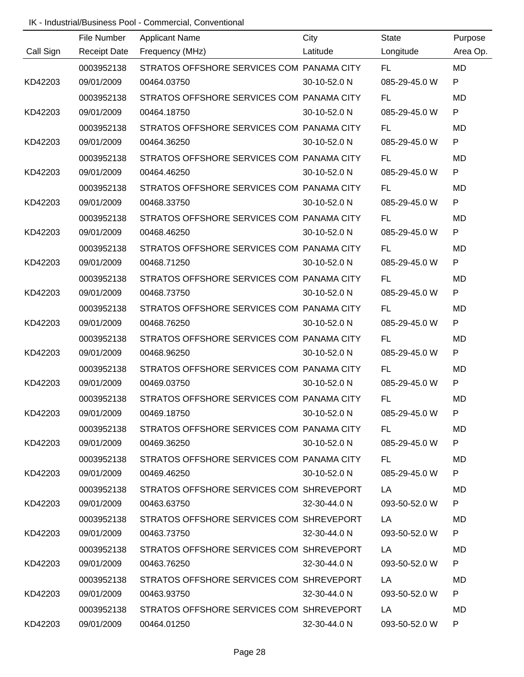|           | File Number         | <b>Applicant Name</b>                                | City         | <b>State</b>  | Purpose      |
|-----------|---------------------|------------------------------------------------------|--------------|---------------|--------------|
| Call Sign | <b>Receipt Date</b> | Frequency (MHz)                                      | Latitude     | Longitude     | Area Op.     |
|           | 0003952138          | STRATOS OFFSHORE SERVICES COM PANAMA CITY            |              | FL.           | <b>MD</b>    |
| KD42203   | 09/01/2009          | 00464.03750                                          | 30-10-52.0 N | 085-29-45.0 W | P            |
|           | 0003952138          | STRATOS OFFSHORE SERVICES COM PANAMA CITY            |              | FL.           | MD           |
| KD42203   | 09/01/2009          | 00464.18750                                          | 30-10-52.0 N | 085-29-45.0 W | P            |
|           | 0003952138          | STRATOS OFFSHORE SERVICES COM PANAMA CITY            |              | <b>FL</b>     | <b>MD</b>    |
| KD42203   | 09/01/2009          | 00464.36250                                          | 30-10-52.0 N | 085-29-45.0 W | $\mathsf{P}$ |
|           | 0003952138          | STRATOS OFFSHORE SERVICES COM PANAMA CITY            |              | FL.           | <b>MD</b>    |
| KD42203   | 09/01/2009          | 00464.46250                                          | 30-10-52.0 N | 085-29-45.0 W | $\mathsf{P}$ |
|           | 0003952138          | STRATOS OFFSHORE SERVICES COM PANAMA CITY            |              | FL.           | <b>MD</b>    |
| KD42203   | 09/01/2009          | 00468.33750                                          | 30-10-52.0 N | 085-29-45.0 W | P            |
|           | 0003952138          | STRATOS OFFSHORE SERVICES COM PANAMA CITY            |              | <b>FL</b>     | <b>MD</b>    |
| KD42203   | 09/01/2009          | 00468.46250                                          | 30-10-52.0 N | 085-29-45.0 W | ${\sf P}$    |
|           | 0003952138          | STRATOS OFFSHORE SERVICES COM PANAMA CITY            |              | <b>FL</b>     | <b>MD</b>    |
| KD42203   | 09/01/2009          | 00468.71250                                          | 30-10-52.0 N | 085-29-45.0 W | ${\sf P}$    |
|           | 0003952138          | STRATOS OFFSHORE SERVICES COM PANAMA CITY            |              | <b>FL</b>     | MD           |
| KD42203   | 09/01/2009          | 00468.73750                                          | 30-10-52.0 N | 085-29-45.0 W | ${\sf P}$    |
|           | 0003952138          | STRATOS OFFSHORE SERVICES COM PANAMA CITY            |              | <b>FL</b>     | <b>MD</b>    |
| KD42203   | 09/01/2009          | 00468.76250                                          | 30-10-52.0 N | 085-29-45.0 W | P            |
|           | 0003952138          | STRATOS OFFSHORE SERVICES COM PANAMA CITY            |              | <b>FL</b>     | MD           |
| KD42203   | 09/01/2009          | 00468.96250                                          | 30-10-52.0 N | 085-29-45.0 W | P            |
|           | 0003952138          | STRATOS OFFSHORE SERVICES COM PANAMA CITY            |              | <b>FL</b>     | <b>MD</b>    |
| KD42203   | 09/01/2009          | 00469.03750                                          | 30-10-52.0 N | 085-29-45.0 W | P            |
|           | 0003952138          | STRATOS OFFSHORE SERVICES COM PANAMA CITY            |              | <b>FL</b>     | MD           |
| KD42203   | 09/01/2009          | 00469.18750                                          | 30-10-52.0 N | 085-29-45.0 W |              |
|           |                     | 0003952138 STRATOS OFFSHORE SERVICES COM PANAMA CITY |              | FL.           | MD           |
| KD42203   | 09/01/2009          | 00469.36250                                          | 30-10-52.0 N | 085-29-45.0 W | P            |
|           | 0003952138          | STRATOS OFFSHORE SERVICES COM PANAMA CITY            |              | FL.           | MD.          |
| KD42203   | 09/01/2009          | 00469.46250                                          | 30-10-52.0 N | 085-29-45.0 W | P            |
|           | 0003952138          | STRATOS OFFSHORE SERVICES COM SHREVEPORT             |              | LA.           | MD.          |
| KD42203   | 09/01/2009          | 00463.63750                                          | 32-30-44.0 N | 093-50-52.0 W | P            |
|           | 0003952138          | STRATOS OFFSHORE SERVICES COM SHREVEPORT             |              | LA.           | MD.          |
| KD42203   | 09/01/2009          | 00463.73750                                          | 32-30-44.0 N | 093-50-52.0 W | P            |
|           | 0003952138          | STRATOS OFFSHORE SERVICES COM SHREVEPORT             |              | LA.           | MD.          |
| KD42203   | 09/01/2009          | 00463.76250                                          | 32-30-44.0 N | 093-50-52.0 W | P            |
|           | 0003952138          | STRATOS OFFSHORE SERVICES COM SHREVEPORT             |              | LA            | MD.          |
| KD42203   | 09/01/2009          | 00463.93750                                          | 32-30-44.0 N | 093-50-52.0 W | P            |
|           | 0003952138          | STRATOS OFFSHORE SERVICES COM SHREVEPORT             |              | LA            | MD           |
| KD42203   | 09/01/2009          | 00464.01250                                          | 32-30-44.0 N | 093-50-52.0 W | P.           |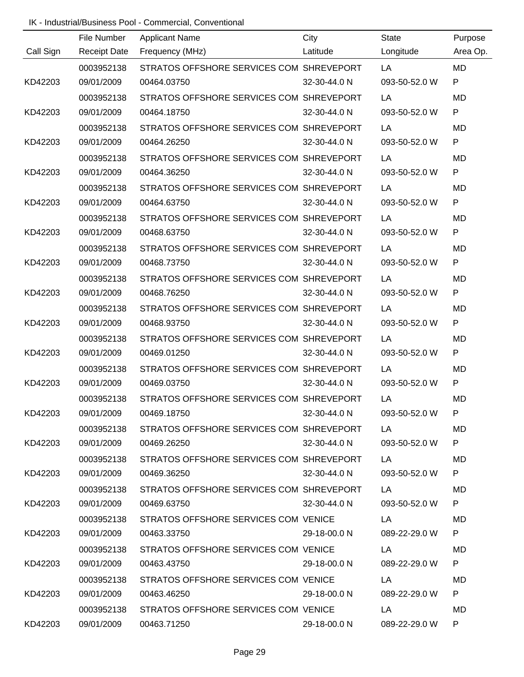|           | File Number         | <b>Applicant Name</b>                               | City         | <b>State</b>  | Purpose      |
|-----------|---------------------|-----------------------------------------------------|--------------|---------------|--------------|
| Call Sign | <b>Receipt Date</b> | Frequency (MHz)                                     | Latitude     | Longitude     | Area Op.     |
|           | 0003952138          | STRATOS OFFSHORE SERVICES COM SHREVEPORT            |              | LA            | <b>MD</b>    |
| KD42203   | 09/01/2009          | 00464.03750                                         | 32-30-44.0 N | 093-50-52.0 W | P            |
|           | 0003952138          | STRATOS OFFSHORE SERVICES COM SHREVEPORT            |              | LA            | MD           |
| KD42203   | 09/01/2009          | 00464.18750                                         | 32-30-44.0 N | 093-50-52.0 W | P            |
|           | 0003952138          | STRATOS OFFSHORE SERVICES COM SHREVEPORT            |              | LA            | <b>MD</b>    |
| KD42203   | 09/01/2009          | 00464.26250                                         | 32-30-44.0 N | 093-50-52.0 W | $\mathsf{P}$ |
|           | 0003952138          | STRATOS OFFSHORE SERVICES COM SHREVEPORT            |              | LA            | <b>MD</b>    |
| KD42203   | 09/01/2009          | 00464.36250                                         | 32-30-44.0 N | 093-50-52.0 W | $\mathsf{P}$ |
|           | 0003952138          | STRATOS OFFSHORE SERVICES COM SHREVEPORT            |              | LA            | <b>MD</b>    |
| KD42203   | 09/01/2009          | 00464.63750                                         | 32-30-44.0 N | 093-50-52.0 W | P            |
|           | 0003952138          | STRATOS OFFSHORE SERVICES COM SHREVEPORT            |              | LA            | <b>MD</b>    |
| KD42203   | 09/01/2009          | 00468.63750                                         | 32-30-44.0 N | 093-50-52.0 W | ${\sf P}$    |
|           | 0003952138          | STRATOS OFFSHORE SERVICES COM SHREVEPORT            |              | LA            | <b>MD</b>    |
| KD42203   | 09/01/2009          | 00468.73750                                         | 32-30-44.0 N | 093-50-52.0 W | ${\sf P}$    |
|           | 0003952138          | STRATOS OFFSHORE SERVICES COM SHREVEPORT            |              | LA            | MD           |
| KD42203   | 09/01/2009          | 00468.76250                                         | 32-30-44.0 N | 093-50-52.0 W | ${\sf P}$    |
|           | 0003952138          | STRATOS OFFSHORE SERVICES COM SHREVEPORT            |              | LA            | <b>MD</b>    |
| KD42203   | 09/01/2009          | 00468.93750                                         | 32-30-44.0 N | 093-50-52.0 W | ${\sf P}$    |
|           | 0003952138          | STRATOS OFFSHORE SERVICES COM SHREVEPORT            |              | LA            | MD           |
| KD42203   | 09/01/2009          | 00469.01250                                         | 32-30-44.0 N | 093-50-52.0 W | ${\sf P}$    |
|           | 0003952138          | STRATOS OFFSHORE SERVICES COM SHREVEPORT            |              | LA            | MD           |
| KD42203   | 09/01/2009          | 00469.03750                                         | 32-30-44.0 N | 093-50-52.0 W | P            |
|           | 0003952138          | STRATOS OFFSHORE SERVICES COM SHREVEPORT            |              | LA            | MD           |
| KD42203   | 09/01/2009          | 00469.18750                                         | 32-30-44.0 N | 093-50-52.0 W |              |
|           |                     | 0003952138 STRATOS OFFSHORE SERVICES COM SHREVEPORT |              | LA            | MD           |
| KD42203   | 09/01/2009          | 00469.26250                                         | 32-30-44.0 N | 093-50-52.0 W | P            |
|           |                     | 0003952138 STRATOS OFFSHORE SERVICES COM SHREVEPORT |              | LA            | MD.          |
| KD42203   | 09/01/2009          | 00469.36250                                         | 32-30-44.0 N | 093-50-52.0 W | P            |
|           | 0003952138          | STRATOS OFFSHORE SERVICES COM SHREVEPORT            |              | LA            | MD.          |
| KD42203   | 09/01/2009          | 00469.63750                                         | 32-30-44.0 N | 093-50-52.0 W | P            |
|           | 0003952138          | STRATOS OFFSHORE SERVICES COM VENICE                |              | LA            | MD.          |
| KD42203   | 09/01/2009          | 00463.33750                                         | 29-18-00.0 N | 089-22-29.0 W | P            |
|           | 0003952138          | STRATOS OFFSHORE SERVICES COM VENICE                |              | LA            | MD.          |
| KD42203   | 09/01/2009          | 00463.43750                                         | 29-18-00.0 N | 089-22-29.0 W | P            |
|           | 0003952138          | STRATOS OFFSHORE SERVICES COM VENICE                |              | LA            | MD.          |
| KD42203   | 09/01/2009          | 00463.46250                                         | 29-18-00.0 N | 089-22-29.0 W | P            |
|           | 0003952138          | STRATOS OFFSHORE SERVICES COM VENICE                |              | LA            | MD           |
| KD42203   | 09/01/2009          | 00463.71250                                         | 29-18-00.0 N | 089-22-29.0 W | P            |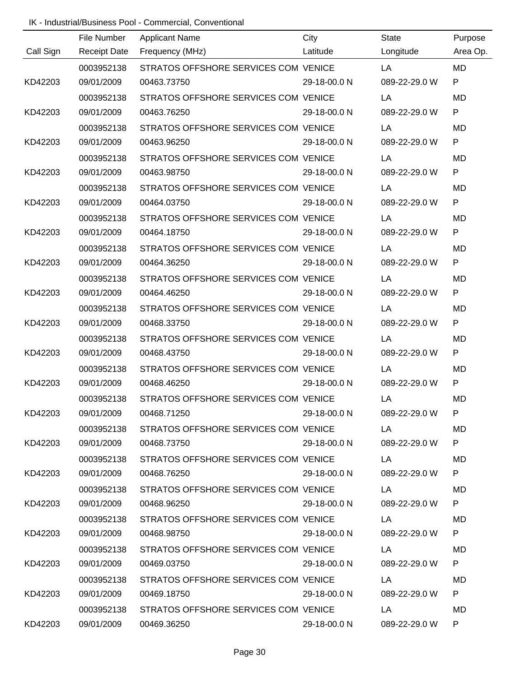|           | File Number         | <b>Applicant Name</b>                           | City         | State         | Purpose      |
|-----------|---------------------|-------------------------------------------------|--------------|---------------|--------------|
| Call Sign | <b>Receipt Date</b> | Frequency (MHz)                                 | Latitude     | Longitude     | Area Op.     |
|           | 0003952138          | STRATOS OFFSHORE SERVICES COM VENICE            |              | LA            | <b>MD</b>    |
| KD42203   | 09/01/2009          | 00463.73750                                     | 29-18-00.0 N | 089-22-29.0 W | $\mathsf{P}$ |
|           | 0003952138          | STRATOS OFFSHORE SERVICES COM VENICE            |              | LA            | <b>MD</b>    |
| KD42203   | 09/01/2009          | 00463.76250                                     | 29-18-00.0 N | 089-22-29.0 W | $\mathsf{P}$ |
|           | 0003952138          | STRATOS OFFSHORE SERVICES COM VENICE            |              | LA            | <b>MD</b>    |
| KD42203   | 09/01/2009          | 00463.96250                                     | 29-18-00.0 N | 089-22-29.0 W | P            |
|           | 0003952138          | STRATOS OFFSHORE SERVICES COM VENICE            |              | LA            | <b>MD</b>    |
| KD42203   | 09/01/2009          | 00463.98750                                     | 29-18-00.0 N | 089-22-29.0 W | P            |
|           | 0003952138          | STRATOS OFFSHORE SERVICES COM VENICE            |              | LA            | <b>MD</b>    |
| KD42203   | 09/01/2009          | 00464.03750                                     | 29-18-00.0 N | 089-22-29.0 W | P            |
|           | 0003952138          | STRATOS OFFSHORE SERVICES COM VENICE            |              | LA            | <b>MD</b>    |
| KD42203   | 09/01/2009          | 00464.18750                                     | 29-18-00.0 N | 089-22-29.0 W | P            |
|           | 0003952138          | STRATOS OFFSHORE SERVICES COM VENICE            |              | LA            | <b>MD</b>    |
| KD42203   | 09/01/2009          | 00464.36250                                     | 29-18-00.0 N | 089-22-29.0 W | P            |
|           | 0003952138          | STRATOS OFFSHORE SERVICES COM VENICE            |              | LA            | <b>MD</b>    |
| KD42203   | 09/01/2009          | 00464.46250                                     | 29-18-00.0 N | 089-22-29.0 W | P            |
|           | 0003952138          | STRATOS OFFSHORE SERVICES COM VENICE            |              | LA            | <b>MD</b>    |
| KD42203   | 09/01/2009          | 00468.33750                                     | 29-18-00.0 N | 089-22-29.0 W | P            |
|           | 0003952138          | STRATOS OFFSHORE SERVICES COM VENICE            |              | LA            | <b>MD</b>    |
| KD42203   | 09/01/2009          | 00468.43750                                     | 29-18-00.0 N | 089-22-29.0 W | $\mathsf{P}$ |
|           | 0003952138          | STRATOS OFFSHORE SERVICES COM VENICE            |              | LA            | MD           |
| KD42203   | 09/01/2009          | 00468.46250                                     | 29-18-00.0 N | 089-22-29.0 W | P            |
|           | 0003952138          | STRATOS OFFSHORE SERVICES COM VENICE            |              | LA            | MD           |
| KD42203   | 09/01/2009          | 00468.71250                                     | 29-18-00.0 N | 089-22-29.0 W | P.           |
|           |                     | 0003952138 STRATOS OFFSHORE SERVICES COM VENICE |              | LA            | MD           |
| KD42203   | 09/01/2009          | 00468.73750                                     | 29-18-00.0 N | 089-22-29.0 W | P.           |
|           | 0003952138          | STRATOS OFFSHORE SERVICES COM VENICE            |              | LA            | MD           |
| KD42203   | 09/01/2009          | 00468.76250                                     | 29-18-00.0 N | 089-22-29.0 W | P            |
|           | 0003952138          | STRATOS OFFSHORE SERVICES COM VENICE            |              | LA            | MD           |
| KD42203   | 09/01/2009          | 00468.96250                                     | 29-18-00.0 N | 089-22-29.0 W | P            |
|           | 0003952138          | STRATOS OFFSHORE SERVICES COM VENICE            |              | LA            | MD           |
| KD42203   | 09/01/2009          | 00468.98750                                     | 29-18-00.0 N | 089-22-29.0 W | P            |
|           | 0003952138          | STRATOS OFFSHORE SERVICES COM VENICE            |              | LA            | MD           |
| KD42203   | 09/01/2009          | 00469.03750                                     | 29-18-00.0 N | 089-22-29.0 W | P            |
|           | 0003952138          | STRATOS OFFSHORE SERVICES COM VENICE            |              | LA            | MD           |
| KD42203   | 09/01/2009          | 00469.18750                                     | 29-18-00.0 N | 089-22-29.0 W | P            |
|           | 0003952138          | STRATOS OFFSHORE SERVICES COM VENICE            |              | LA            | MD           |
| KD42203   | 09/01/2009          | 00469.36250                                     | 29-18-00.0 N | 089-22-29.0 W | P.           |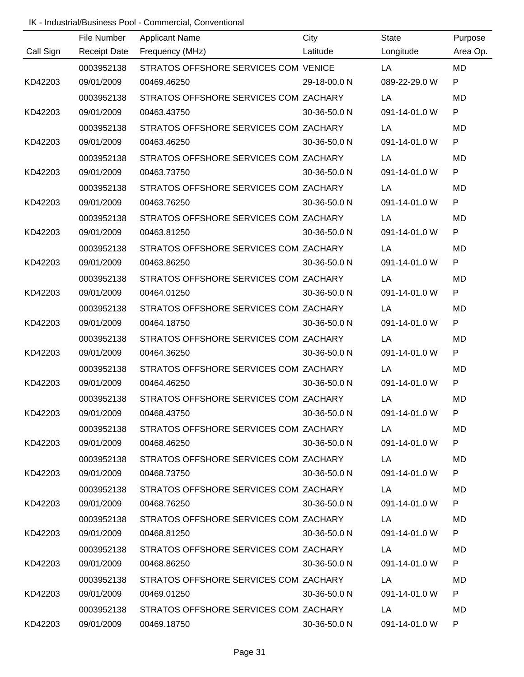|           | File Number         | <b>Applicant Name</b>                            | City         | <b>State</b>  | Purpose      |
|-----------|---------------------|--------------------------------------------------|--------------|---------------|--------------|
| Call Sign | <b>Receipt Date</b> | Frequency (MHz)                                  | Latitude     | Longitude     | Area Op.     |
|           | 0003952138          | STRATOS OFFSHORE SERVICES COM VENICE             |              | LA            | <b>MD</b>    |
| KD42203   | 09/01/2009          | 00469.46250                                      | 29-18-00.0 N | 089-22-29.0 W | P            |
|           | 0003952138          | STRATOS OFFSHORE SERVICES COM ZACHARY            |              | LA            | MD           |
| KD42203   | 09/01/2009          | 00463.43750                                      | 30-36-50.0 N | 091-14-01.0 W | P            |
|           | 0003952138          | STRATOS OFFSHORE SERVICES COM ZACHARY            |              | LA            | <b>MD</b>    |
| KD42203   | 09/01/2009          | 00463.46250                                      | 30-36-50.0 N | 091-14-01.0 W | $\mathsf{P}$ |
|           | 0003952138          | STRATOS OFFSHORE SERVICES COM ZACHARY            |              | LA            | <b>MD</b>    |
| KD42203   | 09/01/2009          | 00463.73750                                      | 30-36-50.0 N | 091-14-01.0 W | $\mathsf{P}$ |
|           | 0003952138          | STRATOS OFFSHORE SERVICES COM ZACHARY            |              | LA            | <b>MD</b>    |
| KD42203   | 09/01/2009          | 00463.76250                                      | 30-36-50.0 N | 091-14-01.0 W | P            |
|           | 0003952138          | STRATOS OFFSHORE SERVICES COM ZACHARY            |              | LA            | <b>MD</b>    |
| KD42203   | 09/01/2009          | 00463.81250                                      | 30-36-50.0 N | 091-14-01.0 W | ${\sf P}$    |
|           | 0003952138          | STRATOS OFFSHORE SERVICES COM ZACHARY            |              | LA            | <b>MD</b>    |
| KD42203   | 09/01/2009          | 00463.86250                                      | 30-36-50.0 N | 091-14-01.0 W | ${\sf P}$    |
|           | 0003952138          | STRATOS OFFSHORE SERVICES COM ZACHARY            |              | LA            | MD           |
| KD42203   | 09/01/2009          | 00464.01250                                      | 30-36-50.0 N | 091-14-01.0 W | ${\sf P}$    |
|           | 0003952138          | STRATOS OFFSHORE SERVICES COM ZACHARY            |              | LA            | <b>MD</b>    |
| KD42203   | 09/01/2009          | 00464.18750                                      | 30-36-50.0 N | 091-14-01.0 W | P            |
|           | 0003952138          | STRATOS OFFSHORE SERVICES COM ZACHARY            |              | LA            | MD           |
| KD42203   | 09/01/2009          | 00464.36250                                      | 30-36-50.0 N | 091-14-01.0 W | P            |
|           | 0003952138          | STRATOS OFFSHORE SERVICES COM ZACHARY            |              | LA            | MD           |
| KD42203   | 09/01/2009          | 00464.46250                                      | 30-36-50.0 N | 091-14-01.0 W | P            |
|           | 0003952138          | STRATOS OFFSHORE SERVICES COM ZACHARY            |              | LA            | MD           |
| KD42203   | 09/01/2009          | 00468.43750                                      | 30-36-50.0 N | 091-14-01.0 W |              |
|           |                     | 0003952138 STRATOS OFFSHORE SERVICES COM ZACHARY |              | LA            | MD           |
| KD42203   | 09/01/2009          | 00468.46250                                      | 30-36-50.0 N | 091-14-01.0 W | P            |
|           |                     | 0003952138 STRATOS OFFSHORE SERVICES COM ZACHARY |              | <b>LA</b>     | MD.          |
| KD42203   | 09/01/2009          | 00468.73750                                      | 30-36-50.0 N | 091-14-01.0 W | P            |
|           | 0003952138          | STRATOS OFFSHORE SERVICES COM ZACHARY            |              | LA            | MD.          |
| KD42203   | 09/01/2009          | 00468.76250                                      | 30-36-50.0 N | 091-14-01.0 W | P            |
|           | 0003952138          | STRATOS OFFSHORE SERVICES COM ZACHARY            |              | LA            | MD.          |
| KD42203   | 09/01/2009          | 00468.81250                                      | 30-36-50.0 N | 091-14-01.0 W | P            |
|           | 0003952138          | STRATOS OFFSHORE SERVICES COM ZACHARY            |              | LA            | MD.          |
| KD42203   | 09/01/2009          | 00468.86250                                      | 30-36-50.0 N | 091-14-01.0 W | P            |
|           | 0003952138          | STRATOS OFFSHORE SERVICES COM ZACHARY            |              | LA            | MD.          |
| KD42203   | 09/01/2009          | 00469.01250                                      | 30-36-50.0 N | 091-14-01.0 W | P            |
|           | 0003952138          | STRATOS OFFSHORE SERVICES COM ZACHARY            |              | LA            | MD           |
| KD42203   | 09/01/2009          | 00469.18750                                      | 30-36-50.0 N | 091-14-01.0 W | P.           |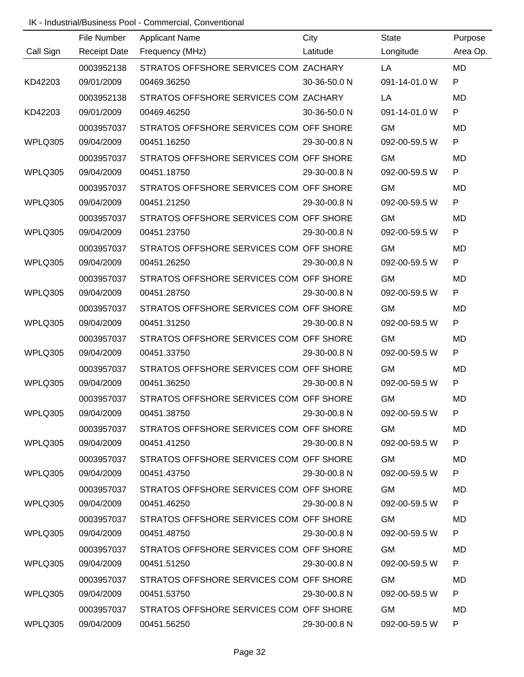|           | File Number         | <b>Applicant Name</b>                   | City         | <b>State</b>  | Purpose      |
|-----------|---------------------|-----------------------------------------|--------------|---------------|--------------|
| Call Sign | <b>Receipt Date</b> | Frequency (MHz)                         | Latitude     | Longitude     | Area Op.     |
|           | 0003952138          | STRATOS OFFSHORE SERVICES COM ZACHARY   |              | LA            | <b>MD</b>    |
| KD42203   | 09/01/2009          | 00469.36250                             | 30-36-50.0 N | 091-14-01.0 W | P            |
|           | 0003952138          | STRATOS OFFSHORE SERVICES COM ZACHARY   |              | LA            | MD           |
| KD42203   | 09/01/2009          | 00469.46250                             | 30-36-50.0 N | 091-14-01.0 W | P            |
|           | 0003957037          | STRATOS OFFSHORE SERVICES COM OFF SHORE |              | <b>GM</b>     | <b>MD</b>    |
| WPLQ305   | 09/04/2009          | 00451.16250                             | 29-30-00.8 N | 092-00-59.5 W | $\mathsf{P}$ |
|           | 0003957037          | STRATOS OFFSHORE SERVICES COM OFF SHORE |              | <b>GM</b>     | <b>MD</b>    |
| WPLQ305   | 09/04/2009          | 00451.18750                             | 29-30-00.8 N | 092-00-59.5 W | P            |
|           | 0003957037          | STRATOS OFFSHORE SERVICES COM OFF SHORE |              | <b>GM</b>     | <b>MD</b>    |
| WPLQ305   | 09/04/2009          | 00451.21250                             | 29-30-00.8 N | 092-00-59.5 W | P            |
|           | 0003957037          | STRATOS OFFSHORE SERVICES COM OFF SHORE |              | <b>GM</b>     | <b>MD</b>    |
| WPLQ305   | 09/04/2009          | 00451.23750                             | 29-30-00.8 N | 092-00-59.5 W | ${\sf P}$    |
|           | 0003957037          | STRATOS OFFSHORE SERVICES COM OFF SHORE |              | <b>GM</b>     | <b>MD</b>    |
| WPLQ305   | 09/04/2009          | 00451.26250                             | 29-30-00.8 N | 092-00-59.5 W | ${\sf P}$    |
|           | 0003957037          | STRATOS OFFSHORE SERVICES COM OFF SHORE |              | <b>GM</b>     | MD           |
| WPLQ305   | 09/04/2009          | 00451.28750                             | 29-30-00.8 N | 092-00-59.5 W | ${\sf P}$    |
|           | 0003957037          | STRATOS OFFSHORE SERVICES COM OFF SHORE |              | <b>GM</b>     | <b>MD</b>    |
| WPLQ305   | 09/04/2009          | 00451.31250                             | 29-30-00.8 N | 092-00-59.5 W | P            |
|           | 0003957037          | STRATOS OFFSHORE SERVICES COM OFF SHORE |              | <b>GM</b>     | MD           |
| WPLQ305   | 09/04/2009          | 00451.33750                             | 29-30-00.8 N | 092-00-59.5 W | P            |
|           | 0003957037          | STRATOS OFFSHORE SERVICES COM OFF SHORE |              | <b>GM</b>     | MD           |
| WPLQ305   | 09/04/2009          | 00451.36250                             | 29-30-00.8 N | 092-00-59.5 W | P            |
|           | 0003957037          | STRATOS OFFSHORE SERVICES COM OFF SHORE |              | <b>GM</b>     | MD           |
| WPLQ305   | 09/04/2009          | 00451.38750                             | 29-30-00.8 N | 092-00-59.5 W |              |
|           | 0003957037          | STRATOS OFFSHORE SERVICES COM OFF SHORE |              | <b>GM</b>     | MD           |
| WPLQ305   | 09/04/2009          | 00451.41250                             | 29-30-00.8 N | 092-00-59.5 W | P            |
|           | 0003957037          | STRATOS OFFSHORE SERVICES COM OFF SHORE |              | <b>GM</b>     | MD.          |
| WPLQ305   | 09/04/2009          | 00451.43750                             | 29-30-00.8 N | 092-00-59.5 W | P            |
|           | 0003957037          | STRATOS OFFSHORE SERVICES COM OFF SHORE |              | <b>GM</b>     | MD.          |
| WPLQ305   | 09/04/2009          | 00451.46250                             | 29-30-00.8 N | 092-00-59.5 W | P            |
|           | 0003957037          | STRATOS OFFSHORE SERVICES COM OFF SHORE |              | <b>GM</b>     | MD.          |
| WPLQ305   | 09/04/2009          | 00451.48750                             | 29-30-00.8 N | 092-00-59.5 W | P            |
|           | 0003957037          | STRATOS OFFSHORE SERVICES COM OFF SHORE |              | <b>GM</b>     | MD.          |
| WPLQ305   | 09/04/2009          | 00451.51250                             | 29-30-00.8 N | 092-00-59.5 W | P            |
|           | 0003957037          | STRATOS OFFSHORE SERVICES COM OFF SHORE |              | <b>GM</b>     | MD.          |
| WPLQ305   | 09/04/2009          | 00451.53750                             | 29-30-00.8 N | 092-00-59.5 W | P            |
|           | 0003957037          | STRATOS OFFSHORE SERVICES COM OFF SHORE |              | <b>GM</b>     | MD           |
| WPLQ305   | 09/04/2009          | 00451.56250                             | 29-30-00.8 N | 092-00-59.5 W | P            |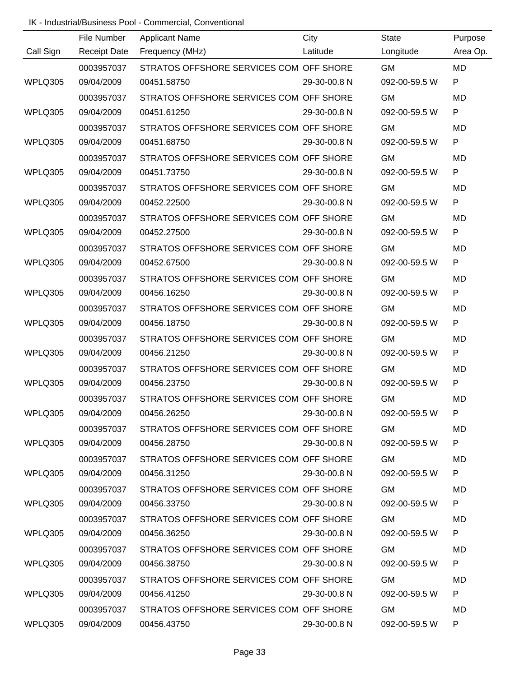|           | File Number         | <b>Applicant Name</b>                   | City         | <b>State</b>  | Purpose   |
|-----------|---------------------|-----------------------------------------|--------------|---------------|-----------|
| Call Sign | <b>Receipt Date</b> | Frequency (MHz)                         | Latitude     | Longitude     | Area Op.  |
|           | 0003957037          | STRATOS OFFSHORE SERVICES COM OFF SHORE |              | <b>GM</b>     | <b>MD</b> |
| WPLQ305   | 09/04/2009          | 00451.58750                             | 29-30-00.8 N | 092-00-59.5 W | P         |
|           | 0003957037          | STRATOS OFFSHORE SERVICES COM OFF SHORE |              | <b>GM</b>     | <b>MD</b> |
| WPLQ305   | 09/04/2009          | 00451.61250                             | 29-30-00.8 N | 092-00-59.5 W | P         |
|           | 0003957037          | STRATOS OFFSHORE SERVICES COM OFF SHORE |              | <b>GM</b>     | MD        |
| WPLQ305   | 09/04/2009          | 00451.68750                             | 29-30-00.8 N | 092-00-59.5 W | P         |
|           | 0003957037          | STRATOS OFFSHORE SERVICES COM OFF SHORE |              | <b>GM</b>     | <b>MD</b> |
| WPLQ305   | 09/04/2009          | 00451.73750                             | 29-30-00.8 N | 092-00-59.5 W | P         |
|           | 0003957037          | STRATOS OFFSHORE SERVICES COM OFF SHORE |              | <b>GM</b>     | MD        |
| WPLQ305   | 09/04/2009          | 00452.22500                             | 29-30-00.8 N | 092-00-59.5 W | P         |
|           | 0003957037          | STRATOS OFFSHORE SERVICES COM OFF SHORE |              | <b>GM</b>     | <b>MD</b> |
| WPLQ305   | 09/04/2009          | 00452.27500                             | 29-30-00.8 N | 092-00-59.5 W | P         |
|           | 0003957037          | STRATOS OFFSHORE SERVICES COM OFF SHORE |              | <b>GM</b>     | MD        |
| WPLQ305   | 09/04/2009          | 00452.67500                             | 29-30-00.8 N | 092-00-59.5 W | P         |
|           | 0003957037          | STRATOS OFFSHORE SERVICES COM OFF SHORE |              | <b>GM</b>     | <b>MD</b> |
| WPLQ305   | 09/04/2009          | 00456.16250                             | 29-30-00.8 N | 092-00-59.5 W | P         |
|           | 0003957037          | STRATOS OFFSHORE SERVICES COM OFF SHORE |              | <b>GM</b>     | MD        |
| WPLQ305   | 09/04/2009          | 00456.18750                             | 29-30-00.8 N | 092-00-59.5 W | P         |
|           | 0003957037          | STRATOS OFFSHORE SERVICES COM OFF SHORE |              | <b>GM</b>     | <b>MD</b> |
| WPLQ305   | 09/04/2009          | 00456.21250                             | 29-30-00.8 N | 092-00-59.5 W | P         |
|           | 0003957037          | STRATOS OFFSHORE SERVICES COM OFF SHORE |              | <b>GM</b>     | MD        |
| WPLQ305   | 09/04/2009          | 00456.23750                             | 29-30-00.8 N | 092-00-59.5 W | P         |
|           | 0003957037          | STRATOS OFFSHORE SERVICES COM OFF SHORE |              | <b>GM</b>     | MD        |
| WPLQ305   | 09/04/2009          | 00456.26250                             | 29-30-00.8 N | 092-00-59.5 W |           |
|           | 0003957037          | STRATOS OFFSHORE SERVICES COM OFF SHORE |              | <b>GM</b>     | MD.       |
| WPLQ305   | 09/04/2009          | 00456.28750                             | 29-30-00.8 N | 092-00-59.5 W | P         |
|           | 0003957037          | STRATOS OFFSHORE SERVICES COM OFF SHORE |              | <b>GM</b>     | MD        |
| WPLQ305   | 09/04/2009          | 00456.31250                             | 29-30-00.8 N | 092-00-59.5 W | P         |
|           | 0003957037          | STRATOS OFFSHORE SERVICES COM OFF SHORE |              | <b>GM</b>     | MD.       |
| WPLQ305   | 09/04/2009          | 00456.33750                             | 29-30-00.8 N | 092-00-59.5 W | P         |
|           | 0003957037          | STRATOS OFFSHORE SERVICES COM OFF SHORE |              | <b>GM</b>     | MD        |
| WPLQ305   | 09/04/2009          | 00456.36250                             | 29-30-00.8 N | 092-00-59.5 W | P         |
|           | 0003957037          | STRATOS OFFSHORE SERVICES COM OFF SHORE |              | <b>GM</b>     | MD        |
| WPLQ305   | 09/04/2009          | 00456.38750                             | 29-30-00.8 N | 092-00-59.5 W | P         |
|           | 0003957037          | STRATOS OFFSHORE SERVICES COM OFF SHORE |              | <b>GM</b>     | MD        |
| WPLQ305   | 09/04/2009          | 00456.41250                             | 29-30-00.8 N | 092-00-59.5 W | P         |
|           | 0003957037          | STRATOS OFFSHORE SERVICES COM OFF SHORE |              | <b>GM</b>     | MD        |
| WPLQ305   | 09/04/2009          | 00456.43750                             | 29-30-00.8 N | 092-00-59.5 W | P         |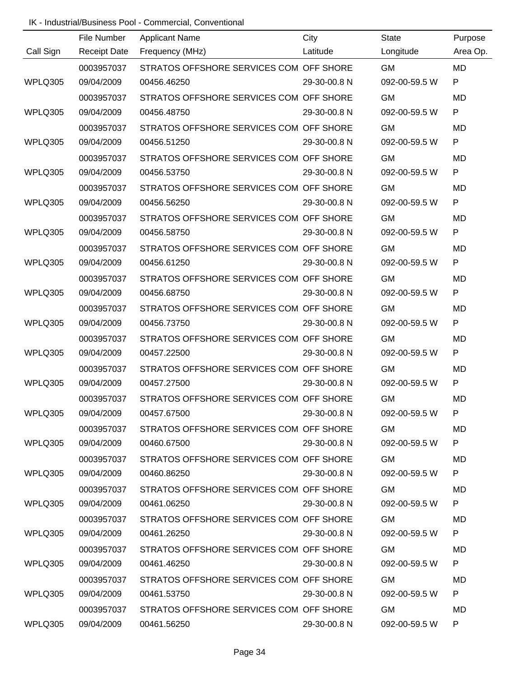|           | File Number         | <b>Applicant Name</b>                   | City         | <b>State</b>  | Purpose   |
|-----------|---------------------|-----------------------------------------|--------------|---------------|-----------|
| Call Sign | <b>Receipt Date</b> | Frequency (MHz)                         | Latitude     | Longitude     | Area Op.  |
|           | 0003957037          | STRATOS OFFSHORE SERVICES COM OFF SHORE |              | <b>GM</b>     | <b>MD</b> |
| WPLQ305   | 09/04/2009          | 00456.46250                             | 29-30-00.8 N | 092-00-59.5 W | P         |
|           | 0003957037          | STRATOS OFFSHORE SERVICES COM OFF SHORE |              | <b>GM</b>     | <b>MD</b> |
| WPLQ305   | 09/04/2009          | 00456.48750                             | 29-30-00.8 N | 092-00-59.5 W | P         |
|           | 0003957037          | STRATOS OFFSHORE SERVICES COM OFF SHORE |              | <b>GM</b>     | MD        |
| WPLQ305   | 09/04/2009          | 00456.51250                             | 29-30-00.8 N | 092-00-59.5 W | P         |
|           | 0003957037          | STRATOS OFFSHORE SERVICES COM OFF SHORE |              | <b>GM</b>     | <b>MD</b> |
| WPLQ305   | 09/04/2009          | 00456.53750                             | 29-30-00.8 N | 092-00-59.5 W | P         |
|           | 0003957037          | STRATOS OFFSHORE SERVICES COM OFF SHORE |              | <b>GM</b>     | MD        |
| WPLQ305   | 09/04/2009          | 00456.56250                             | 29-30-00.8 N | 092-00-59.5 W | P         |
|           | 0003957037          | STRATOS OFFSHORE SERVICES COM OFF SHORE |              | <b>GM</b>     | <b>MD</b> |
| WPLQ305   | 09/04/2009          | 00456.58750                             | 29-30-00.8 N | 092-00-59.5 W | P         |
|           | 0003957037          | STRATOS OFFSHORE SERVICES COM OFF SHORE |              | <b>GM</b>     | MD        |
| WPLQ305   | 09/04/2009          | 00456.61250                             | 29-30-00.8 N | 092-00-59.5 W | P         |
|           | 0003957037          | STRATOS OFFSHORE SERVICES COM OFF SHORE |              | <b>GM</b>     | <b>MD</b> |
| WPLQ305   | 09/04/2009          | 00456.68750                             | 29-30-00.8 N | 092-00-59.5 W | P         |
|           | 0003957037          | STRATOS OFFSHORE SERVICES COM OFF SHORE |              | <b>GM</b>     | MD        |
| WPLQ305   | 09/04/2009          | 00456.73750                             | 29-30-00.8 N | 092-00-59.5 W | P         |
|           | 0003957037          | STRATOS OFFSHORE SERVICES COM OFF SHORE |              | <b>GM</b>     | <b>MD</b> |
| WPLQ305   | 09/04/2009          | 00457.22500                             | 29-30-00.8 N | 092-00-59.5 W | P         |
|           | 0003957037          | STRATOS OFFSHORE SERVICES COM OFF SHORE |              | <b>GM</b>     | MD        |
| WPLQ305   | 09/04/2009          | 00457.27500                             | 29-30-00.8 N | 092-00-59.5 W | P         |
|           | 0003957037          | STRATOS OFFSHORE SERVICES COM OFF SHORE |              | <b>GM</b>     | MD        |
| WPLQ305   | 09/04/2009          | 00457.67500                             | 29-30-00.8 N | 092-00-59.5 W |           |
|           | 0003957037          | STRATOS OFFSHORE SERVICES COM OFF SHORE |              | <b>GM</b>     | MD.       |
| WPLQ305   | 09/04/2009          | 00460.67500                             | 29-30-00.8 N | 092-00-59.5 W | P         |
|           | 0003957037          | STRATOS OFFSHORE SERVICES COM OFF SHORE |              | <b>GM</b>     | MD        |
| WPLQ305   | 09/04/2009          | 00460.86250                             | 29-30-00.8 N | 092-00-59.5 W | P         |
|           | 0003957037          | STRATOS OFFSHORE SERVICES COM OFF SHORE |              | <b>GM</b>     | MD.       |
| WPLQ305   | 09/04/2009          | 00461.06250                             | 29-30-00.8 N | 092-00-59.5 W | P         |
|           | 0003957037          | STRATOS OFFSHORE SERVICES COM OFF SHORE |              | <b>GM</b>     | MD        |
| WPLQ305   | 09/04/2009          | 00461.26250                             | 29-30-00.8 N | 092-00-59.5 W | P         |
|           | 0003957037          | STRATOS OFFSHORE SERVICES COM OFF SHORE |              | <b>GM</b>     | MD        |
| WPLQ305   | 09/04/2009          | 00461.46250                             | 29-30-00.8 N | 092-00-59.5 W | P         |
|           | 0003957037          | STRATOS OFFSHORE SERVICES COM OFF SHORE |              | <b>GM</b>     | MD        |
| WPLQ305   | 09/04/2009          | 00461.53750                             | 29-30-00.8 N | 092-00-59.5 W | P         |
|           | 0003957037          | STRATOS OFFSHORE SERVICES COM OFF SHORE |              | <b>GM</b>     | MD        |
| WPLQ305   | 09/04/2009          | 00461.56250                             | 29-30-00.8 N | 092-00-59.5 W | P         |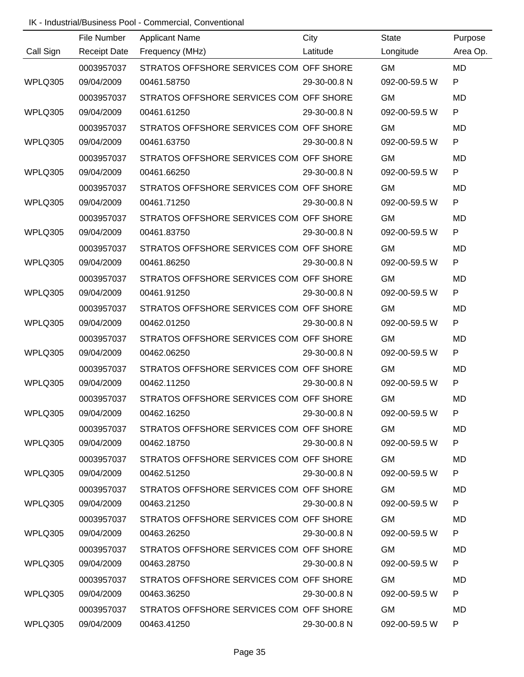|           | File Number         | <b>Applicant Name</b>                   | City         | State         | Purpose      |
|-----------|---------------------|-----------------------------------------|--------------|---------------|--------------|
| Call Sign | <b>Receipt Date</b> | Frequency (MHz)                         | Latitude     | Longitude     | Area Op.     |
|           | 0003957037          | STRATOS OFFSHORE SERVICES COM OFF SHORE |              | <b>GM</b>     | <b>MD</b>    |
| WPLQ305   | 09/04/2009          | 00461.58750                             | 29-30-00.8 N | 092-00-59.5 W | $\mathsf{P}$ |
|           | 0003957037          | STRATOS OFFSHORE SERVICES COM OFF SHORE |              | <b>GM</b>     | <b>MD</b>    |
| WPLQ305   | 09/04/2009          | 00461.61250                             | 29-30-00.8 N | 092-00-59.5 W | $\mathsf{P}$ |
|           | 0003957037          | STRATOS OFFSHORE SERVICES COM OFF SHORE |              | <b>GM</b>     | <b>MD</b>    |
| WPLQ305   | 09/04/2009          | 00461.63750                             | 29-30-00.8 N | 092-00-59.5 W | P            |
|           | 0003957037          | STRATOS OFFSHORE SERVICES COM OFF SHORE |              | <b>GM</b>     | <b>MD</b>    |
| WPLQ305   | 09/04/2009          | 00461.66250                             | 29-30-00.8 N | 092-00-59.5 W | P            |
|           | 0003957037          | STRATOS OFFSHORE SERVICES COM OFF SHORE |              | <b>GM</b>     | <b>MD</b>    |
| WPLQ305   | 09/04/2009          | 00461.71250                             | 29-30-00.8 N | 092-00-59.5 W | P            |
|           | 0003957037          | STRATOS OFFSHORE SERVICES COM OFF SHORE |              | <b>GM</b>     | <b>MD</b>    |
| WPLQ305   | 09/04/2009          | 00461.83750                             | 29-30-00.8 N | 092-00-59.5 W | $\mathsf{P}$ |
|           | 0003957037          | STRATOS OFFSHORE SERVICES COM OFF SHORE |              | <b>GM</b>     | <b>MD</b>    |
| WPLQ305   | 09/04/2009          | 00461.86250                             | 29-30-00.8 N | 092-00-59.5 W | $\mathsf{P}$ |
|           | 0003957037          | STRATOS OFFSHORE SERVICES COM OFF SHORE |              | <b>GM</b>     | <b>MD</b>    |
| WPLQ305   | 09/04/2009          | 00461.91250                             | 29-30-00.8 N | 092-00-59.5 W | $\mathsf{P}$ |
|           | 0003957037          | STRATOS OFFSHORE SERVICES COM OFF SHORE |              | <b>GM</b>     | <b>MD</b>    |
| WPLQ305   | 09/04/2009          | 00462.01250                             | 29-30-00.8 N | 092-00-59.5 W | $\mathsf{P}$ |
|           | 0003957037          | STRATOS OFFSHORE SERVICES COM OFF SHORE |              | <b>GM</b>     | <b>MD</b>    |
| WPLQ305   | 09/04/2009          | 00462.06250                             | 29-30-00.8 N | 092-00-59.5 W | P            |
|           | 0003957037          | STRATOS OFFSHORE SERVICES COM OFF SHORE |              | <b>GM</b>     | <b>MD</b>    |
| WPLQ305   | 09/04/2009          | 00462.11250                             | 29-30-00.8 N | 092-00-59.5 W | P            |
|           | 0003957037          | STRATOS OFFSHORE SERVICES COM OFF SHORE |              | <b>GM</b>     | <b>MD</b>    |
| WPLQ305   | 09/04/2009          | 00462.16250                             | 29-30-00.8 N | 092-00-59.5 W |              |
|           | 0003957037          | STRATOS OFFSHORE SERVICES COM OFF SHORE |              | <b>GM</b>     | MD.          |
| WPLQ305   | 09/04/2009          | 00462.18750                             | 29-30-00.8 N | 092-00-59.5 W | P            |
|           | 0003957037          | STRATOS OFFSHORE SERVICES COM OFF SHORE |              | <b>GM</b>     | MD           |
| WPLQ305   | 09/04/2009          | 00462.51250                             | 29-30-00.8 N | 092-00-59.5 W | P            |
|           | 0003957037          | STRATOS OFFSHORE SERVICES COM OFF SHORE |              | <b>GM</b>     | MD           |
| WPLQ305   | 09/04/2009          | 00463.21250                             | 29-30-00.8 N | 092-00-59.5 W | P            |
|           | 0003957037          | STRATOS OFFSHORE SERVICES COM OFF SHORE |              | <b>GM</b>     | MD           |
| WPLQ305   | 09/04/2009          | 00463.26250                             | 29-30-00.8 N | 092-00-59.5 W | P            |
|           | 0003957037          | STRATOS OFFSHORE SERVICES COM OFF SHORE |              | <b>GM</b>     | MD           |
| WPLQ305   | 09/04/2009          | 00463.28750                             | 29-30-00.8 N | 092-00-59.5 W | P            |
|           | 0003957037          | STRATOS OFFSHORE SERVICES COM OFF SHORE |              | <b>GM</b>     | MD           |
| WPLQ305   | 09/04/2009          | 00463.36250                             | 29-30-00.8 N | 092-00-59.5 W | P            |
|           | 0003957037          | STRATOS OFFSHORE SERVICES COM OFF SHORE |              | <b>GM</b>     | MD           |
| WPLQ305   | 09/04/2009          | 00463.41250                             | 29-30-00.8 N | 092-00-59.5 W | P            |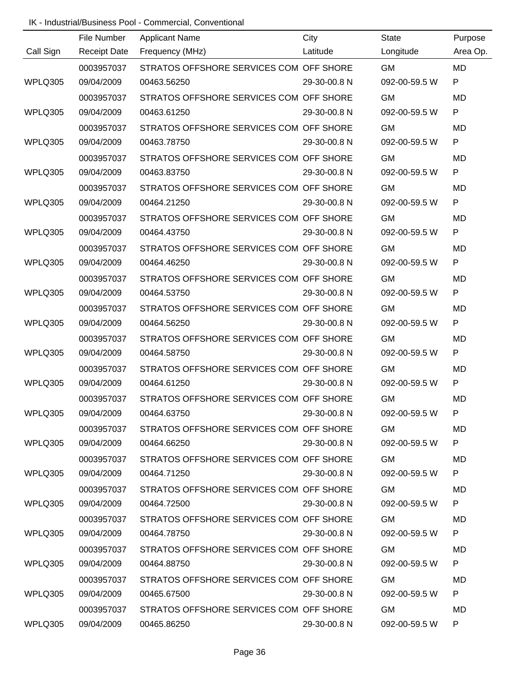|           | File Number         | <b>Applicant Name</b>                   | City         | State         | Purpose      |
|-----------|---------------------|-----------------------------------------|--------------|---------------|--------------|
| Call Sign | <b>Receipt Date</b> | Frequency (MHz)                         | Latitude     | Longitude     | Area Op.     |
|           | 0003957037          | STRATOS OFFSHORE SERVICES COM OFF SHORE |              | <b>GM</b>     | <b>MD</b>    |
| WPLQ305   | 09/04/2009          | 00463.56250                             | 29-30-00.8 N | 092-00-59.5 W | $\mathsf{P}$ |
|           | 0003957037          | STRATOS OFFSHORE SERVICES COM OFF SHORE |              | <b>GM</b>     | <b>MD</b>    |
| WPLQ305   | 09/04/2009          | 00463.61250                             | 29-30-00.8 N | 092-00-59.5 W | $\mathsf{P}$ |
|           | 0003957037          | STRATOS OFFSHORE SERVICES COM OFF SHORE |              | <b>GM</b>     | <b>MD</b>    |
| WPLQ305   | 09/04/2009          | 00463.78750                             | 29-30-00.8 N | 092-00-59.5 W | P            |
|           | 0003957037          | STRATOS OFFSHORE SERVICES COM OFF SHORE |              | <b>GM</b>     | <b>MD</b>    |
| WPLQ305   | 09/04/2009          | 00463.83750                             | 29-30-00.8 N | 092-00-59.5 W | P            |
|           | 0003957037          | STRATOS OFFSHORE SERVICES COM OFF SHORE |              | <b>GM</b>     | <b>MD</b>    |
| WPLQ305   | 09/04/2009          | 00464.21250                             | 29-30-00.8 N | 092-00-59.5 W | P            |
|           | 0003957037          | STRATOS OFFSHORE SERVICES COM OFF SHORE |              | <b>GM</b>     | <b>MD</b>    |
| WPLQ305   | 09/04/2009          | 00464.43750                             | 29-30-00.8 N | 092-00-59.5 W | $\mathsf{P}$ |
|           | 0003957037          | STRATOS OFFSHORE SERVICES COM OFF SHORE |              | <b>GM</b>     | <b>MD</b>    |
| WPLQ305   | 09/04/2009          | 00464.46250                             | 29-30-00.8 N | 092-00-59.5 W | $\mathsf{P}$ |
|           | 0003957037          | STRATOS OFFSHORE SERVICES COM OFF SHORE |              | <b>GM</b>     | <b>MD</b>    |
| WPLQ305   | 09/04/2009          | 00464.53750                             | 29-30-00.8 N | 092-00-59.5 W | $\mathsf{P}$ |
|           | 0003957037          | STRATOS OFFSHORE SERVICES COM OFF SHORE |              | <b>GM</b>     | <b>MD</b>    |
| WPLQ305   | 09/04/2009          | 00464.56250                             | 29-30-00.8 N | 092-00-59.5 W | $\mathsf{P}$ |
|           | 0003957037          | STRATOS OFFSHORE SERVICES COM OFF SHORE |              | <b>GM</b>     | <b>MD</b>    |
| WPLQ305   | 09/04/2009          | 00464.58750                             | 29-30-00.8 N | 092-00-59.5 W | P            |
|           | 0003957037          | STRATOS OFFSHORE SERVICES COM OFF SHORE |              | <b>GM</b>     | <b>MD</b>    |
| WPLQ305   | 09/04/2009          | 00464.61250                             | 29-30-00.8 N | 092-00-59.5 W | P            |
|           | 0003957037          | STRATOS OFFSHORE SERVICES COM OFF SHORE |              | <b>GM</b>     | <b>MD</b>    |
| WPLQ305   | 09/04/2009          | 00464.63750                             | 29-30-00.8 N | 092-00-59.5 W |              |
|           | 0003957037          | STRATOS OFFSHORE SERVICES COM OFF SHORE |              | <b>GM</b>     | MD.          |
| WPLQ305   | 09/04/2009          | 00464.66250                             | 29-30-00.8 N | 092-00-59.5 W | P            |
|           | 0003957037          | STRATOS OFFSHORE SERVICES COM OFF SHORE |              | <b>GM</b>     | MD           |
| WPLQ305   | 09/04/2009          | 00464.71250                             | 29-30-00.8 N | 092-00-59.5 W | P            |
|           | 0003957037          | STRATOS OFFSHORE SERVICES COM OFF SHORE |              | <b>GM</b>     | MD           |
| WPLQ305   | 09/04/2009          | 00464.72500                             | 29-30-00.8 N | 092-00-59.5 W | P            |
|           | 0003957037          | STRATOS OFFSHORE SERVICES COM OFF SHORE |              | <b>GM</b>     | MD           |
| WPLQ305   | 09/04/2009          | 00464.78750                             | 29-30-00.8 N | 092-00-59.5 W | P            |
|           | 0003957037          | STRATOS OFFSHORE SERVICES COM OFF SHORE |              | <b>GM</b>     | MD           |
| WPLQ305   | 09/04/2009          | 00464.88750                             | 29-30-00.8 N | 092-00-59.5 W | P            |
|           | 0003957037          | STRATOS OFFSHORE SERVICES COM OFF SHORE |              | <b>GM</b>     | MD           |
| WPLQ305   | 09/04/2009          | 00465.67500                             | 29-30-00.8 N | 092-00-59.5 W | P            |
|           | 0003957037          | STRATOS OFFSHORE SERVICES COM OFF SHORE |              | <b>GM</b>     | MD           |
| WPLQ305   | 09/04/2009          | 00465.86250                             | 29-30-00.8 N | 092-00-59.5 W | P            |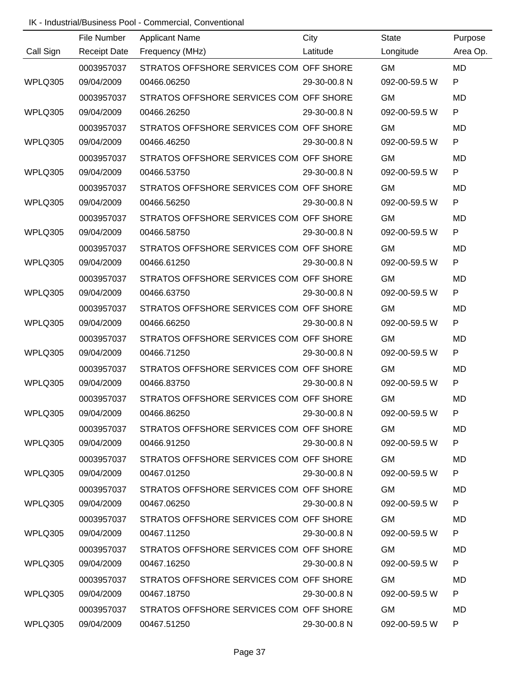|           | File Number         | <b>Applicant Name</b>                   | City         | <b>State</b>  | Purpose   |
|-----------|---------------------|-----------------------------------------|--------------|---------------|-----------|
| Call Sign | <b>Receipt Date</b> | Frequency (MHz)                         | Latitude     | Longitude     | Area Op.  |
|           | 0003957037          | STRATOS OFFSHORE SERVICES COM OFF SHORE |              | <b>GM</b>     | <b>MD</b> |
| WPLQ305   | 09/04/2009          | 00466.06250                             | 29-30-00.8 N | 092-00-59.5 W | P         |
|           | 0003957037          | STRATOS OFFSHORE SERVICES COM OFF SHORE |              | <b>GM</b>     | MD        |
| WPLQ305   | 09/04/2009          | 00466.26250                             | 29-30-00.8 N | 092-00-59.5 W | P         |
|           | 0003957037          | STRATOS OFFSHORE SERVICES COM OFF SHORE |              | <b>GM</b>     | <b>MD</b> |
| WPLQ305   | 09/04/2009          | 00466.46250                             | 29-30-00.8 N | 092-00-59.5 W | P         |
|           | 0003957037          | STRATOS OFFSHORE SERVICES COM OFF SHORE |              | <b>GM</b>     | <b>MD</b> |
| WPLQ305   | 09/04/2009          | 00466.53750                             | 29-30-00.8 N | 092-00-59.5 W | P         |
|           | 0003957037          | STRATOS OFFSHORE SERVICES COM OFF SHORE |              | <b>GM</b>     | <b>MD</b> |
| WPLQ305   | 09/04/2009          | 00466.56250                             | 29-30-00.8 N | 092-00-59.5 W | P         |
|           | 0003957037          | STRATOS OFFSHORE SERVICES COM OFF SHORE |              | <b>GM</b>     | <b>MD</b> |
| WPLQ305   | 09/04/2009          | 00466.58750                             | 29-30-00.8 N | 092-00-59.5 W | ${\sf P}$ |
|           | 0003957037          | STRATOS OFFSHORE SERVICES COM OFF SHORE |              | <b>GM</b>     | <b>MD</b> |
| WPLQ305   | 09/04/2009          | 00466.61250                             | 29-30-00.8 N | 092-00-59.5 W | ${\sf P}$ |
|           | 0003957037          | STRATOS OFFSHORE SERVICES COM OFF SHORE |              | <b>GM</b>     | MD        |
| WPLQ305   | 09/04/2009          | 00466.63750                             | 29-30-00.8 N | 092-00-59.5 W | ${\sf P}$ |
|           | 0003957037          | STRATOS OFFSHORE SERVICES COM OFF SHORE |              | <b>GM</b>     | <b>MD</b> |
| WPLQ305   | 09/04/2009          | 00466.66250                             | 29-30-00.8 N | 092-00-59.5 W | P         |
|           | 0003957037          | STRATOS OFFSHORE SERVICES COM OFF SHORE |              | <b>GM</b>     | MD        |
| WPLQ305   | 09/04/2009          | 00466.71250                             | 29-30-00.8 N | 092-00-59.5 W | P         |
|           | 0003957037          | STRATOS OFFSHORE SERVICES COM OFF SHORE |              | <b>GM</b>     | MD        |
| WPLQ305   | 09/04/2009          | 00466.83750                             | 29-30-00.8 N | 092-00-59.5 W | P         |
|           | 0003957037          | STRATOS OFFSHORE SERVICES COM OFF SHORE |              | <b>GM</b>     | MD        |
| WPLQ305   | 09/04/2009          | 00466.86250                             | 29-30-00.8 N | 092-00-59.5 W |           |
|           | 0003957037          | STRATOS OFFSHORE SERVICES COM OFF SHORE |              | <b>GM</b>     | MD.       |
| WPLQ305   | 09/04/2009          | 00466.91250                             | 29-30-00.8 N | 092-00-59.5 W | P         |
|           | 0003957037          | STRATOS OFFSHORE SERVICES COM OFF SHORE |              | <b>GM</b>     | MD.       |
| WPLQ305   | 09/04/2009          | 00467.01250                             | 29-30-00.8 N | 092-00-59.5 W | P         |
|           | 0003957037          | STRATOS OFFSHORE SERVICES COM OFF SHORE |              | <b>GM</b>     | MD.       |
| WPLQ305   | 09/04/2009          | 00467.06250                             | 29-30-00.8 N | 092-00-59.5 W | P         |
|           | 0003957037          | STRATOS OFFSHORE SERVICES COM OFF SHORE |              | <b>GM</b>     | MD        |
| WPLQ305   | 09/04/2009          | 00467.11250                             | 29-30-00.8 N | 092-00-59.5 W | P         |
|           | 0003957037          | STRATOS OFFSHORE SERVICES COM OFF SHORE |              | <b>GM</b>     | MD        |
| WPLQ305   | 09/04/2009          | 00467.16250                             | 29-30-00.8 N | 092-00-59.5 W | P         |
|           | 0003957037          | STRATOS OFFSHORE SERVICES COM OFF SHORE |              | <b>GM</b>     | MD        |
| WPLQ305   | 09/04/2009          | 00467.18750                             | 29-30-00.8 N | 092-00-59.5 W | P         |
|           | 0003957037          | STRATOS OFFSHORE SERVICES COM OFF SHORE |              | <b>GM</b>     | MD        |
| WPLQ305   | 09/04/2009          | 00467.51250                             | 29-30-00.8 N | 092-00-59.5 W | P         |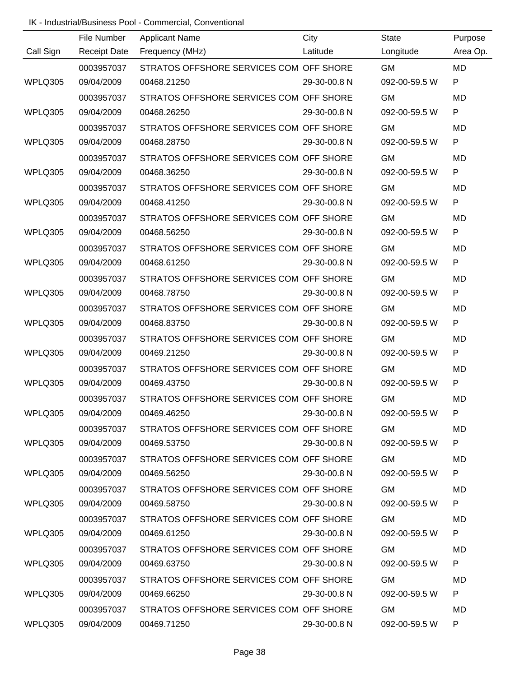|           | File Number         | <b>Applicant Name</b>                   | City         | State         | Purpose      |
|-----------|---------------------|-----------------------------------------|--------------|---------------|--------------|
| Call Sign | <b>Receipt Date</b> | Frequency (MHz)                         | Latitude     | Longitude     | Area Op.     |
|           | 0003957037          | STRATOS OFFSHORE SERVICES COM OFF SHORE |              | <b>GM</b>     | <b>MD</b>    |
| WPLQ305   | 09/04/2009          | 00468.21250                             | 29-30-00.8 N | 092-00-59.5 W | $\mathsf{P}$ |
|           | 0003957037          | STRATOS OFFSHORE SERVICES COM OFF SHORE |              | <b>GM</b>     | <b>MD</b>    |
| WPLQ305   | 09/04/2009          | 00468.26250                             | 29-30-00.8 N | 092-00-59.5 W | P            |
|           | 0003957037          | STRATOS OFFSHORE SERVICES COM OFF SHORE |              | <b>GM</b>     | <b>MD</b>    |
| WPLQ305   | 09/04/2009          | 00468.28750                             | 29-30-00.8 N | 092-00-59.5 W | P            |
|           | 0003957037          | STRATOS OFFSHORE SERVICES COM OFF SHORE |              | <b>GM</b>     | <b>MD</b>    |
| WPLQ305   | 09/04/2009          | 00468.36250                             | 29-30-00.8 N | 092-00-59.5 W | P            |
|           | 0003957037          | STRATOS OFFSHORE SERVICES COM OFF SHORE |              | <b>GM</b>     | <b>MD</b>    |
| WPLQ305   | 09/04/2009          | 00468.41250                             | 29-30-00.8 N | 092-00-59.5 W | P            |
|           | 0003957037          | STRATOS OFFSHORE SERVICES COM OFF SHORE |              | <b>GM</b>     | <b>MD</b>    |
| WPLQ305   | 09/04/2009          | 00468.56250                             | 29-30-00.8 N | 092-00-59.5 W | $\mathsf{P}$ |
|           | 0003957037          | STRATOS OFFSHORE SERVICES COM OFF SHORE |              | <b>GM</b>     | <b>MD</b>    |
| WPLQ305   | 09/04/2009          | 00468.61250                             | 29-30-00.8 N | 092-00-59.5 W | $\mathsf{P}$ |
|           | 0003957037          | STRATOS OFFSHORE SERVICES COM OFF SHORE |              | <b>GM</b>     | <b>MD</b>    |
| WPLQ305   | 09/04/2009          | 00468.78750                             | 29-30-00.8 N | 092-00-59.5 W | $\mathsf{P}$ |
|           | 0003957037          | STRATOS OFFSHORE SERVICES COM OFF SHORE |              | <b>GM</b>     | <b>MD</b>    |
| WPLQ305   | 09/04/2009          | 00468.83750                             | 29-30-00.8 N | 092-00-59.5 W | $\mathsf{P}$ |
|           | 0003957037          | STRATOS OFFSHORE SERVICES COM OFF SHORE |              | <b>GM</b>     | <b>MD</b>    |
| WPLQ305   | 09/04/2009          | 00469.21250                             | 29-30-00.8 N | 092-00-59.5 W | P            |
|           | 0003957037          | STRATOS OFFSHORE SERVICES COM OFF SHORE |              | <b>GM</b>     | <b>MD</b>    |
| WPLQ305   | 09/04/2009          | 00469.43750                             | 29-30-00.8 N | 092-00-59.5 W | P            |
|           | 0003957037          | STRATOS OFFSHORE SERVICES COM OFF SHORE |              | <b>GM</b>     | <b>MD</b>    |
| WPLQ305   | 09/04/2009          | 00469.46250                             | 29-30-00.8 N | 092-00-59.5 W |              |
|           | 0003957037          | STRATOS OFFSHORE SERVICES COM OFF SHORE |              | <b>GM</b>     | MD.          |
| WPLQ305   | 09/04/2009          | 00469.53750                             | 29-30-00.8 N | 092-00-59.5 W | P            |
|           | 0003957037          | STRATOS OFFSHORE SERVICES COM OFF SHORE |              | <b>GM</b>     | MD           |
| WPLQ305   | 09/04/2009          | 00469.56250                             | 29-30-00.8 N | 092-00-59.5 W | P            |
|           | 0003957037          | STRATOS OFFSHORE SERVICES COM OFF SHORE |              | GM.           | MD           |
| WPLQ305   | 09/04/2009          | 00469.58750                             | 29-30-00.8 N | 092-00-59.5 W | P            |
|           | 0003957037          | STRATOS OFFSHORE SERVICES COM OFF SHORE |              | <b>GM</b>     | MD           |
| WPLQ305   | 09/04/2009          | 00469.61250                             | 29-30-00.8 N | 092-00-59.5 W | P            |
|           | 0003957037          | STRATOS OFFSHORE SERVICES COM OFF SHORE |              | <b>GM</b>     | MD           |
| WPLQ305   | 09/04/2009          | 00469.63750                             | 29-30-00.8 N | 092-00-59.5 W | P            |
|           | 0003957037          | STRATOS OFFSHORE SERVICES COM OFF SHORE |              | <b>GM</b>     | MD           |
| WPLQ305   | 09/04/2009          | 00469.66250                             | 29-30-00.8 N | 092-00-59.5 W | P            |
|           | 0003957037          | STRATOS OFFSHORE SERVICES COM OFF SHORE |              | <b>GM</b>     | MD           |
| WPLQ305   | 09/04/2009          | 00469.71250                             | 29-30-00.8 N | 092-00-59.5 W | P            |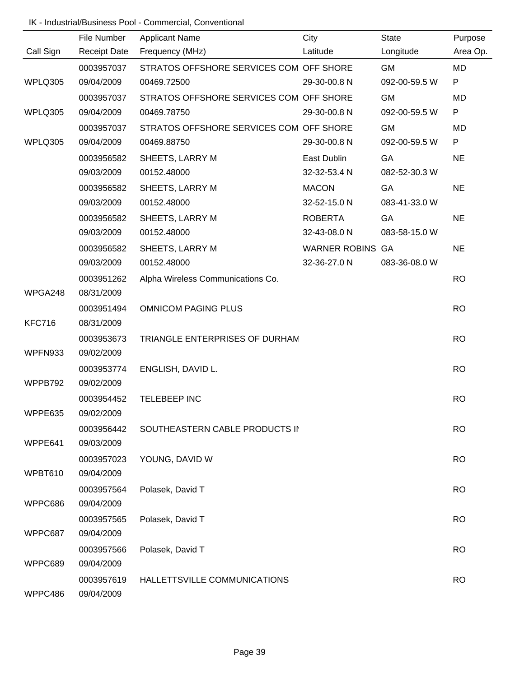| Call Sign     | File Number<br><b>Receipt Date</b> | <b>Applicant Name</b><br>Frequency (MHz)               | City<br>Latitude             | <b>State</b>        | Purpose<br>Area Op. |
|---------------|------------------------------------|--------------------------------------------------------|------------------------------|---------------------|---------------------|
|               |                                    |                                                        |                              | Longitude           |                     |
|               | 0003957037                         | STRATOS OFFSHORE SERVICES COM OFF SHORE                | 29-30-00.8 N                 | <b>GM</b>           | <b>MD</b><br>P      |
| WPLQ305       | 09/04/2009                         | 00469.72500                                            |                              | 092-00-59.5 W       |                     |
|               | 0003957037                         | STRATOS OFFSHORE SERVICES COM OFF SHORE<br>00469.78750 |                              | <b>GM</b>           | MD<br>P             |
| WPLQ305       | 09/04/2009                         |                                                        | 29-30-00.8 N                 | 092-00-59.5 W       |                     |
| WPLQ305       | 0003957037<br>09/04/2009           | STRATOS OFFSHORE SERVICES COM OFF SHORE<br>00469.88750 | 29-30-00.8 N                 | GM<br>092-00-59.5 W | MD<br>P             |
|               |                                    |                                                        |                              |                     |                     |
|               | 0003956582<br>09/03/2009           | SHEETS, LARRY M<br>00152.48000                         | East Dublin<br>32-32-53.4 N  | GA<br>082-52-30.3 W | <b>NE</b>           |
|               |                                    |                                                        |                              |                     |                     |
|               | 0003956582<br>09/03/2009           | SHEETS, LARRY M<br>00152.48000                         | <b>MACON</b><br>32-52-15.0 N | GA<br>083-41-33.0 W | <b>NE</b>           |
|               |                                    |                                                        |                              |                     |                     |
|               | 0003956582                         | SHEETS, LARRY M<br>00152.48000                         | <b>ROBERTA</b>               | GA                  | <b>NE</b>           |
|               | 09/03/2009                         |                                                        | 32-43-08.0 N                 | 083-58-15.0 W       |                     |
|               | 0003956582                         | SHEETS, LARRY M                                        | <b>WARNER ROBINS GA</b>      |                     | <b>NE</b>           |
|               | 09/03/2009                         | 00152.48000                                            | 32-36-27.0 N                 | 083-36-08.0 W       |                     |
| WPGA248       | 0003951262<br>08/31/2009           | Alpha Wireless Communications Co.                      |                              |                     | <b>RO</b>           |
|               | 0003951494                         | <b>OMNICOM PAGING PLUS</b>                             |                              |                     | <b>RO</b>           |
| <b>KFC716</b> | 08/31/2009                         |                                                        |                              |                     |                     |
|               | 0003953673                         | TRIANGLE ENTERPRISES OF DURHAN                         |                              |                     | <b>RO</b>           |
| WPFN933       | 09/02/2009                         |                                                        |                              |                     |                     |
|               | 0003953774                         | ENGLISH, DAVID L.                                      |                              |                     | <b>RO</b>           |
| WPPB792       | 09/02/2009                         |                                                        |                              |                     |                     |
|               | 0003954452                         | TELEBEEP INC                                           |                              |                     | <b>RO</b>           |
| WPPE635       | 09/02/2009                         |                                                        |                              |                     |                     |
|               | 0003956442                         | SOUTHEASTERN CABLE PRODUCTS II                         |                              |                     | <b>RO</b>           |
| WPPE641       | 09/03/2009                         |                                                        |                              |                     |                     |
|               | 0003957023                         | YOUNG, DAVID W                                         |                              |                     | <b>RO</b>           |
| WPBT610       | 09/04/2009                         |                                                        |                              |                     |                     |
|               | 0003957564                         | Polasek, David T                                       |                              |                     | <b>RO</b>           |
| WPPC686       | 09/04/2009                         |                                                        |                              |                     |                     |
|               | 0003957565                         | Polasek, David T                                       |                              |                     | <b>RO</b>           |
| WPPC687       | 09/04/2009                         |                                                        |                              |                     |                     |
|               | 0003957566                         | Polasek, David T                                       |                              |                     | <b>RO</b>           |
| WPPC689       | 09/04/2009                         |                                                        |                              |                     |                     |
|               | 0003957619                         | HALLETTSVILLE COMMUNICATIONS                           |                              |                     | <b>RO</b>           |
| WPPC486       | 09/04/2009                         |                                                        |                              |                     |                     |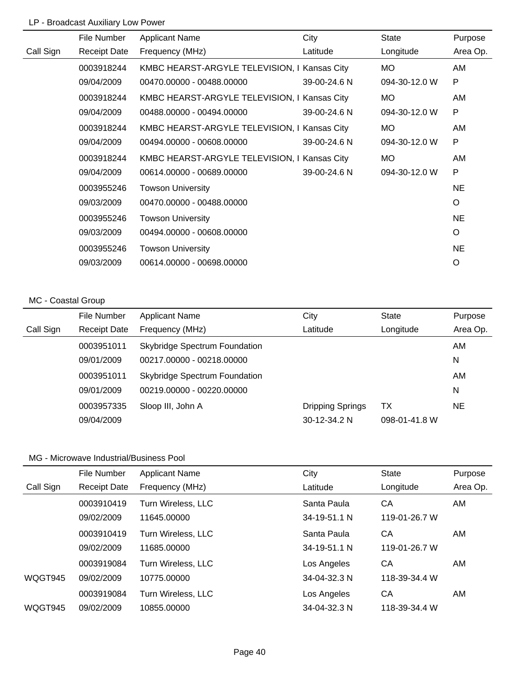# LP - Broadcast Auxiliary Low Power

|           | File Number         | <b>Applicant Name</b>                        | City         | <b>State</b>  | Purpose      |
|-----------|---------------------|----------------------------------------------|--------------|---------------|--------------|
| Call Sign | <b>Receipt Date</b> | Frequency (MHz)                              | Latitude     | Longitude     | Area Op.     |
|           | 0003918244          | KMBC HEARST-ARGYLE TELEVISION, I Kansas City |              | <b>MO</b>     | AM           |
|           | 09/04/2009          | 00470.00000 - 00488.00000                    | 39-00-24.6 N | 094-30-12.0 W | P            |
|           | 0003918244          | KMBC HEARST-ARGYLE TELEVISION, I Kansas City |              | <b>MO</b>     | AM           |
|           | 09/04/2009          | 00488.00000 - 00494.00000                    | 39-00-24.6 N | 094-30-12.0 W | P            |
|           | 0003918244          | KMBC HEARST-ARGYLE TELEVISION, I Kansas City |              | MO.           | AM           |
|           | 09/04/2009          | 00494.00000 - 00608.00000                    | 39-00-24.6 N | 094-30-12.0 W | P            |
|           | 0003918244          | KMBC HEARST-ARGYLE TELEVISION, I Kansas City |              | <b>MO</b>     | AM           |
|           | 09/04/2009          | 00614.00000 - 00689.00000                    | 39-00-24.6 N | 094-30-12.0 W | $\mathsf{P}$ |
|           | 0003955246          | <b>Towson University</b>                     |              |               | <b>NE</b>    |
|           | 09/03/2009          | 00470.00000 - 00488.00000                    |              |               | O            |
|           | 0003955246          | <b>Towson University</b>                     |              |               | <b>NE</b>    |
|           | 09/03/2009          | 00494.00000 - 00608.00000                    |              |               | O            |
|           | 0003955246          | <b>Towson University</b>                     |              |               | <b>NE</b>    |
|           | 09/03/2009          | 00614.00000 - 00698.00000                    |              |               | O            |

#### MC - Coastal Group

|           | File Number         | <b>Applicant Name</b>                | City                    | State         | Purpose   |
|-----------|---------------------|--------------------------------------|-------------------------|---------------|-----------|
| Call Sign | <b>Receipt Date</b> | Frequency (MHz)                      | Latitude                | Longitude     | Area Op.  |
|           | 0003951011          | <b>Skybridge Spectrum Foundation</b> |                         |               | AM        |
|           | 09/01/2009          | 00217.00000 - 00218.00000            |                         |               | N         |
|           | 0003951011          | <b>Skybridge Spectrum Foundation</b> |                         |               | AM        |
|           | 09/01/2009          | 00219.00000 - 00220.00000            |                         |               | N         |
|           | 0003957335          | Sloop III, John A                    | <b>Dripping Springs</b> | ТX            | <b>NE</b> |
|           | 09/04/2009          |                                      | $30 - 12 - 34.2$ N      | 098-01-41.8 W |           |

|           | File Number         | <b>Applicant Name</b> | City         | <b>State</b>  | Purpose  |
|-----------|---------------------|-----------------------|--------------|---------------|----------|
| Call Sign | <b>Receipt Date</b> | Frequency (MHz)       | Latitude     | Longitude     | Area Op. |
|           | 0003910419          | Turn Wireless, LLC    | Santa Paula  | CA            | AM       |
|           | 09/02/2009          | 11645.00000           | 34-19-51.1 N | 119-01-26.7 W |          |
|           | 0003910419          | Turn Wireless, LLC    | Santa Paula  | СA            | AM       |
|           | 09/02/2009          | 11685.00000           | 34-19-51.1 N | 119-01-26.7 W |          |
|           | 0003919084          | Turn Wireless, LLC    | Los Angeles  | CA            | AM       |
| WQGT945   | 09/02/2009          | 10775.00000           | 34-04-32.3 N | 118-39-34.4 W |          |
|           | 0003919084          | Turn Wireless, LLC    | Los Angeles  | CA            | AM.      |
| WQGT945   | 09/02/2009          | 10855.00000           | 34-04-32.3 N | 118-39-34.4 W |          |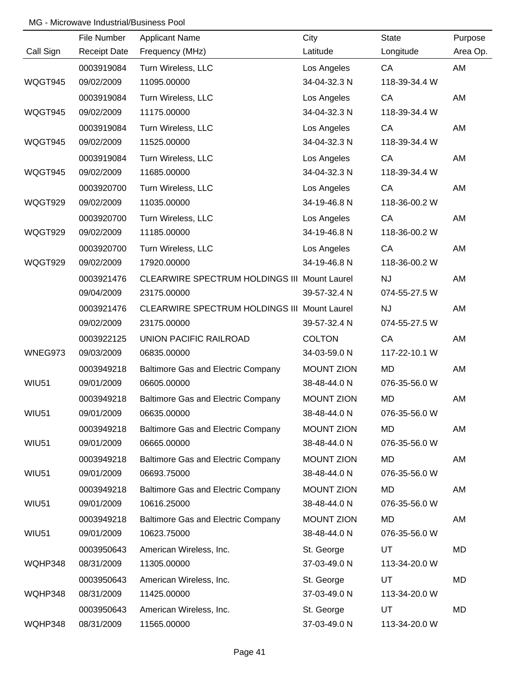|              | File Number         | <b>Applicant Name</b>                        | City              | <b>State</b>  | Purpose   |
|--------------|---------------------|----------------------------------------------|-------------------|---------------|-----------|
| Call Sign    | <b>Receipt Date</b> | Frequency (MHz)                              | Latitude          | Longitude     | Area Op.  |
|              | 0003919084          | Turn Wireless, LLC                           | Los Angeles       | CA            | AM        |
| WQGT945      | 09/02/2009          | 11095.00000                                  | 34-04-32.3 N      | 118-39-34.4 W |           |
|              | 0003919084          | Turn Wireless, LLC                           | Los Angeles       | CA            | AM        |
| WQGT945      | 09/02/2009          | 11175.00000                                  | 34-04-32.3 N      | 118-39-34.4 W |           |
|              | 0003919084          | Turn Wireless, LLC                           | Los Angeles       | CA            | AM        |
| WQGT945      | 09/02/2009          | 11525.00000                                  | 34-04-32.3 N      | 118-39-34.4 W |           |
|              | 0003919084          | Turn Wireless, LLC                           | Los Angeles       | CA            | AM        |
| WQGT945      | 09/02/2009          | 11685.00000                                  | 34-04-32.3 N      | 118-39-34.4 W |           |
|              | 0003920700          | Turn Wireless, LLC                           | Los Angeles       | CA            | AM        |
| WQGT929      | 09/02/2009          | 11035.00000                                  | 34-19-46.8 N      | 118-36-00.2 W |           |
|              | 0003920700          | Turn Wireless, LLC                           | Los Angeles       | CA            | AM        |
| WQGT929      | 09/02/2009          | 11185.00000                                  | 34-19-46.8 N      | 118-36-00.2 W |           |
|              | 0003920700          | Turn Wireless, LLC                           | Los Angeles       | CA            | AM        |
| WQGT929      | 09/02/2009          | 17920.00000                                  | 34-19-46.8 N      | 118-36-00.2 W |           |
|              | 0003921476          | CLEARWIRE SPECTRUM HOLDINGS III Mount Laurel |                   | <b>NJ</b>     | AM        |
|              | 09/04/2009          | 23175.00000                                  | 39-57-32.4 N      | 074-55-27.5 W |           |
|              | 0003921476          | CLEARWIRE SPECTRUM HOLDINGS III Mount Laurel |                   | <b>NJ</b>     | AM        |
|              | 09/02/2009          | 23175.00000                                  | 39-57-32.4 N      | 074-55-27.5 W |           |
|              | 0003922125          | UNION PACIFIC RAILROAD                       | <b>COLTON</b>     | CA            | AM        |
| WNEG973      | 09/03/2009          | 06835.00000                                  | 34-03-59.0 N      | 117-22-10.1 W |           |
|              | 0003949218          | Baltimore Gas and Electric Company           | <b>MOUNT ZION</b> | <b>MD</b>     | AM        |
| WIU51        | 09/01/2009          | 06605.00000                                  | 38-48-44.0 N      | 076-35-56.0 W |           |
|              | 0003949218          | <b>Baltimore Gas and Electric Company</b>    | <b>MOUNT ZION</b> | MD            | AM        |
| <b>WIU51</b> | 09/01/2009          | 06635.00000                                  | 38-48-44.0 N      | 076-35-56.0 W |           |
|              | 0003949218          | Baltimore Gas and Electric Company           | <b>MOUNT ZION</b> | <b>MD</b>     | AM        |
| <b>WIU51</b> | 09/01/2009          | 06665.00000                                  | 38-48-44.0 N      | 076-35-56.0 W |           |
|              | 0003949218          | <b>Baltimore Gas and Electric Company</b>    | <b>MOUNT ZION</b> | MD            | AM        |
| <b>WIU51</b> | 09/01/2009          | 06693.75000                                  | 38-48-44.0 N      | 076-35-56.0 W |           |
|              | 0003949218          | Baltimore Gas and Electric Company           | <b>MOUNT ZION</b> | MD            | AM        |
| <b>WIU51</b> | 09/01/2009          | 10616.25000                                  | 38-48-44.0 N      | 076-35-56.0 W |           |
|              | 0003949218          | Baltimore Gas and Electric Company           | <b>MOUNT ZION</b> | MD            | AM        |
| <b>WIU51</b> | 09/01/2009          | 10623.75000                                  | 38-48-44.0 N      | 076-35-56.0 W |           |
|              | 0003950643          | American Wireless, Inc.                      | St. George        | UT            | <b>MD</b> |
| WQHP348      | 08/31/2009          | 11305.00000                                  | 37-03-49.0 N      | 113-34-20.0 W |           |
|              | 0003950643          | American Wireless, Inc.                      | St. George        | UT            | <b>MD</b> |
| WQHP348      | 08/31/2009          | 11425.00000                                  | 37-03-49.0 N      | 113-34-20.0 W |           |
|              | 0003950643          | American Wireless, Inc.                      | St. George        | UT            | <b>MD</b> |
| WQHP348      | 08/31/2009          | 11565.00000                                  | 37-03-49.0 N      | 113-34-20.0 W |           |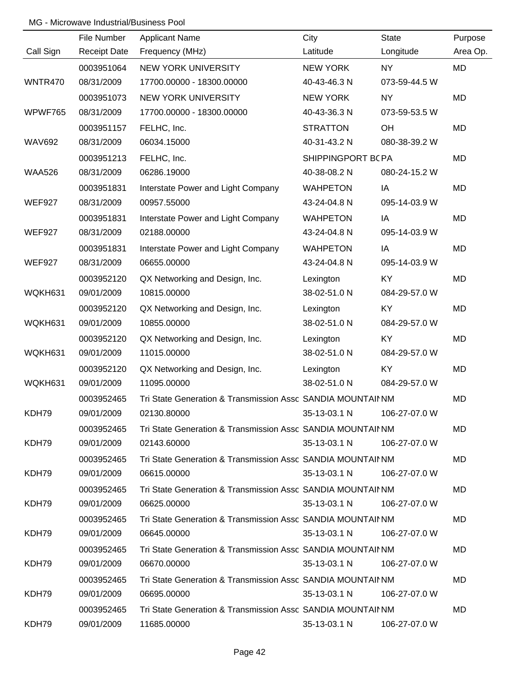|               | File Number         | <b>Applicant Name</b>                                       | City              | <b>State</b>  | Purpose   |
|---------------|---------------------|-------------------------------------------------------------|-------------------|---------------|-----------|
| Call Sign     | <b>Receipt Date</b> | Frequency (MHz)                                             | Latitude          | Longitude     | Area Op.  |
|               | 0003951064          | <b>NEW YORK UNIVERSITY</b>                                  | <b>NEW YORK</b>   | <b>NY</b>     | MD        |
| WNTR470       | 08/31/2009          | 17700.00000 - 18300.00000                                   | 40-43-46.3 N      | 073-59-44.5 W |           |
|               | 0003951073          | <b>NEW YORK UNIVERSITY</b>                                  | <b>NEW YORK</b>   | <b>NY</b>     | <b>MD</b> |
| WPWF765       | 08/31/2009          | 17700.00000 - 18300.00000                                   | 40-43-36.3 N      | 073-59-53.5 W |           |
|               | 0003951157          | FELHC, Inc.                                                 | <b>STRATTON</b>   | OH            | <b>MD</b> |
| <b>WAV692</b> | 08/31/2009          | 06034.15000                                                 | 40-31-43.2 N      | 080-38-39.2 W |           |
|               | 0003951213          | FELHC, Inc.                                                 | SHIPPINGPORT BCPA |               | <b>MD</b> |
| <b>WAA526</b> | 08/31/2009          | 06286.19000                                                 | 40-38-08.2 N      | 080-24-15.2 W |           |
|               | 0003951831          | Interstate Power and Light Company                          | <b>WAHPETON</b>   | IA            | <b>MD</b> |
| <b>WEF927</b> | 08/31/2009          | 00957.55000                                                 | 43-24-04.8 N      | 095-14-03.9 W |           |
|               | 0003951831          | Interstate Power and Light Company                          | <b>WAHPETON</b>   | IA            | <b>MD</b> |
| <b>WEF927</b> | 08/31/2009          | 02188.00000                                                 | 43-24-04.8 N      | 095-14-03.9 W |           |
|               | 0003951831          | Interstate Power and Light Company                          | <b>WAHPETON</b>   | IA            | <b>MD</b> |
| <b>WEF927</b> | 08/31/2009          | 06655.00000                                                 | 43-24-04.8 N      | 095-14-03.9 W |           |
|               | 0003952120          | QX Networking and Design, Inc.                              | Lexington         | KY            | <b>MD</b> |
| WQKH631       | 09/01/2009          | 10815.00000                                                 | 38-02-51.0 N      | 084-29-57.0 W |           |
|               | 0003952120          | QX Networking and Design, Inc.                              | Lexington         | <b>KY</b>     | <b>MD</b> |
| WQKH631       | 09/01/2009          | 10855.00000                                                 | 38-02-51.0 N      | 084-29-57.0 W |           |
|               | 0003952120          | QX Networking and Design, Inc.                              | Lexington         | <b>KY</b>     | <b>MD</b> |
| WQKH631       | 09/01/2009          | 11015.00000                                                 | 38-02-51.0 N      | 084-29-57.0 W |           |
|               | 0003952120          | QX Networking and Design, Inc.                              | Lexington         | KY            | <b>MD</b> |
| WQKH631       | 09/01/2009          | 11095.00000                                                 | 38-02-51.0 N      | 084-29-57.0 W |           |
|               | 0003952465          | Tri State Generation & Transmission Assc SANDIA MOUNTAII NM |                   |               | MD        |
| KDH79         | 09/01/2009          | 02130.80000                                                 | 35-13-03.1 N      | 106-27-07.0 W |           |
|               | 0003952465          | Tri State Generation & Transmission Assc SANDIA MOUNTAII NM |                   |               | MD        |
| KDH79         | 09/01/2009          | 02143.60000                                                 | 35-13-03.1 N      | 106-27-07.0 W |           |
|               | 0003952465          | Tri State Generation & Transmission Assc SANDIA MOUNTAII NM |                   |               | MD        |
| KDH79         | 09/01/2009          | 06615.00000                                                 | 35-13-03.1 N      | 106-27-07.0 W |           |
|               | 0003952465          | Tri State Generation & Transmission Assc SANDIA MOUNTAII NM |                   |               | MD        |
| KDH79         | 09/01/2009          | 06625.00000                                                 | 35-13-03.1 N      | 106-27-07.0 W |           |
|               | 0003952465          | Tri State Generation & Transmission Assc SANDIA MOUNTAII NM |                   |               | MD        |
| KDH79         | 09/01/2009          | 06645.00000                                                 | 35-13-03.1 N      | 106-27-07.0 W |           |
|               | 0003952465          | Tri State Generation & Transmission Assc SANDIA MOUNTAII NM |                   |               | MD        |
| KDH79         | 09/01/2009          | 06670.00000                                                 | 35-13-03.1 N      | 106-27-07.0 W |           |
|               | 0003952465          | Tri State Generation & Transmission Assc SANDIA MOUNTAII NM |                   |               | MD        |
| KDH79         | 09/01/2009          | 06695.00000                                                 | 35-13-03.1 N      | 106-27-07.0 W |           |
|               | 0003952465          | Tri State Generation & Transmission Assc SANDIA MOUNTAII NM |                   |               | MD        |
| KDH79         | 09/01/2009          | 11685.00000                                                 | 35-13-03.1 N      | 106-27-07.0 W |           |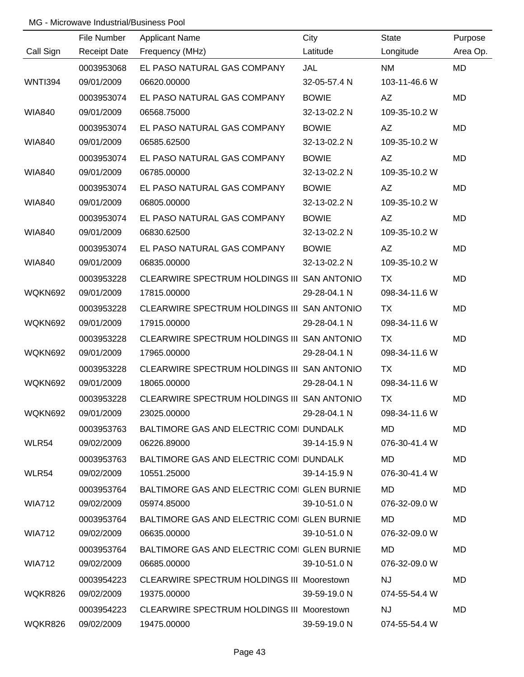|                | File Number         | <b>Applicant Name</b>                       | City         | <b>State</b>  | Purpose   |
|----------------|---------------------|---------------------------------------------|--------------|---------------|-----------|
| Call Sign      | <b>Receipt Date</b> | Frequency (MHz)                             | Latitude     | Longitude     | Area Op.  |
|                | 0003953068          | EL PASO NATURAL GAS COMPANY                 | <b>JAL</b>   | <b>NM</b>     | <b>MD</b> |
| <b>WNTI394</b> | 09/01/2009          | 06620.00000                                 | 32-05-57.4 N | 103-11-46.6 W |           |
|                | 0003953074          | EL PASO NATURAL GAS COMPANY                 | <b>BOWIE</b> | AZ            | <b>MD</b> |
| <b>WIA840</b>  | 09/01/2009          | 06568.75000                                 | 32-13-02.2 N | 109-35-10.2 W |           |
|                | 0003953074          | EL PASO NATURAL GAS COMPANY                 | <b>BOWIE</b> | AZ            | MD        |
| <b>WIA840</b>  | 09/01/2009          | 06585.62500                                 | 32-13-02.2 N | 109-35-10.2 W |           |
|                | 0003953074          | EL PASO NATURAL GAS COMPANY                 | <b>BOWIE</b> | AZ            | MD        |
| <b>WIA840</b>  | 09/01/2009          | 06785.00000                                 | 32-13-02.2 N | 109-35-10.2 W |           |
|                | 0003953074          | EL PASO NATURAL GAS COMPANY                 | <b>BOWIE</b> | AZ            | MD        |
| <b>WIA840</b>  | 09/01/2009          | 06805.00000                                 | 32-13-02.2 N | 109-35-10.2 W |           |
|                | 0003953074          | EL PASO NATURAL GAS COMPANY                 | <b>BOWIE</b> | AZ            | MD        |
| <b>WIA840</b>  | 09/01/2009          | 06830.62500                                 | 32-13-02.2 N | 109-35-10.2 W |           |
|                | 0003953074          | EL PASO NATURAL GAS COMPANY                 | <b>BOWIE</b> | AZ            | MD        |
| <b>WIA840</b>  | 09/01/2009          | 06835.00000                                 | 32-13-02.2 N | 109-35-10.2 W |           |
|                | 0003953228          | CLEARWIRE SPECTRUM HOLDINGS III SAN ANTONIO |              | <b>TX</b>     | MD        |
| WQKN692        | 09/01/2009          | 17815.00000                                 | 29-28-04.1 N | 098-34-11.6 W |           |
|                | 0003953228          | CLEARWIRE SPECTRUM HOLDINGS III SAN ANTONIO |              | <b>TX</b>     | MD        |
| WQKN692        | 09/01/2009          | 17915.00000                                 | 29-28-04.1 N | 098-34-11.6 W |           |
|                | 0003953228          | CLEARWIRE SPECTRUM HOLDINGS III SAN ANTONIO |              | <b>TX</b>     | MD        |
| WQKN692        | 09/01/2009          | 17965.00000                                 | 29-28-04.1 N | 098-34-11.6 W |           |
|                | 0003953228          | CLEARWIRE SPECTRUM HOLDINGS III SAN ANTONIO |              | <b>TX</b>     | <b>MD</b> |
| WQKN692        | 09/01/2009          | 18065.00000                                 | 29-28-04.1 N | 098-34-11.6 W |           |
|                | 0003953228          | CLEARWIRE SPECTRUM HOLDINGS III SAN ANTONIO |              | <b>TX</b>     | MD        |
| WQKN692        | 09/01/2009          | 23025.00000                                 | 29-28-04.1 N | 098-34-11.6 W |           |
|                | 0003953763          | BALTIMORE GAS AND ELECTRIC COMI DUNDALK     |              | MD.           | MD.       |
| WLR54          | 09/02/2009          | 06226.89000                                 | 39-14-15.9 N | 076-30-41.4 W |           |
|                | 0003953763          | BALTIMORE GAS AND ELECTRIC COMI DUNDALK     |              | MD.           | MD        |
| WLR54          | 09/02/2009          | 10551.25000                                 | 39-14-15.9 N | 076-30-41.4 W |           |
|                | 0003953764          | BALTIMORE GAS AND ELECTRIC COMI GLEN BURNIE |              | MD.           | MD        |
| <b>WIA712</b>  | 09/02/2009          | 05974.85000                                 | 39-10-51.0 N | 076-32-09.0 W |           |
|                | 0003953764          | BALTIMORE GAS AND ELECTRIC COMI GLEN BURNIE |              | MD.           | MD        |
| <b>WIA712</b>  | 09/02/2009          | 06635.00000                                 | 39-10-51.0 N | 076-32-09.0 W |           |
|                | 0003953764          | BALTIMORE GAS AND ELECTRIC COMI GLEN BURNIE |              | MD.           | MD        |
| <b>WIA712</b>  | 09/02/2009          | 06685.00000                                 | 39-10-51.0 N | 076-32-09.0 W |           |
|                | 0003954223          | CLEARWIRE SPECTRUM HOLDINGS III Moorestown  |              | <b>NJ</b>     | MD        |
| WQKR826        | 09/02/2009          | 19375.00000                                 | 39-59-19.0 N | 074-55-54.4 W |           |
|                | 0003954223          | CLEARWIRE SPECTRUM HOLDINGS III Moorestown  |              | <b>NJ</b>     | MD        |
| WQKR826        | 09/02/2009          | 19475.00000                                 | 39-59-19.0 N | 074-55-54.4 W |           |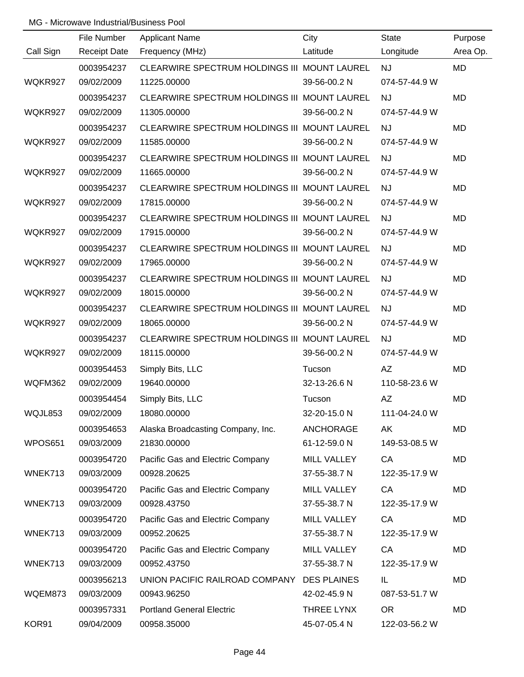|           | File Number         | <b>Applicant Name</b>                        | City             | <b>State</b>  | Purpose   |
|-----------|---------------------|----------------------------------------------|------------------|---------------|-----------|
| Call Sign | <b>Receipt Date</b> | Frequency (MHz)                              | Latitude         | Longitude     | Area Op.  |
|           | 0003954237          | CLEARWIRE SPECTRUM HOLDINGS III MOUNT LAUREL |                  | <b>NJ</b>     | <b>MD</b> |
| WQKR927   | 09/02/2009          | 11225.00000                                  | 39-56-00.2 N     | 074-57-44.9 W |           |
|           | 0003954237          | CLEARWIRE SPECTRUM HOLDINGS III MOUNT LAUREL |                  | <b>NJ</b>     | <b>MD</b> |
| WQKR927   | 09/02/2009          | 11305.00000                                  | 39-56-00.2 N     | 074-57-44.9 W |           |
|           | 0003954237          | CLEARWIRE SPECTRUM HOLDINGS III MOUNT LAUREL |                  | <b>NJ</b>     | <b>MD</b> |
| WQKR927   | 09/02/2009          | 11585.00000                                  | 39-56-00.2 N     | 074-57-44.9 W |           |
|           | 0003954237          | CLEARWIRE SPECTRUM HOLDINGS III MOUNT LAUREL |                  | <b>NJ</b>     | MD        |
| WQKR927   | 09/02/2009          | 11665.00000                                  | 39-56-00.2 N     | 074-57-44.9 W |           |
|           | 0003954237          | CLEARWIRE SPECTRUM HOLDINGS III MOUNT LAUREL |                  | <b>NJ</b>     | MD        |
| WQKR927   | 09/02/2009          | 17815.00000                                  | 39-56-00.2 N     | 074-57-44.9 W |           |
|           | 0003954237          | CLEARWIRE SPECTRUM HOLDINGS III MOUNT LAUREL |                  | <b>NJ</b>     | MD        |
| WQKR927   | 09/02/2009          | 17915.00000                                  | 39-56-00.2 N     | 074-57-44.9 W |           |
|           | 0003954237          | CLEARWIRE SPECTRUM HOLDINGS III MOUNT LAUREL |                  | <b>NJ</b>     | MD        |
| WQKR927   | 09/02/2009          | 17965.00000                                  | 39-56-00.2 N     | 074-57-44.9 W |           |
|           | 0003954237          | CLEARWIRE SPECTRUM HOLDINGS III MOUNT LAUREL |                  | <b>NJ</b>     | MD        |
| WQKR927   | 09/02/2009          | 18015.00000                                  | 39-56-00.2 N     | 074-57-44.9 W |           |
|           | 0003954237          | CLEARWIRE SPECTRUM HOLDINGS III MOUNT LAUREL |                  | <b>NJ</b>     | MD        |
| WQKR927   | 09/02/2009          | 18065.00000                                  | 39-56-00.2 N     | 074-57-44.9 W |           |
|           | 0003954237          | CLEARWIRE SPECTRUM HOLDINGS III MOUNT LAUREL |                  | <b>NJ</b>     | MD        |
| WQKR927   | 09/02/2009          | 18115.00000                                  | 39-56-00.2 N     | 074-57-44.9 W |           |
|           | 0003954453          | Simply Bits, LLC                             | Tucson           | <b>AZ</b>     | MD        |
| WQFM362   | 09/02/2009          | 19640.00000                                  | 32-13-26.6 N     | 110-58-23.6 W |           |
|           | 0003954454          | Simply Bits, LLC                             | Tucson           | <b>AZ</b>     | MD        |
| WQJL853   | 09/02/2009          | 18080.00000                                  | 32-20-15.0 N     | 111-04-24.0 W |           |
|           | 0003954653          | Alaska Broadcasting Company, Inc.            | <b>ANCHORAGE</b> | AK            | MD        |
| WPOS651   | 09/03/2009          | 21830.00000                                  | 61-12-59.0 N     | 149-53-08.5 W |           |
|           | 0003954720          | Pacific Gas and Electric Company             | MILL VALLEY      | CA            | MD        |
| WNEK713   | 09/03/2009          | 00928.20625                                  | 37-55-38.7 N     | 122-35-17.9 W |           |
|           | 0003954720          | Pacific Gas and Electric Company             | MILL VALLEY      | CA            | MD        |
| WNEK713   | 09/03/2009          | 00928.43750                                  | 37-55-38.7 N     | 122-35-17.9 W |           |
|           | 0003954720          | Pacific Gas and Electric Company             | MILL VALLEY      | CA            | MD        |
| WNEK713   | 09/03/2009          | 00952.20625                                  | 37-55-38.7 N     | 122-35-17.9 W |           |
|           | 0003954720          | Pacific Gas and Electric Company             | MILL VALLEY      | CA            | MD        |
| WNEK713   | 09/03/2009          | 00952.43750                                  | 37-55-38.7 N     | 122-35-17.9 W |           |
|           | 0003956213          | UNION PACIFIC RAILROAD COMPANY DES PLAINES   |                  | IL            | MD        |
| WQEM873   | 09/03/2009          | 00943.96250                                  | 42-02-45.9 N     | 087-53-51.7 W |           |
|           | 0003957331          | <b>Portland General Electric</b>             | THREE LYNX       | <b>OR</b>     | MD        |
| KOR91     | 09/04/2009          | 00958.35000                                  | 45-07-05.4 N     | 122-03-56.2 W |           |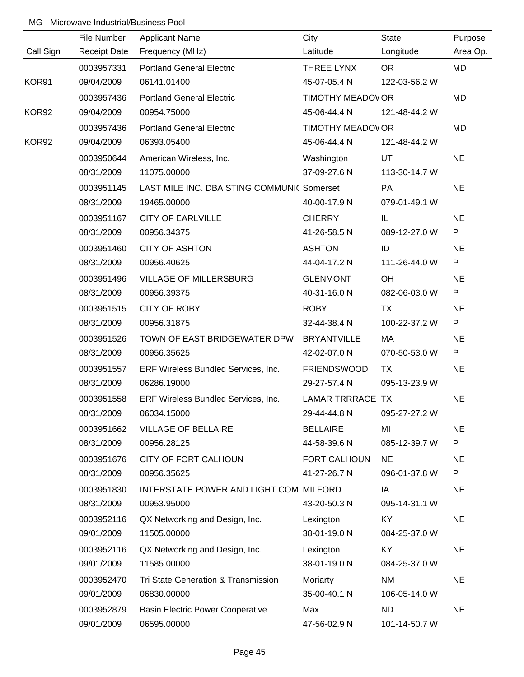|           | File Number         | <b>Applicant Name</b>                      | City                     | <b>State</b>  | Purpose   |
|-----------|---------------------|--------------------------------------------|--------------------------|---------------|-----------|
| Call Sign | <b>Receipt Date</b> | Frequency (MHz)                            | Latitude                 | Longitude     | Area Op.  |
|           | 0003957331          | <b>Portland General Electric</b>           | THREE LYNX               | <b>OR</b>     | MD        |
| KOR91     | 09/04/2009          | 06141.01400                                | 45-07-05.4 N             | 122-03-56.2 W |           |
|           | 0003957436          | <b>Portland General Electric</b>           | TIMOTHY MEADOV OR        |               | MD        |
| KOR92     | 09/04/2009          | 00954.75000                                | 45-06-44.4 N             | 121-48-44.2 W |           |
|           | 0003957436          | <b>Portland General Electric</b>           | <b>TIMOTHY MEADOV OR</b> |               | MD        |
| KOR92     | 09/04/2009          | 06393.05400                                | 45-06-44.4 N             | 121-48-44.2 W |           |
|           | 0003950644          | American Wireless, Inc.                    | Washington               | UT            | <b>NE</b> |
|           | 08/31/2009          | 11075.00000                                | 37-09-27.6 N             | 113-30-14.7 W |           |
|           | 0003951145          | LAST MILE INC. DBA STING COMMUNI( Somerset |                          | <b>PA</b>     | <b>NE</b> |
|           | 08/31/2009          | 19465.00000                                | 40-00-17.9 N             | 079-01-49.1 W |           |
|           | 0003951167          | <b>CITY OF EARLVILLE</b>                   | <b>CHERRY</b>            | IL.           | <b>NE</b> |
|           | 08/31/2009          | 00956.34375                                | 41-26-58.5 N             | 089-12-27.0 W | P         |
|           | 0003951460          | <b>CITY OF ASHTON</b>                      | <b>ASHTON</b>            | ID            | <b>NE</b> |
|           | 08/31/2009          | 00956.40625                                | 44-04-17.2 N             | 111-26-44.0 W | P         |
|           | 0003951496          | <b>VILLAGE OF MILLERSBURG</b>              | <b>GLENMONT</b>          | OH            | <b>NE</b> |
|           | 08/31/2009          | 00956.39375                                | 40-31-16.0 N             | 082-06-03.0 W | P         |
|           | 0003951515          | <b>CITY OF ROBY</b>                        | <b>ROBY</b>              | TX            | <b>NE</b> |
|           | 08/31/2009          | 00956.31875                                | 32-44-38.4 N             | 100-22-37.2 W | P         |
|           | 0003951526          | TOWN OF EAST BRIDGEWATER DPW               | <b>BRYANTVILLE</b>       | MA            | <b>NE</b> |
|           | 08/31/2009          | 00956.35625                                | 42-02-07.0 N             | 070-50-53.0 W | P         |
|           | 0003951557          | ERF Wireless Bundled Services, Inc.        | <b>FRIENDSWOOD</b>       | <b>TX</b>     | <b>NE</b> |
|           | 08/31/2009          | 06286.19000                                | 29-27-57.4 N             | 095-13-23.9 W |           |
|           | 0003951558          | ERF Wireless Bundled Services, Inc.        | LAMAR TRRRACE TX         |               | <b>NE</b> |
|           | 08/31/2009          | 06034.15000                                | 29-44-44.8 N             | 095-27-27.2 W |           |
|           | 0003951662          | <b>VILLAGE OF BELLAIRE</b>                 | <b>BELLAIRE</b>          | MI            | <b>NE</b> |
|           | 08/31/2009          | 00956.28125                                | 44-58-39.6 N             | 085-12-39.7 W | P         |
|           | 0003951676          | CITY OF FORT CALHOUN                       | FORT CALHOUN             | <b>NE</b>     | <b>NE</b> |
|           | 08/31/2009          | 00956.35625                                | 41-27-26.7 N             | 096-01-37.8 W | P         |
|           | 0003951830          | INTERSTATE POWER AND LIGHT COM MILFORD     |                          | IA            | <b>NE</b> |
|           | 08/31/2009          | 00953.95000                                | 43-20-50.3 N             | 095-14-31.1 W |           |
|           | 0003952116          | QX Networking and Design, Inc.             | Lexington                | KY.           | <b>NE</b> |
|           | 09/01/2009          | 11505.00000                                | 38-01-19.0 N             | 084-25-37.0 W |           |
|           | 0003952116          | QX Networking and Design, Inc.             | Lexington                | KY            | <b>NE</b> |
|           | 09/01/2009          | 11585.00000                                | 38-01-19.0 N             | 084-25-37.0 W |           |
|           | 0003952470          | Tri State Generation & Transmission        | Moriarty                 | <b>NM</b>     | <b>NE</b> |
|           | 09/01/2009          | 06830.00000                                | 35-00-40.1 N             | 106-05-14.0 W |           |
|           | 0003952879          | <b>Basin Electric Power Cooperative</b>    | Max                      | <b>ND</b>     | <b>NE</b> |
|           | 09/01/2009          | 06595.00000                                | 47-56-02.9 N             | 101-14-50.7 W |           |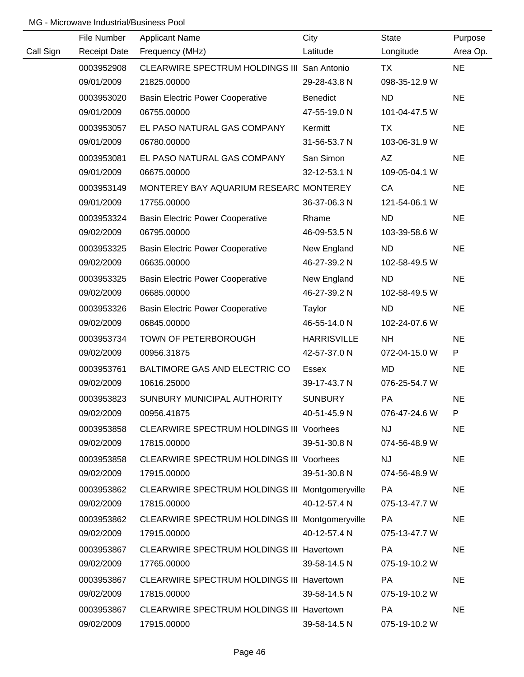|           | File Number         | <b>Applicant Name</b>                           | City               | <b>State</b>  | Purpose   |
|-----------|---------------------|-------------------------------------------------|--------------------|---------------|-----------|
| Call Sign | <b>Receipt Date</b> | Frequency (MHz)                                 | Latitude           | Longitude     | Area Op.  |
|           | 0003952908          | CLEARWIRE SPECTRUM HOLDINGS III San Antonio     |                    | TX            | <b>NE</b> |
|           | 09/01/2009          | 21825.00000                                     | 29-28-43.8 N       | 098-35-12.9 W |           |
|           | 0003953020          | <b>Basin Electric Power Cooperative</b>         | <b>Benedict</b>    | <b>ND</b>     | <b>NE</b> |
|           | 09/01/2009          | 06755.00000                                     | 47-55-19.0 N       | 101-04-47.5 W |           |
|           | 0003953057          | EL PASO NATURAL GAS COMPANY                     | Kermitt            | TX            | <b>NE</b> |
|           | 09/01/2009          | 06780.00000                                     | 31-56-53.7 N       | 103-06-31.9 W |           |
|           | 0003953081          | EL PASO NATURAL GAS COMPANY                     | San Simon          | AZ            | <b>NE</b> |
|           | 09/01/2009          | 06675.00000                                     | 32-12-53.1 N       | 109-05-04.1 W |           |
|           | 0003953149          | MONTEREY BAY AQUARIUM RESEARC MONTEREY          |                    | CA            | <b>NE</b> |
|           | 09/01/2009          | 17755.00000                                     | 36-37-06.3 N       | 121-54-06.1 W |           |
|           | 0003953324          | <b>Basin Electric Power Cooperative</b>         | Rhame              | <b>ND</b>     | <b>NE</b> |
|           | 09/02/2009          | 06795.00000                                     | 46-09-53.5 N       | 103-39-58.6 W |           |
|           | 0003953325          | <b>Basin Electric Power Cooperative</b>         | New England        | <b>ND</b>     | <b>NE</b> |
|           | 09/02/2009          | 06635.00000                                     | 46-27-39.2 N       | 102-58-49.5 W |           |
|           | 0003953325          | <b>Basin Electric Power Cooperative</b>         | New England        | <b>ND</b>     | <b>NE</b> |
|           | 09/02/2009          | 06685.00000                                     | 46-27-39.2 N       | 102-58-49.5 W |           |
|           | 0003953326          | <b>Basin Electric Power Cooperative</b>         | Taylor             | <b>ND</b>     | <b>NE</b> |
|           | 09/02/2009          | 06845.00000                                     | 46-55-14.0 N       | 102-24-07.6 W |           |
|           | 0003953734          | TOWN OF PETERBOROUGH                            | <b>HARRISVILLE</b> | <b>NH</b>     | <b>NE</b> |
|           | 09/02/2009          | 00956.31875                                     | 42-57-37.0 N       | 072-04-15.0 W | P         |
|           | 0003953761          | BALTIMORE GAS AND ELECTRIC CO                   | Essex              | MD            | <b>NE</b> |
|           | 09/02/2009          | 10616.25000                                     | 39-17-43.7 N       | 076-25-54.7 W |           |
|           | 0003953823          | SUNBURY MUNICIPAL AUTHORITY                     | <b>SUNBURY</b>     | PA            | <b>NE</b> |
|           | 09/02/2009          | 00956.41875                                     | 40-51-45.9 N       | 076-47-24.6 W | P.        |
|           | 0003953858          | <b>CLEARWIRE SPECTRUM HOLDINGS III Voorhees</b> |                    | <b>NJ</b>     | <b>NE</b> |
|           | 09/02/2009          | 17815.00000                                     | 39-51-30.8 N       | 074-56-48.9 W |           |
|           | 0003953858          | <b>CLEARWIRE SPECTRUM HOLDINGS III Voorhees</b> |                    | <b>NJ</b>     | <b>NE</b> |
|           | 09/02/2009          | 17915.00000                                     | 39-51-30.8 N       | 074-56-48.9 W |           |
|           | 0003953862          | CLEARWIRE SPECTRUM HOLDINGS III Montgomeryville |                    | PA            | <b>NE</b> |
|           | 09/02/2009          | 17815.00000                                     | 40-12-57.4 N       | 075-13-47.7 W |           |
|           | 0003953862          | CLEARWIRE SPECTRUM HOLDINGS III Montgomeryville |                    | PA            | <b>NE</b> |
|           | 09/02/2009          | 17915.00000                                     | 40-12-57.4 N       | 075-13-47.7 W |           |
|           | 0003953867          | CLEARWIRE SPECTRUM HOLDINGS III Havertown       |                    | <b>PA</b>     | <b>NE</b> |
|           | 09/02/2009          | 17765.00000                                     | 39-58-14.5 N       | 075-19-10.2 W |           |
|           | 0003953867          | CLEARWIRE SPECTRUM HOLDINGS III Havertown       |                    | <b>PA</b>     | <b>NE</b> |
|           | 09/02/2009          | 17815.00000                                     | 39-58-14.5 N       | 075-19-10.2 W |           |
|           | 0003953867          | CLEARWIRE SPECTRUM HOLDINGS III Havertown       |                    | <b>PA</b>     | <b>NE</b> |
|           | 09/02/2009          | 17915.00000                                     | 39-58-14.5 N       | 075-19-10.2 W |           |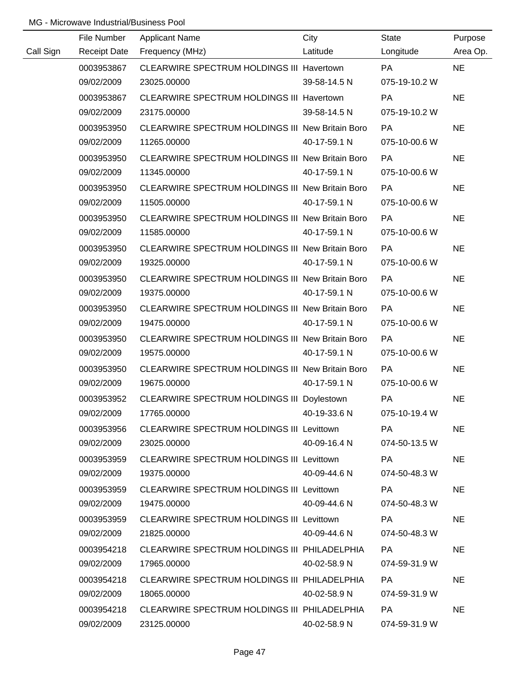|           | File Number              |                                                             | City         | <b>State</b>        |                     |
|-----------|--------------------------|-------------------------------------------------------------|--------------|---------------------|---------------------|
| Call Sign | <b>Receipt Date</b>      | <b>Applicant Name</b><br>Frequency (MHz)                    | Latitude     | Longitude           | Purpose<br>Area Op. |
|           | 0003953867               | CLEARWIRE SPECTRUM HOLDINGS III Havertown                   |              | <b>PA</b>           | <b>NE</b>           |
|           | 09/02/2009               | 23025.00000                                                 | 39-58-14.5 N | 075-19-10.2 W       |                     |
|           | 0003953867               | CLEARWIRE SPECTRUM HOLDINGS III Havertown                   |              | <b>PA</b>           | <b>NE</b>           |
|           | 09/02/2009               | 23175.00000                                                 | 39-58-14.5 N | 075-19-10.2 W       |                     |
|           | 0003953950               | CLEARWIRE SPECTRUM HOLDINGS III New Britain Boro            |              | <b>PA</b>           | <b>NE</b>           |
|           | 09/02/2009               | 11265.00000                                                 | 40-17-59.1 N | 075-10-00.6 W       |                     |
|           | 0003953950               | CLEARWIRE SPECTRUM HOLDINGS III New Britain Boro            |              | <b>PA</b>           | <b>NE</b>           |
|           | 09/02/2009               | 11345.00000                                                 | 40-17-59.1 N | 075-10-00.6 W       |                     |
|           | 0003953950               | CLEARWIRE SPECTRUM HOLDINGS III New Britain Boro            |              | PA                  | <b>NE</b>           |
|           | 09/02/2009               | 11505.00000                                                 | 40-17-59.1 N | 075-10-00.6 W       |                     |
|           | 0003953950               | CLEARWIRE SPECTRUM HOLDINGS III New Britain Boro            |              | <b>PA</b>           | <b>NE</b>           |
|           | 09/02/2009               | 11585.00000                                                 | 40-17-59.1 N | 075-10-00.6 W       |                     |
|           | 0003953950               | CLEARWIRE SPECTRUM HOLDINGS III New Britain Boro            |              | PA                  | <b>NE</b>           |
|           | 09/02/2009               | 19325.00000                                                 | 40-17-59.1 N | 075-10-00.6 W       |                     |
|           | 0003953950               | CLEARWIRE SPECTRUM HOLDINGS III New Britain Boro            |              | <b>PA</b>           | <b>NE</b>           |
|           | 09/02/2009               | 19375.00000                                                 | 40-17-59.1 N | 075-10-00.6 W       |                     |
|           | 0003953950               | CLEARWIRE SPECTRUM HOLDINGS III New Britain Boro            |              | <b>PA</b>           | <b>NE</b>           |
|           | 09/02/2009               | 19475.00000                                                 | 40-17-59.1 N | 075-10-00.6 W       |                     |
|           | 0003953950               | CLEARWIRE SPECTRUM HOLDINGS III New Britain Boro            |              | PA                  | <b>NE</b>           |
|           | 09/02/2009               | 19575.00000                                                 | 40-17-59.1 N | 075-10-00.6 W       |                     |
|           | 0003953950               | CLEARWIRE SPECTRUM HOLDINGS III New Britain Boro            |              | PA                  | <b>NE</b>           |
|           | 09/02/2009               | 19675.00000                                                 | 40-17-59.1 N | 075-10-00.6 W       |                     |
|           | 0003953952               | CLEARWIRE SPECTRUM HOLDINGS III Doylestown                  |              | PA                  | <b>NE</b>           |
|           | 09/02/2009               | 17765.00000                                                 | 40-19-33.6 N | 075-10-19.4 W       |                     |
|           | 0003953956               | CLEARWIRE SPECTRUM HOLDINGS III Levittown                   |              | PA                  | <b>NE</b>           |
|           | 09/02/2009               | 23025.00000                                                 | 40-09-16.4 N | 074-50-13.5 W       |                     |
|           | 0003953959               | CLEARWIRE SPECTRUM HOLDINGS III Levittown                   |              | PA                  | NE.                 |
|           | 09/02/2009               | 19375.00000                                                 | 40-09-44.6 N | 074-50-48.3 W       |                     |
|           | 0003953959               | CLEARWIRE SPECTRUM HOLDINGS III Levittown                   |              | PA                  | <b>NE</b>           |
|           | 09/02/2009               | 19475.00000                                                 | 40-09-44.6 N | 074-50-48.3 W       |                     |
|           | 0003953959               | CLEARWIRE SPECTRUM HOLDINGS III Levittown                   |              | <b>PA</b>           | <b>NE</b>           |
|           | 09/02/2009               | 21825.00000                                                 | 40-09-44.6 N | 074-50-48.3 W       |                     |
|           | 0003954218               | CLEARWIRE SPECTRUM HOLDINGS III PHILADELPHIA                |              | PA                  | <b>NE</b>           |
|           | 09/02/2009               | 17965.00000                                                 | 40-02-58.9 N | 074-59-31.9 W       |                     |
|           | 0003954218               | CLEARWIRE SPECTRUM HOLDINGS III PHILADELPHIA                |              | PA                  | <b>NE</b>           |
|           | 09/02/2009               | 18065.00000                                                 | 40-02-58.9 N | 074-59-31.9 W       |                     |
|           | 0003954218<br>09/02/2009 | CLEARWIRE SPECTRUM HOLDINGS III PHILADELPHIA<br>23125.00000 | 40-02-58.9 N | PA<br>074-59-31.9 W | <b>NE</b>           |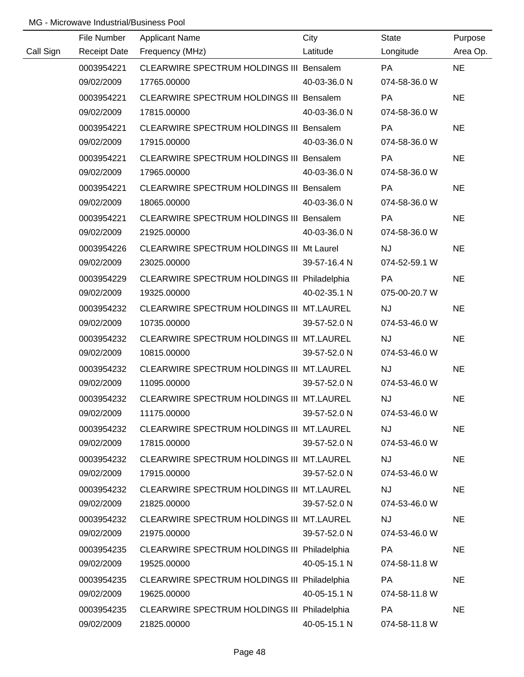|           | File Number | <b>Applicant Name</b>                        | City         | State         | Purpose   |
|-----------|-------------|----------------------------------------------|--------------|---------------|-----------|
| Call Sign |             | Receipt Date Frequency (MHz)                 | Latitude     | Longitude     | Area Op.  |
|           | 0003954221  | CLEARWIRE SPECTRUM HOLDINGS III Bensalem     |              | <b>PA</b>     | <b>NE</b> |
|           | 09/02/2009  | 17765.00000                                  | 40-03-36.0 N | 074-58-36.0 W |           |
|           | 0003954221  | CLEARWIRE SPECTRUM HOLDINGS III Bensalem     |              | PA            | <b>NE</b> |
|           | 09/02/2009  | 17815.00000                                  | 40-03-36.0 N | 074-58-36.0 W |           |
|           | 0003954221  | CLEARWIRE SPECTRUM HOLDINGS III Bensalem     |              | <b>PA</b>     | <b>NE</b> |
|           | 09/02/2009  | 17915.00000                                  | 40-03-36.0 N | 074-58-36.0 W |           |
|           | 0003954221  | CLEARWIRE SPECTRUM HOLDINGS III Bensalem     |              | PA            | <b>NE</b> |
|           | 09/02/2009  | 17965.00000                                  | 40-03-36.0 N | 074-58-36.0 W |           |
|           | 0003954221  | CLEARWIRE SPECTRUM HOLDINGS III Bensalem     |              | PA            | <b>NE</b> |
|           | 09/02/2009  | 18065.00000                                  | 40-03-36.0 N | 074-58-36.0 W |           |
|           | 0003954221  | CLEARWIRE SPECTRUM HOLDINGS III Bensalem     |              | PA            | <b>NE</b> |
|           | 09/02/2009  | 21925.00000                                  | 40-03-36.0 N | 074-58-36.0 W |           |
|           | 0003954226  | CLEARWIRE SPECTRUM HOLDINGS III Mt Laurel    |              | <b>NJ</b>     | <b>NE</b> |
|           | 09/02/2009  | 23025.00000                                  | 39-57-16.4 N | 074-52-59.1 W |           |
|           | 0003954229  | CLEARWIRE SPECTRUM HOLDINGS III Philadelphia |              | PA            | <b>NE</b> |
|           | 09/02/2009  | 19325.00000                                  | 40-02-35.1 N | 075-00-20.7 W |           |
|           | 0003954232  | CLEARWIRE SPECTRUM HOLDINGS III MT.LAUREL    |              | <b>NJ</b>     | <b>NE</b> |
|           | 09/02/2009  | 10735.00000                                  | 39-57-52.0 N | 074-53-46.0 W |           |
|           | 0003954232  | CLEARWIRE SPECTRUM HOLDINGS III MT.LAUREL    |              | NJ            | <b>NE</b> |
|           | 09/02/2009  | 10815.00000                                  | 39-57-52.0 N | 074-53-46.0 W |           |
|           | 0003954232  | CLEARWIRE SPECTRUM HOLDINGS III MT.LAUREL    |              | NJ            | <b>NE</b> |
|           | 09/02/2009  | 11095.00000                                  | 39-57-52.0 N | 074-53-46.0 W |           |
|           | 0003954232  | CLEARWIRE SPECTRUM HOLDINGS III MT.LAUREL    |              | NJ            | <b>NE</b> |
|           | 09/02/2009  | 11175.00000                                  | 39-57-52.0 N | 074-53-46.0 W |           |
|           | 0003954232  | CLEARWIRE SPECTRUM HOLDINGS III MT.LAUREL    |              | <b>NJ</b>     | <b>NE</b> |
|           | 09/02/2009  | 17815.00000                                  | 39-57-52.0 N | 074-53-46.0 W |           |
|           | 0003954232  | CLEARWIRE SPECTRUM HOLDINGS III MT.LAUREL    |              | <b>NJ</b>     | <b>NE</b> |
|           | 09/02/2009  | 17915.00000                                  | 39-57-52.0 N | 074-53-46.0 W |           |
|           | 0003954232  | CLEARWIRE SPECTRUM HOLDINGS III MT.LAUREL    |              | <b>NJ</b>     | <b>NE</b> |
|           | 09/02/2009  | 21825.00000                                  | 39-57-52.0 N | 074-53-46.0 W |           |
|           | 0003954232  | CLEARWIRE SPECTRUM HOLDINGS III MT.LAUREL    |              | <b>NJ</b>     | <b>NE</b> |
|           | 09/02/2009  | 21975.00000                                  | 39-57-52.0 N | 074-53-46.0 W |           |
|           | 0003954235  | CLEARWIRE SPECTRUM HOLDINGS III Philadelphia |              | PA            | <b>NE</b> |
|           | 09/02/2009  | 19525.00000                                  | 40-05-15.1 N | 074-58-11.8 W |           |
|           | 0003954235  | CLEARWIRE SPECTRUM HOLDINGS III Philadelphia |              | PA            | <b>NE</b> |
|           | 09/02/2009  | 19625.00000                                  | 40-05-15.1 N | 074-58-11.8 W |           |
|           | 0003954235  | CLEARWIRE SPECTRUM HOLDINGS III Philadelphia |              | PA            | <b>NE</b> |
|           | 09/02/2009  | 21825.00000                                  | 40-05-15.1 N | 074-58-11.8 W |           |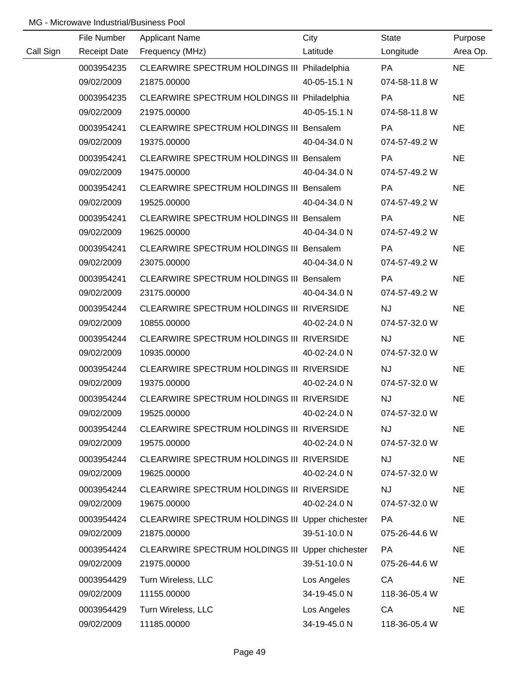|           | File Number | <b>Applicant Name</b>                            | City         | State         | Purpose   |
|-----------|-------------|--------------------------------------------------|--------------|---------------|-----------|
| Call Sign |             | Receipt Date Frequency (MHz)                     | Latitude     | Longitude     | Area Op.  |
|           | 0003954235  | CLEARWIRE SPECTRUM HOLDINGS III Philadelphia     |              | <b>PA</b>     | <b>NE</b> |
|           | 09/02/2009  | 21875.00000                                      | 40-05-15.1 N | 074-58-11.8 W |           |
|           | 0003954235  | CLEARWIRE SPECTRUM HOLDINGS III Philadelphia     |              | PA            | <b>NE</b> |
|           | 09/02/2009  | 21975.00000                                      | 40-05-15.1 N | 074-58-11.8 W |           |
|           | 0003954241  | CLEARWIRE SPECTRUM HOLDINGS III Bensalem         |              | <b>PA</b>     | <b>NE</b> |
|           | 09/02/2009  | 19375.00000                                      | 40-04-34.0 N | 074-57-49.2 W |           |
|           | 0003954241  | CLEARWIRE SPECTRUM HOLDINGS III Bensalem         |              | PA            | <b>NE</b> |
|           | 09/02/2009  | 19475.00000                                      | 40-04-34.0 N | 074-57-49.2 W |           |
|           | 0003954241  | CLEARWIRE SPECTRUM HOLDINGS III Bensalem         |              | <b>PA</b>     | <b>NE</b> |
|           | 09/02/2009  | 19525.00000                                      | 40-04-34.0 N | 074-57-49.2 W |           |
|           | 0003954241  | CLEARWIRE SPECTRUM HOLDINGS III Bensalem         |              | PA            | <b>NE</b> |
|           | 09/02/2009  | 19625.00000                                      | 40-04-34.0 N | 074-57-49.2 W |           |
|           | 0003954241  | CLEARWIRE SPECTRUM HOLDINGS III Bensalem         |              | <b>PA</b>     | <b>NE</b> |
|           | 09/02/2009  | 23075.00000                                      | 40-04-34.0 N | 074-57-49.2 W |           |
|           | 0003954241  | CLEARWIRE SPECTRUM HOLDINGS III Bensalem         |              | <b>PA</b>     | <b>NE</b> |
|           | 09/02/2009  | 23175.00000                                      | 40-04-34.0 N | 074-57-49.2 W |           |
|           | 0003954244  | CLEARWIRE SPECTRUM HOLDINGS III RIVERSIDE        |              | <b>NJ</b>     | <b>NE</b> |
|           | 09/02/2009  | 10855.00000                                      | 40-02-24.0 N | 074-57-32.0 W |           |
|           | 0003954244  | CLEARWIRE SPECTRUM HOLDINGS III RIVERSIDE        |              | <b>NJ</b>     | <b>NE</b> |
|           | 09/02/2009  | 10935.00000                                      | 40-02-24.0 N | 074-57-32.0 W |           |
|           | 0003954244  | CLEARWIRE SPECTRUM HOLDINGS III RIVERSIDE        |              | <b>NJ</b>     | <b>NE</b> |
|           | 09/02/2009  | 19375.00000                                      | 40-02-24.0 N | 074-57-32.0 W |           |
|           | 0003954244  | CLEARWIRE SPECTRUM HOLDINGS III RIVERSIDE        |              | <b>NJ</b>     | <b>NE</b> |
|           | 09/02/2009  | 19525.00000                                      | 40-02-24.0 N | 074-57-32.0 W |           |
|           | 0003954244  | CLEARWIRE SPECTRUM HOLDINGS III RIVERSIDE        |              | <b>NJ</b>     | <b>NE</b> |
|           | 09/02/2009  | 19575.00000                                      | 40-02-24.0 N | 074-57-32.0 W |           |
|           | 0003954244  | CLEARWIRE SPECTRUM HOLDINGS III RIVERSIDE        |              | <b>NJ</b>     | <b>NE</b> |
|           | 09/02/2009  | 19625.00000                                      | 40-02-24.0 N | 074-57-32.0 W |           |
|           | 0003954244  | CLEARWIRE SPECTRUM HOLDINGS III RIVERSIDE        |              | <b>NJ</b>     | <b>NE</b> |
|           | 09/02/2009  | 19675.00000                                      | 40-02-24.0 N | 074-57-32.0 W |           |
|           | 0003954424  | CLEARWIRE SPECTRUM HOLDINGS III Upper chichester |              | <b>PA</b>     | <b>NE</b> |
|           | 09/02/2009  | 21875.00000                                      | 39-51-10.0 N | 075-26-44.6 W |           |
|           | 0003954424  | CLEARWIRE SPECTRUM HOLDINGS III Upper chichester |              | <b>PA</b>     | <b>NE</b> |
|           | 09/02/2009  | 21975.00000                                      | 39-51-10.0 N | 075-26-44.6 W |           |
|           | 0003954429  | Turn Wireless, LLC                               | Los Angeles  | CA            | <b>NE</b> |
|           | 09/02/2009  | 11155.00000                                      | 34-19-45.0 N | 118-36-05.4 W |           |
|           | 0003954429  | Turn Wireless, LLC                               | Los Angeles  | CA            | <b>NE</b> |
|           | 09/02/2009  | 11185.00000                                      | 34-19-45.0 N | 118-36-05.4 W |           |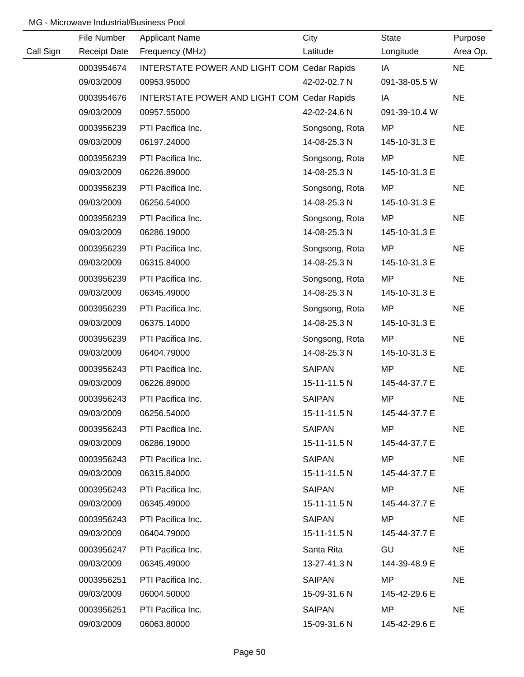|           | File Number         | <b>Applicant Name</b>                       | City           | <b>State</b>  | Purpose   |
|-----------|---------------------|---------------------------------------------|----------------|---------------|-----------|
| Call Sign | <b>Receipt Date</b> | Frequency (MHz)                             | Latitude       | Longitude     | Area Op.  |
|           | 0003954674          | INTERSTATE POWER AND LIGHT COM Cedar Rapids |                | IA            | <b>NE</b> |
|           | 09/03/2009          | 00953.95000                                 | 42-02-02.7 N   | 091-38-05.5 W |           |
|           | 0003954676          | INTERSTATE POWER AND LIGHT COM Cedar Rapids |                | IA            | <b>NE</b> |
|           | 09/03/2009          | 00957.55000                                 | 42-02-24.6 N   | 091-39-10.4 W |           |
|           | 0003956239          | PTI Pacifica Inc.                           | Songsong, Rota | MP            | <b>NE</b> |
|           | 09/03/2009          | 06197.24000                                 | 14-08-25.3 N   | 145-10-31.3 E |           |
|           | 0003956239          | PTI Pacifica Inc.                           | Songsong, Rota | MP            | <b>NE</b> |
|           | 09/03/2009          | 06226.89000                                 | 14-08-25.3 N   | 145-10-31.3 E |           |
|           | 0003956239          | PTI Pacifica Inc.                           | Songsong, Rota | MP            | <b>NE</b> |
|           | 09/03/2009          | 06256.54000                                 | 14-08-25.3 N   | 145-10-31.3 E |           |
|           | 0003956239          | PTI Pacifica Inc.                           | Songsong, Rota | <b>MP</b>     | <b>NE</b> |
|           | 09/03/2009          | 06286.19000                                 | 14-08-25.3 N   | 145-10-31.3 E |           |
|           | 0003956239          | PTI Pacifica Inc.                           | Songsong, Rota | MP.           | <b>NE</b> |
|           | 09/03/2009          | 06315.84000                                 | 14-08-25.3 N   | 145-10-31.3 E |           |
|           | 0003956239          | PTI Pacifica Inc.                           | Songsong, Rota | <b>MP</b>     | <b>NE</b> |
|           | 09/03/2009          | 06345.49000                                 | 14-08-25.3 N   | 145-10-31.3 E |           |
|           | 0003956239          | PTI Pacifica Inc.                           | Songsong, Rota | MP            | <b>NE</b> |
|           | 09/03/2009          | 06375.14000                                 | 14-08-25.3 N   | 145-10-31.3 E |           |
|           | 0003956239          | PTI Pacifica Inc.                           | Songsong, Rota | <b>MP</b>     | <b>NE</b> |
|           | 09/03/2009          | 06404.79000                                 | 14-08-25.3 N   | 145-10-31.3 E |           |
|           | 0003956243          | PTI Pacifica Inc.                           | <b>SAIPAN</b>  | MP            | <b>NE</b> |
|           | 09/03/2009          | 06226.89000                                 | 15-11-11.5 N   | 145-44-37.7 E |           |
|           | 0003956243          | PTI Pacifica Inc.                           | <b>SAIPAN</b>  | <b>MP</b>     | <b>NE</b> |
|           | 09/03/2009          | 06256.54000                                 | 15-11-11.5 N   | 145-44-37.7 E |           |
|           | 0003956243          | PTI Pacifica Inc.                           | <b>SAIPAN</b>  | MP.           | <b>NE</b> |
|           | 09/03/2009          | 06286.19000                                 | 15-11-11.5 N   | 145-44-37.7 E |           |
|           | 0003956243          | PTI Pacifica Inc.                           | SAIPAN         | MP            | <b>NE</b> |
|           | 09/03/2009          | 06315.84000                                 | 15-11-11.5 N   | 145-44-37.7 E |           |
|           | 0003956243          | PTI Pacifica Inc.                           | SAIPAN         | MP            | <b>NE</b> |
|           | 09/03/2009          | 06345.49000                                 | 15-11-11.5 N   | 145-44-37.7 E |           |
|           | 0003956243          | PTI Pacifica Inc.                           | SAIPAN         | MP.           | <b>NE</b> |
|           | 09/03/2009          | 06404.79000                                 | 15-11-11.5 N   | 145-44-37.7 E |           |
|           | 0003956247          | PTI Pacifica Inc.                           | Santa Rita     | GU            | <b>NE</b> |
|           | 09/03/2009          | 06345.49000                                 | 13-27-41.3 N   | 144-39-48.9 E |           |
|           | 0003956251          | PTI Pacifica Inc.                           | SAIPAN         | MP            | <b>NE</b> |
|           | 09/03/2009          | 06004.50000                                 | 15-09-31.6 N   | 145-42-29.6 E |           |
|           | 0003956251          | PTI Pacifica Inc.                           | SAIPAN         | MP            | <b>NE</b> |
|           | 09/03/2009          | 06063.80000                                 | 15-09-31.6 N   | 145-42-29.6 E |           |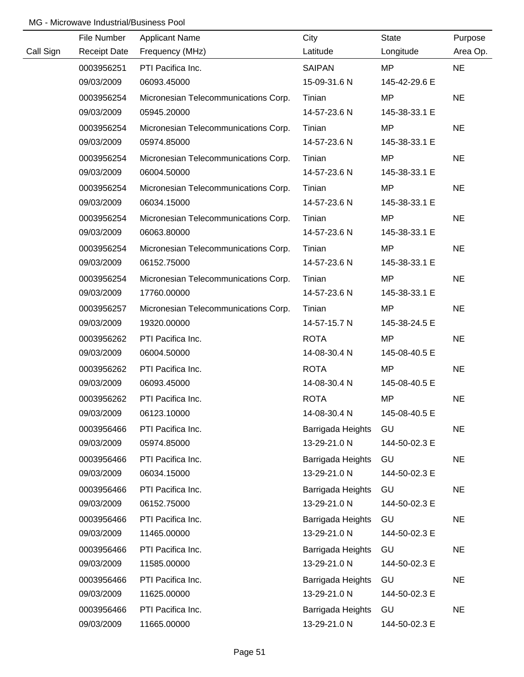|           | File Number         | <b>Applicant Name</b>                | City              | State         | Purpose   |
|-----------|---------------------|--------------------------------------|-------------------|---------------|-----------|
| Call Sign | <b>Receipt Date</b> | Frequency (MHz)                      | Latitude          | Longitude     | Area Op.  |
|           | 0003956251          | PTI Pacifica Inc.                    | <b>SAIPAN</b>     | <b>MP</b>     | <b>NE</b> |
|           | 09/03/2009          | 06093.45000                          | 15-09-31.6 N      | 145-42-29.6 E |           |
|           | 0003956254          | Micronesian Telecommunications Corp. | Tinian            | <b>MP</b>     | <b>NE</b> |
|           | 09/03/2009          | 05945.20000                          | 14-57-23.6 N      | 145-38-33.1 E |           |
|           | 0003956254          | Micronesian Telecommunications Corp. | Tinian            | <b>MP</b>     | <b>NE</b> |
|           | 09/03/2009          | 05974.85000                          | 14-57-23.6 N      | 145-38-33.1 E |           |
|           | 0003956254          | Micronesian Telecommunications Corp. | Tinian            | <b>MP</b>     | <b>NE</b> |
|           | 09/03/2009          | 06004.50000                          | 14-57-23.6 N      | 145-38-33.1 E |           |
|           | 0003956254          | Micronesian Telecommunications Corp. | Tinian            | <b>MP</b>     | <b>NE</b> |
|           | 09/03/2009          | 06034.15000                          | 14-57-23.6 N      | 145-38-33.1 E |           |
|           | 0003956254          | Micronesian Telecommunications Corp. | Tinian            | <b>MP</b>     | <b>NE</b> |
|           | 09/03/2009          | 06063.80000                          | 14-57-23.6 N      | 145-38-33.1 E |           |
|           | 0003956254          | Micronesian Telecommunications Corp. | Tinian            | <b>MP</b>     | <b>NE</b> |
|           | 09/03/2009          | 06152.75000                          | 14-57-23.6 N      | 145-38-33.1 E |           |
|           | 0003956254          | Micronesian Telecommunications Corp. | Tinian            | <b>MP</b>     | <b>NE</b> |
|           | 09/03/2009          | 17760.00000                          | 14-57-23.6 N      | 145-38-33.1 E |           |
|           | 0003956257          | Micronesian Telecommunications Corp. | Tinian            | <b>MP</b>     | <b>NE</b> |
|           | 09/03/2009          | 19320.00000                          | 14-57-15.7 N      | 145-38-24.5 E |           |
|           | 0003956262          | PTI Pacifica Inc.                    | <b>ROTA</b>       | <b>MP</b>     | <b>NE</b> |
|           | 09/03/2009          | 06004.50000                          | 14-08-30.4 N      | 145-08-40.5 E |           |
|           | 0003956262          | PTI Pacifica Inc.                    | <b>ROTA</b>       | <b>MP</b>     | <b>NE</b> |
|           | 09/03/2009          | 06093.45000                          | 14-08-30.4 N      | 145-08-40.5 E |           |
|           | 0003956262          | PTI Pacifica Inc.                    | <b>ROTA</b>       | <b>MP</b>     | <b>NE</b> |
|           | 09/03/2009          | 06123.10000                          | 14-08-30.4 N      | 145-08-40.5 E |           |
|           | 0003956466          | PTI Pacifica Inc.                    | Barrigada Heights | GU            | <b>NE</b> |
|           | 09/03/2009          | 05974.85000                          | 13-29-21.0 N      | 144-50-02.3 E |           |
|           | 0003956466          | PTI Pacifica Inc.                    | Barrigada Heights | GU            | <b>NE</b> |
|           | 09/03/2009          | 06034.15000                          | 13-29-21.0 N      | 144-50-02.3 E |           |
|           | 0003956466          | PTI Pacifica Inc.                    | Barrigada Heights | GU            | <b>NE</b> |
|           | 09/03/2009          | 06152.75000                          | 13-29-21.0 N      | 144-50-02.3 E |           |
|           | 0003956466          | PTI Pacifica Inc.                    | Barrigada Heights | GU            | <b>NE</b> |
|           | 09/03/2009          | 11465.00000                          | 13-29-21.0 N      | 144-50-02.3 E |           |
|           | 0003956466          | PTI Pacifica Inc.                    | Barrigada Heights | GU            | <b>NE</b> |
|           | 09/03/2009          | 11585.00000                          | 13-29-21.0 N      | 144-50-02.3 E |           |
|           | 0003956466          | PTI Pacifica Inc.                    | Barrigada Heights | GU            | <b>NE</b> |
|           | 09/03/2009          | 11625.00000                          | 13-29-21.0 N      | 144-50-02.3 E |           |
|           | 0003956466          | PTI Pacifica Inc.                    | Barrigada Heights | GU            | <b>NE</b> |
|           | 09/03/2009          | 11665.00000                          | 13-29-21.0 N      | 144-50-02.3 E |           |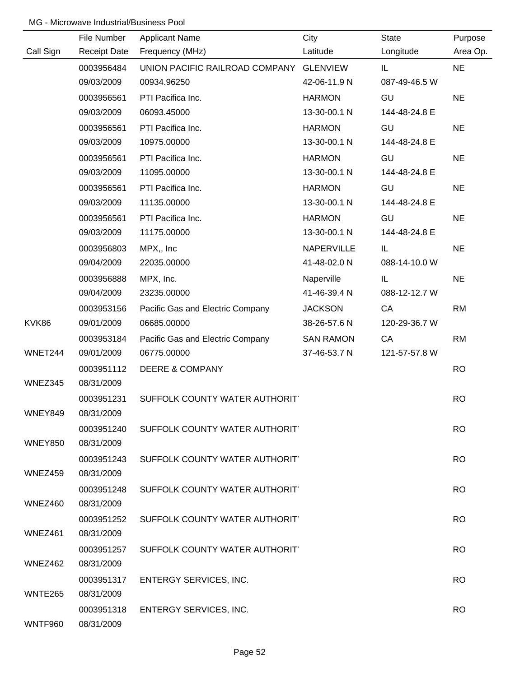|                | File Number         | <b>Applicant Name</b>                   | City              | <b>State</b>  | Purpose   |
|----------------|---------------------|-----------------------------------------|-------------------|---------------|-----------|
| Call Sign      | <b>Receipt Date</b> | Frequency (MHz)                         | Latitude          | Longitude     | Area Op.  |
|                | 0003956484          | UNION PACIFIC RAILROAD COMPANY GLENVIEW |                   | IL.           | <b>NE</b> |
|                | 09/03/2009          | 00934.96250                             | 42-06-11.9 N      | 087-49-46.5 W |           |
|                | 0003956561          | PTI Pacifica Inc.                       | <b>HARMON</b>     | GU            | <b>NE</b> |
|                | 09/03/2009          | 06093.45000                             | 13-30-00.1 N      | 144-48-24.8 E |           |
|                | 0003956561          | PTI Pacifica Inc.                       | <b>HARMON</b>     | GU            | <b>NE</b> |
|                | 09/03/2009          | 10975.00000                             | 13-30-00.1 N      | 144-48-24.8 E |           |
|                | 0003956561          | PTI Pacifica Inc.                       | <b>HARMON</b>     | GU            | <b>NE</b> |
|                | 09/03/2009          | 11095.00000                             | 13-30-00.1 N      | 144-48-24.8 E |           |
|                | 0003956561          | PTI Pacifica Inc.                       | <b>HARMON</b>     | GU            | <b>NE</b> |
|                | 09/03/2009          | 11135.00000                             | 13-30-00.1 N      | 144-48-24.8 E |           |
|                | 0003956561          | PTI Pacifica Inc.                       | <b>HARMON</b>     | GU            | <b>NE</b> |
|                | 09/03/2009          | 11175.00000                             | 13-30-00.1 N      | 144-48-24.8 E |           |
|                | 0003956803          | MPX,, Inc                               | <b>NAPERVILLE</b> | IL.           | <b>NE</b> |
|                | 09/04/2009          | 22035.00000                             | 41-48-02.0 N      | 088-14-10.0 W |           |
|                | 0003956888          | MPX, Inc.                               | Naperville        | IL.           | <b>NE</b> |
|                | 09/04/2009          | 23235.00000                             | 41-46-39.4 N      | 088-12-12.7 W |           |
|                | 0003953156          | Pacific Gas and Electric Company        | <b>JACKSON</b>    | CA            | <b>RM</b> |
| KVK86          | 09/01/2009          | 06685.00000                             | 38-26-57.6 N      | 120-29-36.7 W |           |
|                | 0003953184          | Pacific Gas and Electric Company        | <b>SAN RAMON</b>  | CA            | <b>RM</b> |
| WNET244        | 09/01/2009          | 06775.00000                             | 37-46-53.7 N      | 121-57-57.8 W |           |
|                | 0003951112          | <b>DEERE &amp; COMPANY</b>              |                   |               | <b>RO</b> |
| WNEZ345        | 08/31/2009          |                                         |                   |               |           |
|                | 0003951231          | SUFFOLK COUNTY WATER AUTHORIT           |                   |               | <b>RO</b> |
| WNEY849        | 08/31/2009          |                                         |                   |               |           |
|                | 0003951240          | SUFFOLK COUNTY WATER AUTHORIT           |                   |               | <b>RO</b> |
| <b>WNEY850</b> | 08/31/2009          |                                         |                   |               |           |
|                | 0003951243          | SUFFOLK COUNTY WATER AUTHORIT           |                   |               | <b>RO</b> |
| WNEZ459        | 08/31/2009          |                                         |                   |               |           |
|                | 0003951248          | SUFFOLK COUNTY WATER AUTHORIT           |                   |               | <b>RO</b> |
| WNEZ460        | 08/31/2009          |                                         |                   |               |           |
|                | 0003951252          | SUFFOLK COUNTY WATER AUTHORIT           |                   |               | <b>RO</b> |
| WNEZ461        | 08/31/2009          |                                         |                   |               |           |
|                | 0003951257          | SUFFOLK COUNTY WATER AUTHORIT           |                   |               | <b>RO</b> |
| WNEZ462        | 08/31/2009          |                                         |                   |               |           |
|                | 0003951317          | <b>ENTERGY SERVICES, INC.</b>           |                   |               | <b>RO</b> |
| WNTE265        | 08/31/2009          |                                         |                   |               |           |
|                | 0003951318          | <b>ENTERGY SERVICES, INC.</b>           |                   |               | <b>RO</b> |
| WNTF960        | 08/31/2009          |                                         |                   |               |           |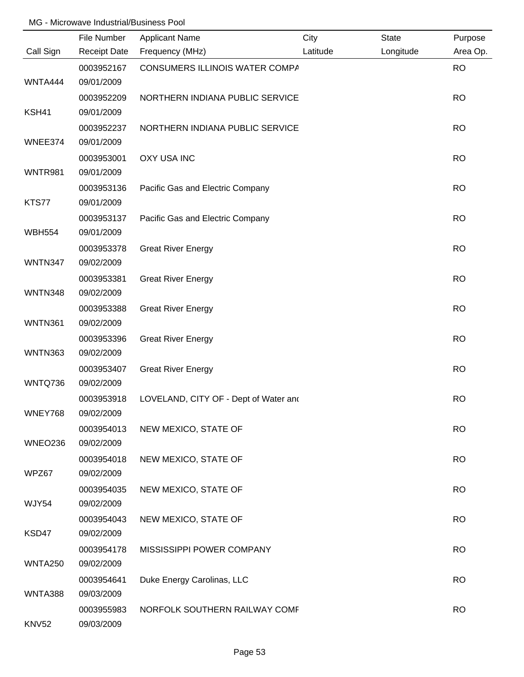|                | File Number              | <b>Applicant Name</b>                 | City     | <b>State</b> | Purpose   |
|----------------|--------------------------|---------------------------------------|----------|--------------|-----------|
| Call Sign      | <b>Receipt Date</b>      | Frequency (MHz)                       | Latitude | Longitude    | Area Op.  |
| WNTA444        | 0003952167<br>09/01/2009 | CONSUMERS ILLINOIS WATER COMPA        |          |              | <b>RO</b> |
|                | 0003952209               | NORTHERN INDIANA PUBLIC SERVICE       |          |              | <b>RO</b> |
| KSH41          | 09/01/2009               |                                       |          |              |           |
|                | 0003952237               | NORTHERN INDIANA PUBLIC SERVICE       |          |              | <b>RO</b> |
| WNEE374        | 09/01/2009               |                                       |          |              |           |
|                | 0003953001               | <b>OXY USA INC</b>                    |          |              | <b>RO</b> |
| WNTR981        | 09/01/2009               |                                       |          |              |           |
|                | 0003953136               | Pacific Gas and Electric Company      |          |              | <b>RO</b> |
| KTS77          | 09/01/2009               |                                       |          |              |           |
|                | 0003953137               | Pacific Gas and Electric Company      |          |              | <b>RO</b> |
| <b>WBH554</b>  | 09/01/2009               |                                       |          |              |           |
|                | 0003953378               | <b>Great River Energy</b>             |          |              | <b>RO</b> |
| WNTN347        | 09/02/2009               |                                       |          |              |           |
|                | 0003953381               | <b>Great River Energy</b>             |          |              | <b>RO</b> |
| <b>WNTN348</b> | 09/02/2009               |                                       |          |              |           |
|                | 0003953388               | <b>Great River Energy</b>             |          |              | <b>RO</b> |
| <b>WNTN361</b> | 09/02/2009               |                                       |          |              |           |
|                | 0003953396               | <b>Great River Energy</b>             |          |              | <b>RO</b> |
| <b>WNTN363</b> | 09/02/2009               |                                       |          |              |           |
|                | 0003953407               | <b>Great River Energy</b>             |          |              | <b>RO</b> |
| WNTQ736        | 09/02/2009               |                                       |          |              |           |
|                | 0003953918               | LOVELAND, CITY OF - Dept of Water and |          |              | <b>RO</b> |
| WNEY768        | 09/02/2009               |                                       |          |              |           |
|                | 0003954013               | NEW MEXICO, STATE OF                  |          |              | <b>RO</b> |
| WNEO236        | 09/02/2009               |                                       |          |              |           |
|                | 0003954018               | NEW MEXICO, STATE OF                  |          |              | <b>RO</b> |
| WPZ67          | 09/02/2009               |                                       |          |              |           |
| <b>WJY54</b>   | 0003954035<br>09/02/2009 | NEW MEXICO, STATE OF                  |          |              | <b>RO</b> |
|                | 0003954043               |                                       |          |              | <b>RO</b> |
| KSD47          | 09/02/2009               | NEW MEXICO, STATE OF                  |          |              |           |
|                | 0003954178               | MISSISSIPPI POWER COMPANY             |          |              | <b>RO</b> |
| <b>WNTA250</b> | 09/02/2009               |                                       |          |              |           |
|                | 0003954641               | Duke Energy Carolinas, LLC            |          |              | <b>RO</b> |
| WNTA388        | 09/03/2009               |                                       |          |              |           |
|                | 0003955983               | NORFOLK SOUTHERN RAILWAY COMF         |          |              | <b>RO</b> |
| <b>KNV52</b>   | 09/03/2009               |                                       |          |              |           |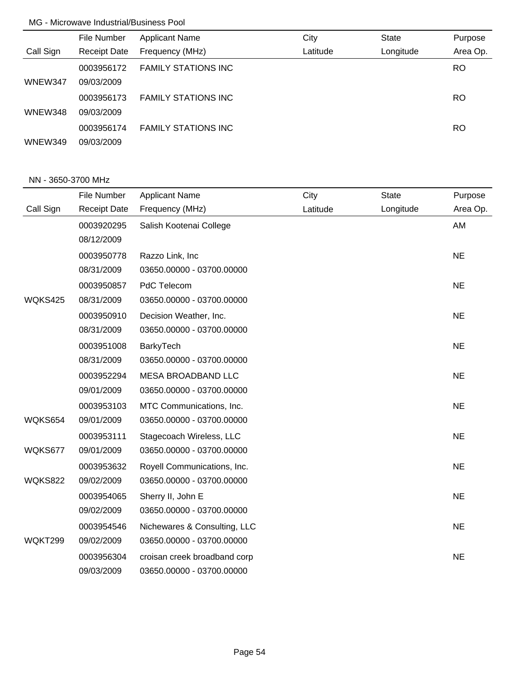|           | File Number         | <b>Applicant Name</b>      | City     | <b>State</b> | Purpose   |
|-----------|---------------------|----------------------------|----------|--------------|-----------|
| Call Sign | <b>Receipt Date</b> | Frequency (MHz)            | Latitude | Longitude    | Area Op.  |
|           | 0003956172          | <b>FAMILY STATIONS INC</b> |          |              | <b>RO</b> |
| WNEW347   | 09/03/2009          |                            |          |              |           |
|           | 0003956173          | <b>FAMILY STATIONS INC</b> |          |              | <b>RO</b> |
| WNEW348   | 09/03/2009          |                            |          |              |           |
|           | 0003956174          | <b>FAMILY STATIONS INC</b> |          |              | RO        |
| WNEW349   | 09/03/2009          |                            |          |              |           |

#### NN - 3650-3700 MHz

|                | File Number         | <b>Applicant Name</b>        | City     | <b>State</b> | Purpose   |
|----------------|---------------------|------------------------------|----------|--------------|-----------|
| Call Sign      | <b>Receipt Date</b> | Frequency (MHz)              | Latitude | Longitude    | Area Op.  |
|                | 0003920295          | Salish Kootenai College      |          |              | AM        |
|                | 08/12/2009          |                              |          |              |           |
|                | 0003950778          | Razzo Link, Inc              |          |              | <b>NE</b> |
|                | 08/31/2009          | 03650.00000 - 03700.00000    |          |              |           |
|                | 0003950857          | PdC Telecom                  |          |              | <b>NE</b> |
| WQKS425        | 08/31/2009          | 03650.00000 - 03700.00000    |          |              |           |
|                | 0003950910          | Decision Weather, Inc.       |          |              | <b>NE</b> |
|                | 08/31/2009          | 03650.00000 - 03700.00000    |          |              |           |
|                | 0003951008          | BarkyTech                    |          |              | <b>NE</b> |
|                | 08/31/2009          | 03650.00000 - 03700.00000    |          |              |           |
|                | 0003952294          | <b>MESA BROADBAND LLC</b>    |          |              | <b>NE</b> |
|                | 09/01/2009          | 03650.00000 - 03700.00000    |          |              |           |
|                | 0003953103          | MTC Communications, Inc.     |          |              | <b>NE</b> |
| WQKS654        | 09/01/2009          | 03650.00000 - 03700.00000    |          |              |           |
|                | 0003953111          | Stagecoach Wireless, LLC     |          |              | <b>NE</b> |
| WQKS677        | 09/01/2009          | 03650.00000 - 03700.00000    |          |              |           |
|                | 0003953632          | Royell Communications, Inc.  |          |              | <b>NE</b> |
| <b>WQKS822</b> | 09/02/2009          | 03650.00000 - 03700.00000    |          |              |           |
|                | 0003954065          | Sherry II, John E            |          |              | <b>NE</b> |
|                | 09/02/2009          | 03650.00000 - 03700.00000    |          |              |           |
|                | 0003954546          | Nichewares & Consulting, LLC |          |              | <b>NE</b> |
| WQKT299        | 09/02/2009          | 03650.00000 - 03700.00000    |          |              |           |
|                | 0003956304          | croisan creek broadband corp |          |              | <b>NE</b> |
|                | 09/03/2009          | 03650.00000 - 03700.00000    |          |              |           |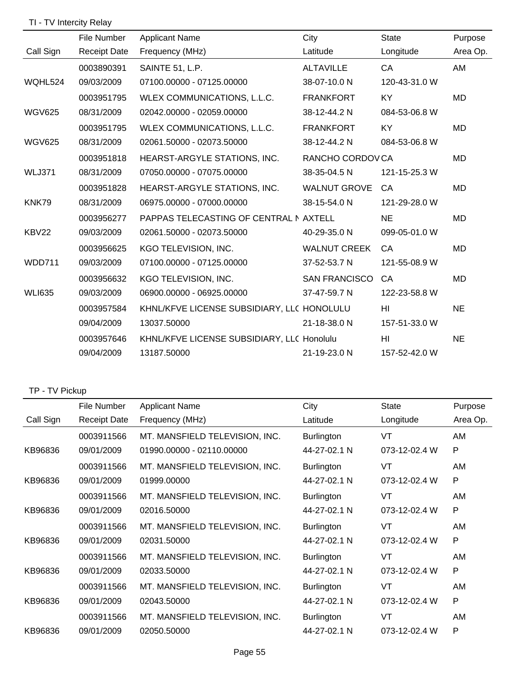# TI - TV Intercity Relay

|               | File Number         | <b>Applicant Name</b>                      | City                 | <b>State</b>    | Purpose   |
|---------------|---------------------|--------------------------------------------|----------------------|-----------------|-----------|
| Call Sign     | <b>Receipt Date</b> | Frequency (MHz)                            | Latitude             | Longitude       | Area Op.  |
|               | 0003890391          | SAINTE 51, L.P.                            | <b>ALTAVILLE</b>     | CA              | AM        |
| WQHL524       | 09/03/2009          | 07100.00000 - 07125.00000                  | 38-07-10.0 N         | 120-43-31.0 W   |           |
|               | 0003951795          | WLEX COMMUNICATIONS, L.L.C.                | <b>FRANKFORT</b>     | KY              | <b>MD</b> |
| <b>WGV625</b> | 08/31/2009          | 02042.00000 - 02059.00000                  | 38-12-44.2 N         | 084-53-06.8 W   |           |
|               | 0003951795          | WLEX COMMUNICATIONS, L.L.C.                | <b>FRANKFORT</b>     | <b>KY</b>       | <b>MD</b> |
| <b>WGV625</b> | 08/31/2009          | 02061.50000 - 02073.50000                  | 38-12-44.2 N         | 084-53-06.8 W   |           |
|               | 0003951818          | HEARST-ARGYLE STATIONS, INC.               | RANCHO CORDOVCA      |                 | MD        |
| <b>WLJ371</b> | 08/31/2009          | 07050.00000 - 07075.00000                  | 38-35-04.5 N         | 121-15-25.3 W   |           |
|               | 0003951828          | HEARST-ARGYLE STATIONS, INC.               | <b>WALNUT GROVE</b>  | CA              | <b>MD</b> |
| KNK79         | 08/31/2009          | 06975.00000 - 07000.00000                  | 38-15-54.0 N         | 121-29-28.0 W   |           |
|               | 0003956277          | PAPPAS TELECASTING OF CENTRAL NAXTELL      |                      | <b>NE</b>       | MD        |
| KBV22         | 09/03/2009          | 02061.50000 - 02073.50000                  | 40-29-35.0 N         | 099-05-01.0 W   |           |
|               | 0003956625          | KGO TELEVISION, INC.                       | <b>WALNUT CREEK</b>  | CA              | <b>MD</b> |
| <b>WDD711</b> | 09/03/2009          | 07100.00000 - 07125.00000                  | 37-52-53.7 N         | 121-55-08.9 W   |           |
|               | 0003956632          | KGO TELEVISION, INC.                       | <b>SAN FRANCISCO</b> | CA              | <b>MD</b> |
| <b>WLI635</b> | 09/03/2009          | 06900.00000 - 06925.00000                  | 37-47-59.7 N         | 122-23-58.8 W   |           |
|               | 0003957584          | KHNL/KFVE LICENSE SUBSIDIARY, LLC HONOLULU |                      | HI.             | <b>NE</b> |
|               | 09/04/2009          | 13037.50000                                | 21-18-38.0 N         | 157-51-33.0 W   |           |
|               | 0003957646          | KHNL/KFVE LICENSE SUBSIDIARY, LLC Honolulu |                      | H <sub>II</sub> | <b>NE</b> |
|               | 09/04/2009          | 13187.50000                                | 21-19-23.0 N         | 157-52-42.0 W   |           |

#### TP - TV Pickup

|           | File Number         | Applicant Name                 | City              | <b>State</b>  | Purpose  |
|-----------|---------------------|--------------------------------|-------------------|---------------|----------|
| Call Sign | <b>Receipt Date</b> | Frequency (MHz)                | Latitude          | Longitude     | Area Op. |
|           | 0003911566          | MT. MANSFIELD TELEVISION, INC. | <b>Burlington</b> | VT            | AM       |
| KB96836   | 09/01/2009          | 01990.00000 - 02110.00000      | 44-27-02.1 N      | 073-12-02.4 W | P        |
|           | 0003911566          | MT. MANSFIELD TELEVISION, INC. | Burlington        | VT            | AM       |
| KB96836   | 09/01/2009          | 01999.00000                    | 44-27-02.1 N      | 073-12-02.4 W | P        |
|           | 0003911566          | MT. MANSFIELD TELEVISION, INC. | <b>Burlington</b> | VT            | AM       |
| KB96836   | 09/01/2009          | 02016.50000                    | 44-27-02.1 N      | 073-12-02.4 W | P        |
|           | 0003911566          | MT. MANSFIELD TELEVISION, INC. | <b>Burlington</b> | VT            | AM       |
| KB96836   | 09/01/2009          | 02031.50000                    | 44-27-02.1 N      | 073-12-02.4 W | P        |
|           | 0003911566          | MT. MANSFIELD TELEVISION, INC. | <b>Burlington</b> | VT            | AM       |
| KB96836   | 09/01/2009          | 02033.50000                    | 44-27-02.1 N      | 073-12-02.4 W | P        |
|           | 0003911566          | MT. MANSFIELD TELEVISION, INC. | <b>Burlington</b> | VT            | AM       |
| KB96836   | 09/01/2009          | 02043.50000                    | 44-27-02.1 N      | 073-12-02.4 W | P        |
|           | 0003911566          | MT. MANSFIELD TELEVISION, INC. | <b>Burlington</b> | VT            | AM       |
| KB96836   | 09/01/2009          | 02050.50000                    | 44-27-02.1 N      | 073-12-02.4 W | P        |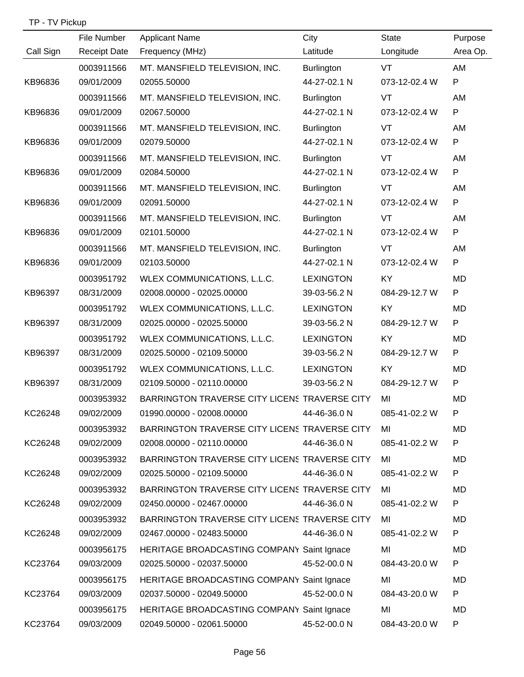|           | File Number         | <b>Applicant Name</b>                         | City              | <b>State</b>  | Purpose      |
|-----------|---------------------|-----------------------------------------------|-------------------|---------------|--------------|
| Call Sign | <b>Receipt Date</b> | Frequency (MHz)                               | Latitude          | Longitude     | Area Op.     |
|           | 0003911566          | MT. MANSFIELD TELEVISION, INC.                | <b>Burlington</b> | VT            | AM           |
| KB96836   | 09/01/2009          | 02055.50000                                   | 44-27-02.1 N      | 073-12-02.4 W | $\mathsf{P}$ |
|           | 0003911566          | MT. MANSFIELD TELEVISION, INC.                | <b>Burlington</b> | VT            | AM           |
| KB96836   | 09/01/2009          | 02067.50000                                   | 44-27-02.1 N      | 073-12-02.4 W | $\mathsf{P}$ |
|           | 0003911566          | MT. MANSFIELD TELEVISION, INC.                | <b>Burlington</b> | VT            | AM           |
| KB96836   | 09/01/2009          | 02079.50000                                   | 44-27-02.1 N      | 073-12-02.4 W | $\mathsf{P}$ |
|           | 0003911566          | MT. MANSFIELD TELEVISION, INC.                | <b>Burlington</b> | VT            | AM           |
| KB96836   | 09/01/2009          | 02084.50000                                   | 44-27-02.1 N      | 073-12-02.4 W | $\mathsf{P}$ |
|           | 0003911566          | MT. MANSFIELD TELEVISION, INC.                | <b>Burlington</b> | VT            | AM           |
| KB96836   | 09/01/2009          | 02091.50000                                   | 44-27-02.1 N      | 073-12-02.4 W | $\mathsf{P}$ |
|           | 0003911566          | MT. MANSFIELD TELEVISION, INC.                | <b>Burlington</b> | VT            | AM           |
| KB96836   | 09/01/2009          | 02101.50000                                   | 44-27-02.1 N      | 073-12-02.4 W | $\mathsf{P}$ |
|           | 0003911566          | MT. MANSFIELD TELEVISION, INC.                | Burlington        | VT            | AM           |
| KB96836   | 09/01/2009          | 02103.50000                                   | 44-27-02.1 N      | 073-12-02.4 W | ${\sf P}$    |
|           | 0003951792          | WLEX COMMUNICATIONS, L.L.C.                   | <b>LEXINGTON</b>  | <b>KY</b>     | <b>MD</b>    |
| KB96397   | 08/31/2009          | 02008.00000 - 02025.00000                     | 39-03-56.2 N      | 084-29-12.7 W | $\mathsf{P}$ |
|           | 0003951792          | WLEX COMMUNICATIONS, L.L.C.                   | <b>LEXINGTON</b>  | <b>KY</b>     | <b>MD</b>    |
| KB96397   | 08/31/2009          | 02025.00000 - 02025.50000                     | 39-03-56.2 N      | 084-29-12.7 W | $\mathsf{P}$ |
|           | 0003951792          | WLEX COMMUNICATIONS, L.L.C.                   | <b>LEXINGTON</b>  | <b>KY</b>     | <b>MD</b>    |
| KB96397   | 08/31/2009          | 02025.50000 - 02109.50000                     | 39-03-56.2 N      | 084-29-12.7 W | $\mathsf{P}$ |
|           | 0003951792          | WLEX COMMUNICATIONS, L.L.C.                   | <b>LEXINGTON</b>  | <b>KY</b>     | <b>MD</b>    |
| KB96397   | 08/31/2009          | 02109.50000 - 02110.00000                     | 39-03-56.2 N      | 084-29-12.7 W | P            |
|           | 0003953932          | BARRINGTON TRAVERSE CITY LICENS TRAVERSE CITY |                   | MI            | <b>MD</b>    |
| KC26248   | 09/02/2009          | 01990.00000 - 02008.00000                     | 44-46-36.0 N      | 085-41-02.2 W |              |
|           | 0003953932          | BARRINGTON TRAVERSE CITY LICENS TRAVERSE CITY |                   | MI            | MD           |
| KC26248   | 09/02/2009          | 02008.00000 - 02110.00000                     | 44-46-36.0 N      | 085-41-02.2 W | P            |
|           | 0003953932          | BARRINGTON TRAVERSE CITY LICENS TRAVERSE CITY |                   | MI            | MD           |
| KC26248   | 09/02/2009          | 02025.50000 - 02109.50000                     | 44-46-36.0 N      | 085-41-02.2 W | P            |
|           | 0003953932          | BARRINGTON TRAVERSE CITY LICENS TRAVERSE CITY |                   | MI            | MD           |
| KC26248   | 09/02/2009          | 02450.00000 - 02467.00000                     | 44-46-36.0 N      | 085-41-02.2 W | P            |
|           | 0003953932          | BARRINGTON TRAVERSE CITY LICENS TRAVERSE CITY |                   | MI            | MD           |
| KC26248   | 09/02/2009          | 02467.00000 - 02483.50000                     | 44-46-36.0 N      | 085-41-02.2 W | P            |
|           | 0003956175          | HERITAGE BROADCASTING COMPANY Saint Ignace    |                   | MI            | MD           |
| KC23764   | 09/03/2009          | 02025.50000 - 02037.50000                     | 45-52-00.0 N      | 084-43-20.0 W | P            |
|           | 0003956175          | HERITAGE BROADCASTING COMPANY Saint Ignace    |                   | MI            | MD           |
| KC23764   | 09/03/2009          | 02037.50000 - 02049.50000                     | 45-52-00.0 N      | 084-43-20.0 W | P            |
|           | 0003956175          | HERITAGE BROADCASTING COMPANY Saint Ignace    |                   | MI            | MD           |
| KC23764   | 09/03/2009          | 02049.50000 - 02061.50000                     | 45-52-00.0 N      | 084-43-20.0 W | P            |

TP - TV Pickup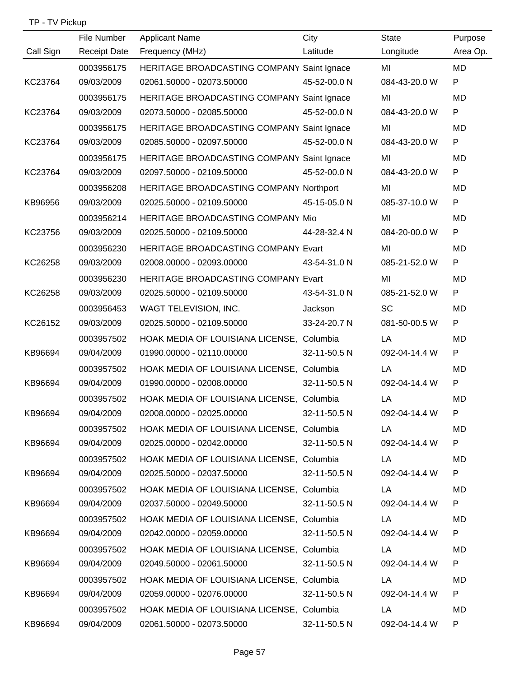TP - TV Pickup

|           | File Number         | <b>Applicant Name</b>                      | City         | <b>State</b>       | Purpose      |
|-----------|---------------------|--------------------------------------------|--------------|--------------------|--------------|
| Call Sign | <b>Receipt Date</b> | Frequency (MHz)                            | Latitude     | Longitude          | Area Op.     |
|           | 0003956175          | HERITAGE BROADCASTING COMPANY Saint Ignace |              | MI                 | <b>MD</b>    |
| KC23764   | 09/03/2009          | 02061.50000 - 02073.50000                  | 45-52-00.0 N | 084-43-20.0 W      | P            |
|           | 0003956175          | HERITAGE BROADCASTING COMPANY Saint Ignace |              | MI                 | <b>MD</b>    |
| KC23764   | 09/03/2009          | 02073.50000 - 02085.50000                  | 45-52-00.0 N | 084-43-20.0 W      | P            |
|           | 0003956175          | HERITAGE BROADCASTING COMPANY Saint Ignace |              | MI                 | MD           |
| KC23764   | 09/03/2009          | 02085.50000 - 02097.50000                  | 45-52-00.0 N | 084-43-20.0 W      | P            |
|           | 0003956175          | HERITAGE BROADCASTING COMPANY Saint Ignace |              | MI                 | <b>MD</b>    |
| KC23764   | 09/03/2009          | 02097.50000 - 02109.50000                  | 45-52-00.0 N | 084-43-20.0 W      | P            |
|           | 0003956208          | HERITAGE BROADCASTING COMPANY Northport    |              | MI                 | <b>MD</b>    |
| KB96956   | 09/03/2009          | 02025.50000 - 02109.50000                  | 45-15-05.0 N | 085-37-10.0 W      | P            |
|           | 0003956214          | HERITAGE BROADCASTING COMPANY Mio          |              | MI                 | <b>MD</b>    |
| KC23756   | 09/03/2009          | 02025.50000 - 02109.50000                  | 44-28-32.4 N | 084-20-00.0 W      | P            |
|           | 0003956230          | HERITAGE BROADCASTING COMPANY Evart        |              | MI                 | <b>MD</b>    |
| KC26258   | 09/03/2009          | 02008.00000 - 02093.00000                  | 43-54-31.0 N | 085-21-52.0 W      | P            |
|           | 0003956230          | HERITAGE BROADCASTING COMPANY Evart        |              | MI                 | MD           |
| KC26258   | 09/03/2009          | 02025.50000 - 02109.50000                  | 43-54-31.0 N | 085-21-52.0 W      | P            |
|           | 0003956453          | WAGT TELEVISION, INC.                      | Jackson      | <b>SC</b>          | <b>MD</b>    |
| KC26152   | 09/03/2009          | 02025.50000 - 02109.50000                  | 33-24-20.7 N | 081-50-00.5 W      | P            |
|           | 0003957502          | HOAK MEDIA OF LOUISIANA LICENSE, Columbia  |              | LA                 | MD           |
| KB96694   | 09/04/2009          | 01990.00000 - 02110.00000                  | 32-11-50.5 N | 092-04-14.4 W      | $\mathsf{P}$ |
|           | 0003957502          | HOAK MEDIA OF LOUISIANA LICENSE, Columbia  |              | LA                 | MD           |
| KB96694   | 09/04/2009          | 01990.00000 - 02008.00000                  | 32-11-50.5 N | 092-04-14.4 W      | P            |
|           | 0003957502          | HOAK MEDIA OF LOUISIANA LICENSE, Columbia  |              | LA                 | MD           |
| KB96694   | 09/04/2009          | 02008.00000 - 02025.00000                  | 32-11-50.5 N | 092-04-14.4 W      | P.           |
|           | 0003957502          | HOAK MEDIA OF LOUISIANA LICENSE, Columbia  |              | LA 1999            | MD           |
| KB96694   | 09/04/2009          | 02025.00000 - 02042.00000                  | 32-11-50.5 N | 092-04-14.4 W      | P.           |
|           | 0003957502          | HOAK MEDIA OF LOUISIANA LICENSE, Columbia  |              | LA PORT CONTROLLER | MD           |
| KB96694   | 09/04/2009          | 02025.50000 - 02037.50000                  | 32-11-50.5 N | 092-04-14.4 W      | P.           |
|           | 0003957502          | HOAK MEDIA OF LOUISIANA LICENSE, Columbia  |              | LA PORT CONTROLLER | MD.          |
| KB96694   | 09/04/2009          | 02037.50000 - 02049.50000                  | 32-11-50.5 N | 092-04-14.4 W      | P            |
|           | 0003957502          | HOAK MEDIA OF LOUISIANA LICENSE, Columbia  |              | LA                 | MD           |
| KB96694   | 09/04/2009          | 02042.00000 - 02059.00000                  | 32-11-50.5 N | 092-04-14.4 W      | P            |
|           | 0003957502          | HOAK MEDIA OF LOUISIANA LICENSE, Columbia  |              | LA                 | MD.          |
| KB96694   | 09/04/2009          | 02049.50000 - 02061.50000                  | 32-11-50.5 N | 092-04-14.4 W      | P            |
|           | 0003957502          | HOAK MEDIA OF LOUISIANA LICENSE, Columbia  |              | LA                 | MD           |
| KB96694   | 09/04/2009          | 02059.00000 - 02076.00000                  | 32-11-50.5 N | 092-04-14.4 W      | P.           |
|           | 0003957502          | HOAK MEDIA OF LOUISIANA LICENSE, Columbia  |              | LA                 | MD           |
| KB96694   | 09/04/2009          | 02061.50000 - 02073.50000 32-11-50.5 N     |              | 092-04-14.4 W      | P            |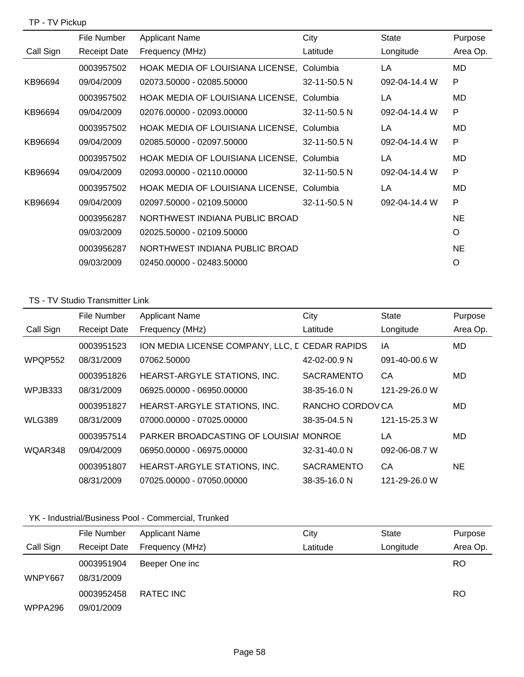|           | File Number         | <b>Applicant Name</b>            | City         | <b>State</b>  | Purpose   |
|-----------|---------------------|----------------------------------|--------------|---------------|-----------|
| Call Sign | <b>Receipt Date</b> | Frequency (MHz)                  | Latitude     | Longitude     | Area Op.  |
|           | 0003957502          | HOAK MEDIA OF LOUISIANA LICENSE, | Columbia     | LA            | MD        |
| KB96694   | 09/04/2009          | 02073.50000 - 02085.50000        | 32-11-50.5 N | 092-04-14.4 W | P         |
|           | 0003957502          | HOAK MEDIA OF LOUISIANA LICENSE, | Columbia     | LA            | MD        |
| KB96694   | 09/04/2009          | 02076.00000 - 02093.00000        | 32-11-50.5 N | 092-04-14.4 W | P         |
|           | 0003957502          | HOAK MEDIA OF LOUISIANA LICENSE, | Columbia     | LA            | MD        |
| KB96694   | 09/04/2009          | 02085.50000 - 02097.50000        | 32-11-50.5 N | 092-04-14.4 W | P         |
|           | 0003957502          | HOAK MEDIA OF LOUISIANA LICENSE, | Columbia     | LA            | MD        |
| KB96694   | 09/04/2009          | 02093.00000 - 02110.00000        | 32-11-50.5 N | 092-04-14.4 W | P         |
|           | 0003957502          | HOAK MEDIA OF LOUISIANA LICENSE, | Columbia     | LA            | MD        |
| KB96694   | 09/04/2009          | 02097.50000 - 02109.50000        | 32-11-50.5 N | 092-04-14.4 W | P         |
|           | 0003956287          | NORTHWEST INDIANA PUBLIC BROAD   |              |               | <b>NE</b> |
|           | 09/03/2009          | 02025.50000 - 02109.50000        |              |               | $\circ$   |
|           | 0003956287          | NORTHWEST INDIANA PUBLIC BROAD   |              |               | <b>NE</b> |
|           | 09/03/2009          | 02450.00000 - 02483.50000        |              |               | O         |

#### TS - TV Studio Transmitter Link

|               | File Number         | <b>Applicant Name</b>                          | City              | <b>State</b>  | Purpose   |
|---------------|---------------------|------------------------------------------------|-------------------|---------------|-----------|
| Call Sign     | <b>Receipt Date</b> | Frequency (MHz)                                | Latitude          | Longitude     | Area Op.  |
|               | 0003951523          | ION MEDIA LICENSE COMPANY, LLC, E CEDAR RAPIDS |                   | ΙA            | MD.       |
| WPQP552       | 08/31/2009          | 07062.50000                                    | 42-02-00.9 N      | 091-40-00.6 W |           |
|               | 0003951826          | HEARST-ARGYLE STATIONS, INC.                   | <b>SACRAMENTO</b> | CA            | MD        |
| WPJB333       | 08/31/2009          | 06925.00000 - 06950.00000                      | 38-35-16.0 N      | 121-29-26.0 W |           |
|               | 0003951827          | HEARST-ARGYLE STATIONS, INC.                   | RANCHO CORDOVCA   |               | MD        |
| <b>WLG389</b> | 08/31/2009          | 07000.00000 - 07025.00000                      | 38-35-04.5 N      | 121-15-25.3 W |           |
|               | 0003957514          | PARKER BROADCASTING OF LOUISIAL MONROE         |                   | LA            | MD        |
| WQAR348       | 09/04/2009          | 06950.00000 - 06975.00000                      | 32-31-40.0 N      | 092-06-08.7 W |           |
|               | 0003951807          | HEARST-ARGYLE STATIONS, INC.                   | <b>SACRAMENTO</b> | CA            | <b>NE</b> |
|               | 08/31/2009          | 07025.00000 - 07050.00000                      | 38-35-16.0 N      | 121-29-26.0 W |           |

## YK - Industrial/Business Pool - Commercial, Trunked

|           | File Number              | Applicant Name  | City     | State     | Purpose   |
|-----------|--------------------------|-----------------|----------|-----------|-----------|
| Call Sign | <b>Receipt Date</b>      | Frequency (MHz) | Latitude | Longitude | Area Op.  |
| WNPY667   | 0003951904<br>08/31/2009 | Beeper One inc  |          |           | <b>RO</b> |
|           | 0003952458               | RATEC INC       |          |           | <b>RO</b> |
| WPPA296   | 09/01/2009               |                 |          |           |           |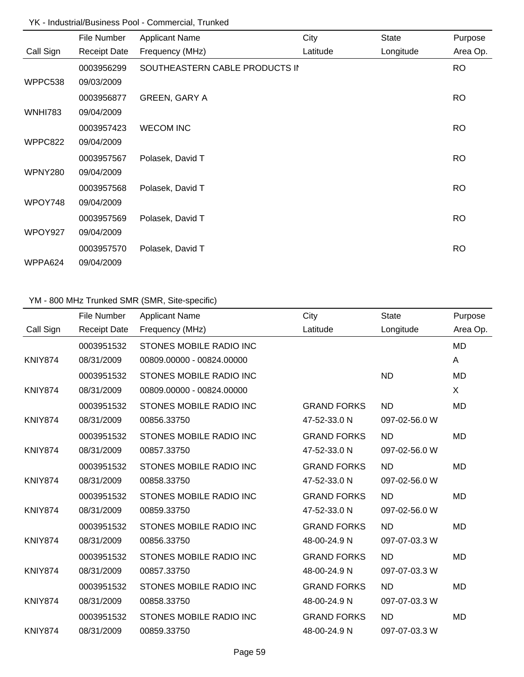## YK - Industrial/Business Pool - Commercial, Trunked

|                | File Number         | <b>Applicant Name</b>          | City     | State     | Purpose   |
|----------------|---------------------|--------------------------------|----------|-----------|-----------|
| Call Sign      | <b>Receipt Date</b> | Frequency (MHz)                | Latitude | Longitude | Area Op.  |
|                | 0003956299          | SOUTHEASTERN CABLE PRODUCTS II |          |           | <b>RO</b> |
| WPPC538        | 09/03/2009          |                                |          |           |           |
|                | 0003956877          | <b>GREEN, GARY A</b>           |          |           | <b>RO</b> |
| <b>WNHI783</b> | 09/04/2009          |                                |          |           |           |
|                | 0003957423          | <b>WECOM INC</b>               |          |           | <b>RO</b> |
| WPPC822        | 09/04/2009          |                                |          |           |           |
|                | 0003957567          | Polasek, David T               |          |           | <b>RO</b> |
| <b>WPNY280</b> | 09/04/2009          |                                |          |           |           |
|                | 0003957568          | Polasek, David T               |          |           | <b>RO</b> |
| WPOY748        | 09/04/2009          |                                |          |           |           |
|                | 0003957569          | Polasek, David T               |          |           | <b>RO</b> |
| WPOY927        | 09/04/2009          |                                |          |           |           |
|                | 0003957570          | Polasek, David T               |          |           | <b>RO</b> |
| WPPA624        | 09/04/2009          |                                |          |           |           |

# YM - 800 MHz Trunked SMR (SMR, Site-specific)

|                | File Number         | <b>Applicant Name</b>          | City               | <b>State</b>  | Purpose   |
|----------------|---------------------|--------------------------------|--------------------|---------------|-----------|
| Call Sign      | <b>Receipt Date</b> | Frequency (MHz)                | Latitude           | Longitude     | Area Op.  |
|                | 0003951532          | <b>STONES MOBILE RADIO INC</b> |                    |               | <b>MD</b> |
| <b>KNIY874</b> | 08/31/2009          | 00809.00000 - 00824.00000      |                    |               | A         |
|                | 0003951532          | STONES MOBILE RADIO INC        |                    | <b>ND</b>     | <b>MD</b> |
| <b>KNIY874</b> | 08/31/2009          | 00809.00000 - 00824.00000      |                    |               | X         |
|                | 0003951532          | STONES MOBILE RADIO INC        | <b>GRAND FORKS</b> | <b>ND</b>     | <b>MD</b> |
| <b>KNIY874</b> | 08/31/2009          | 00856.33750                    | 47-52-33.0 N       | 097-02-56.0 W |           |
|                | 0003951532          | STONES MOBILE RADIO INC        | <b>GRAND FORKS</b> | <b>ND</b>     | <b>MD</b> |
| <b>KNIY874</b> | 08/31/2009          | 00857.33750                    | 47-52-33.0 N       | 097-02-56.0 W |           |
|                | 0003951532          | STONES MOBILE RADIO INC        | <b>GRAND FORKS</b> | <b>ND</b>     | <b>MD</b> |
| <b>KNIY874</b> | 08/31/2009          | 00858.33750                    | 47-52-33.0 N       | 097-02-56.0 W |           |
|                | 0003951532          | STONES MOBILE RADIO INC        | <b>GRAND FORKS</b> | <b>ND</b>     | <b>MD</b> |
| <b>KNIY874</b> | 08/31/2009          | 00859.33750                    | 47-52-33.0 N       | 097-02-56.0 W |           |
|                | 0003951532          | STONES MOBILE RADIO INC        | <b>GRAND FORKS</b> | <b>ND</b>     | <b>MD</b> |
| <b>KNIY874</b> | 08/31/2009          | 00856.33750                    | 48-00-24.9 N       | 097-07-03.3 W |           |
|                | 0003951532          | STONES MOBILE RADIO INC        | <b>GRAND FORKS</b> | <b>ND</b>     | <b>MD</b> |
| <b>KNIY874</b> | 08/31/2009          | 00857.33750                    | 48-00-24.9 N       | 097-07-03.3 W |           |
|                | 0003951532          | STONES MOBILE RADIO INC        | <b>GRAND FORKS</b> | <b>ND</b>     | <b>MD</b> |
| <b>KNIY874</b> | 08/31/2009          | 00858.33750                    | 48-00-24.9 N       | 097-07-03.3 W |           |
|                | 0003951532          | STONES MOBILE RADIO INC        | <b>GRAND FORKS</b> | <b>ND</b>     | <b>MD</b> |
| KNIY874        | 08/31/2009          | 00859.33750                    | 48-00-24.9 N       | 097-07-03.3 W |           |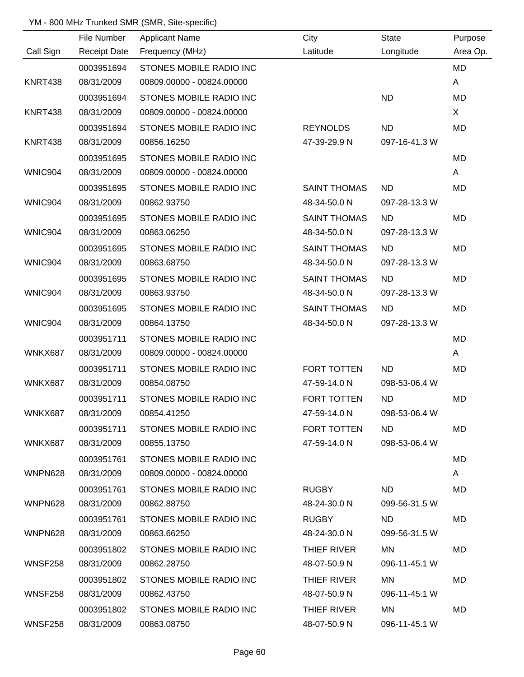# YM - 800 MHz Trunked SMR (SMR, Site-specific)

|                | File Number         | Applicant Name                 | City                | <b>State</b>  | Purpose   |
|----------------|---------------------|--------------------------------|---------------------|---------------|-----------|
| Call Sign      | <b>Receipt Date</b> | Frequency (MHz)                | Latitude            | Longitude     | Area Op.  |
|                | 0003951694          | STONES MOBILE RADIO INC        |                     |               | <b>MD</b> |
| KNRT438        | 08/31/2009          | 00809.00000 - 00824.00000      |                     |               | A         |
|                | 0003951694          | STONES MOBILE RADIO INC        |                     | <b>ND</b>     | MD        |
| <b>KNRT438</b> | 08/31/2009          | 00809.00000 - 00824.00000      |                     |               | X         |
|                | 0003951694          | <b>STONES MOBILE RADIO INC</b> | <b>REYNOLDS</b>     | <b>ND</b>     | MD        |
| KNRT438        | 08/31/2009          | 00856.16250                    | 47-39-29.9 N        | 097-16-41.3 W |           |
|                | 0003951695          | STONES MOBILE RADIO INC        |                     |               | MD        |
| WNIC904        | 08/31/2009          | 00809.00000 - 00824.00000      |                     |               | A         |
|                | 0003951695          | STONES MOBILE RADIO INC        | <b>SAINT THOMAS</b> | <b>ND</b>     | MD        |
| WNIC904        | 08/31/2009          | 00862.93750                    | 48-34-50.0 N        | 097-28-13.3 W |           |
|                | 0003951695          | STONES MOBILE RADIO INC        | <b>SAINT THOMAS</b> | <b>ND</b>     | MD        |
| WNIC904        | 08/31/2009          | 00863.06250                    | 48-34-50.0 N        | 097-28-13.3 W |           |
|                | 0003951695          | STONES MOBILE RADIO INC        | <b>SAINT THOMAS</b> | <b>ND</b>     | MD        |
| WNIC904        | 08/31/2009          | 00863.68750                    | 48-34-50.0 N        | 097-28-13.3 W |           |
|                | 0003951695          | STONES MOBILE RADIO INC        | <b>SAINT THOMAS</b> | <b>ND</b>     | MD        |
| WNIC904        | 08/31/2009          | 00863.93750                    | 48-34-50.0 N        | 097-28-13.3 W |           |
|                | 0003951695          | STONES MOBILE RADIO INC        | <b>SAINT THOMAS</b> | <b>ND</b>     | MD        |
| WNIC904        | 08/31/2009          | 00864.13750                    | 48-34-50.0 N        | 097-28-13.3 W |           |
|                | 0003951711          | STONES MOBILE RADIO INC        |                     |               | MD        |
| <b>WNKX687</b> | 08/31/2009          | 00809.00000 - 00824.00000      |                     |               | A         |
|                | 0003951711          | STONES MOBILE RADIO INC        | <b>FORT TOTTEN</b>  | <b>ND</b>     | <b>MD</b> |
| <b>WNKX687</b> | 08/31/2009          | 00854.08750                    | 47-59-14.0 N        | 098-53-06.4 W |           |
|                | 0003951711          | STONES MOBILE RADIO INC        | FORT TOTTEN         | <b>ND</b>     | MD        |
| WNKX687        | 08/31/2009          | 00854.41250                    | 47-59-14.0 N        | 098-53-06.4 W |           |
|                | 0003951711          | STONES MOBILE RADIO INC        | FORT TOTTEN         | ND.           | MD        |
| WNKX687        | 08/31/2009          | 00855.13750                    | 47-59-14.0 N        | 098-53-06.4 W |           |
|                | 0003951761          | STONES MOBILE RADIO INC        |                     |               | MD        |
| WNPN628        | 08/31/2009          | 00809.00000 - 00824.00000      |                     |               | A         |
|                | 0003951761          | STONES MOBILE RADIO INC        | <b>RUGBY</b>        | ND.           | MD        |
| WNPN628        | 08/31/2009          | 00862.88750                    | 48-24-30.0 N        | 099-56-31.5 W |           |
|                | 0003951761          | STONES MOBILE RADIO INC        | <b>RUGBY</b>        | ND.           | MD        |
| WNPN628        | 08/31/2009          | 00863.66250                    | 48-24-30.0 N        | 099-56-31.5 W |           |
|                | 0003951802          | STONES MOBILE RADIO INC        | THIEF RIVER         | MN            | MD        |
| WNSF258        | 08/31/2009          | 00862.28750                    | 48-07-50.9 N        | 096-11-45.1 W |           |
|                | 0003951802          | STONES MOBILE RADIO INC        | THIEF RIVER         | <b>MN</b>     | MD        |
| WNSF258        | 08/31/2009          | 00862.43750                    | 48-07-50.9 N        | 096-11-45.1 W |           |
|                | 0003951802          | STONES MOBILE RADIO INC        | THIEF RIVER         | MN            | MD        |
| <b>WNSF258</b> | 08/31/2009          | 00863.08750                    | 48-07-50.9 N        | 096-11-45.1 W |           |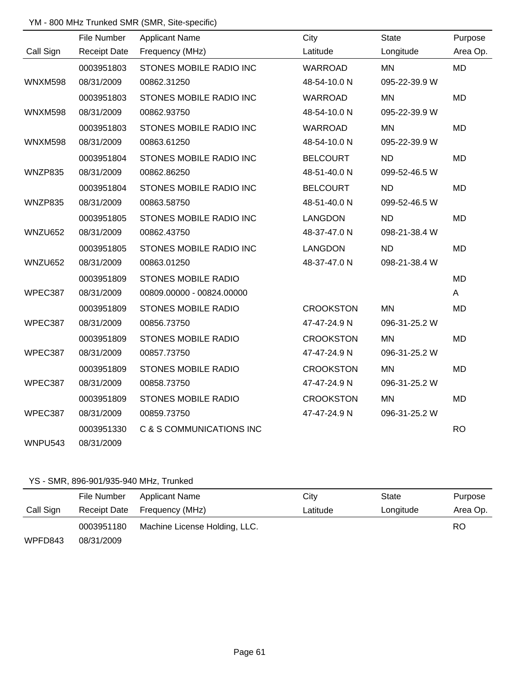## YM - 800 MHz Trunked SMR (SMR, Site-specific)

|                | File Number         | <b>Applicant Name</b>      | City             | <b>State</b>  | Purpose   |
|----------------|---------------------|----------------------------|------------------|---------------|-----------|
| Call Sign      | <b>Receipt Date</b> | Frequency (MHz)            | Latitude         | Longitude     | Area Op.  |
|                | 0003951803          | STONES MOBILE RADIO INC    | <b>WARROAD</b>   | <b>MN</b>     | <b>MD</b> |
| <b>WNXM598</b> | 08/31/2009          | 00862.31250                | 48-54-10.0 N     | 095-22-39.9 W |           |
|                | 0003951803          | STONES MOBILE RADIO INC    | <b>WARROAD</b>   | <b>MN</b>     | MD        |
| <b>WNXM598</b> | 08/31/2009          | 00862.93750                | 48-54-10.0 N     | 095-22-39.9 W |           |
|                | 0003951803          | STONES MOBILE RADIO INC    | WARROAD          | <b>MN</b>     | <b>MD</b> |
| <b>WNXM598</b> | 08/31/2009          | 00863.61250                | 48-54-10.0 N     | 095-22-39.9 W |           |
|                | 0003951804          | STONES MOBILE RADIO INC    | <b>BELCOURT</b>  | <b>ND</b>     | MD        |
| WNZP835        | 08/31/2009          | 00862.86250                | 48-51-40.0 N     | 099-52-46.5 W |           |
|                | 0003951804          | STONES MOBILE RADIO INC    | <b>BELCOURT</b>  | <b>ND</b>     | <b>MD</b> |
| WNZP835        | 08/31/2009          | 00863.58750                | 48-51-40.0 N     | 099-52-46.5 W |           |
|                | 0003951805          | STONES MOBILE RADIO INC    | <b>LANGDON</b>   | <b>ND</b>     | <b>MD</b> |
| WNZU652        | 08/31/2009          | 00862.43750                | 48-37-47.0 N     | 098-21-38.4 W |           |
|                | 0003951805          | STONES MOBILE RADIO INC    | <b>LANGDON</b>   | <b>ND</b>     | MD        |
| WNZU652        | 08/31/2009          | 00863.01250                | 48-37-47.0 N     | 098-21-38.4 W |           |
|                | 0003951809          | <b>STONES MOBILE RADIO</b> |                  |               | <b>MD</b> |
| WPEC387        | 08/31/2009          | 00809.00000 - 00824.00000  |                  |               | A         |
|                | 0003951809          | <b>STONES MOBILE RADIO</b> | <b>CROOKSTON</b> | <b>MN</b>     | <b>MD</b> |
| WPEC387        | 08/31/2009          | 00856.73750                | 47-47-24.9 N     | 096-31-25.2 W |           |
|                | 0003951809          | <b>STONES MOBILE RADIO</b> | <b>CROOKSTON</b> | <b>MN</b>     | <b>MD</b> |
| WPEC387        | 08/31/2009          | 00857.73750                | 47-47-24.9 N     | 096-31-25.2 W |           |
|                | 0003951809          | <b>STONES MOBILE RADIO</b> | <b>CROOKSTON</b> | <b>MN</b>     | MD        |
| WPEC387        | 08/31/2009          | 00858.73750                | 47-47-24.9 N     | 096-31-25.2 W |           |
|                | 0003951809          | <b>STONES MOBILE RADIO</b> | <b>CROOKSTON</b> | <b>MN</b>     | <b>MD</b> |
| WPEC387        | 08/31/2009          | 00859.73750                | 47-47-24.9 N     | 096-31-25.2 W |           |
|                | 0003951330          | C & S COMMUNICATIONS INC   |                  |               | <b>RO</b> |
| WNPU543        | 08/31/2009          |                            |                  |               |           |

#### YS - SMR, 896-901/935-940 MHz, Trunked

|           | File Number  | Applicant Name                | City     | State     | Purpose  |
|-----------|--------------|-------------------------------|----------|-----------|----------|
| Call Sign | Receipt Date | Frequency (MHz)               | Latitude | Longitude | Area Op. |
|           | 0003951180   | Machine License Holding, LLC. |          |           | RO       |
| WPFD843   | 08/31/2009   |                               |          |           |          |